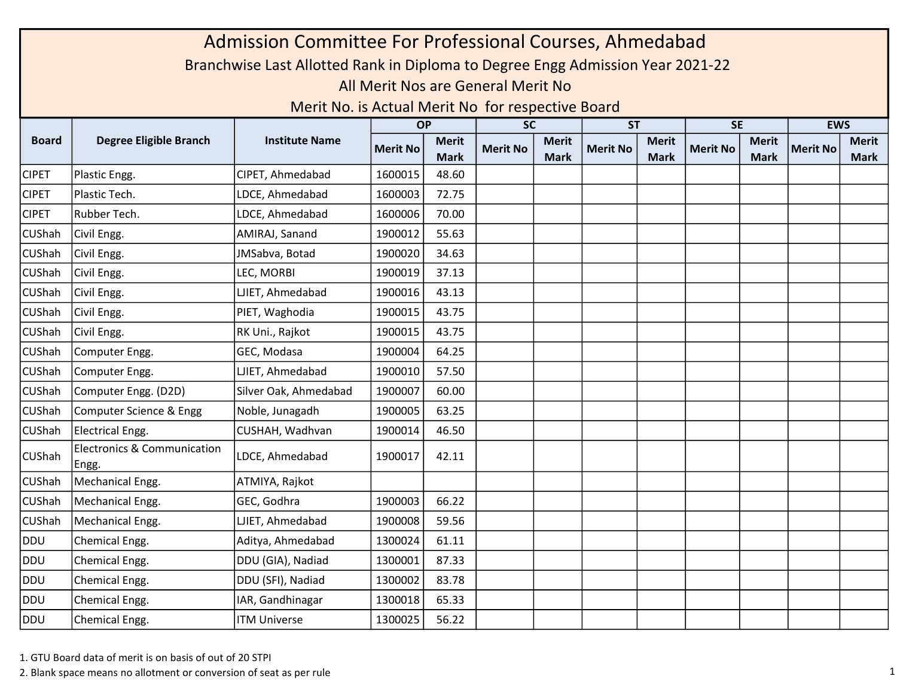|               | Admission Committee For Professional Courses, Ahmedabad<br>Branchwise Last Allotted Rank in Diploma to Degree Engg Admission Year 2021-22 |                                                   |                 |                             |                                    |                             |                 |                             |                 |                             |                 |                             |  |  |
|---------------|-------------------------------------------------------------------------------------------------------------------------------------------|---------------------------------------------------|-----------------|-----------------------------|------------------------------------|-----------------------------|-----------------|-----------------------------|-----------------|-----------------------------|-----------------|-----------------------------|--|--|
|               |                                                                                                                                           |                                                   |                 |                             |                                    |                             |                 |                             |                 |                             |                 |                             |  |  |
|               |                                                                                                                                           |                                                   |                 |                             | All Merit Nos are General Merit No |                             |                 |                             |                 |                             |                 |                             |  |  |
|               |                                                                                                                                           | Merit No. is Actual Merit No for respective Board |                 |                             |                                    |                             |                 |                             |                 |                             |                 |                             |  |  |
|               |                                                                                                                                           |                                                   | <b>OP</b>       |                             | <b>SC</b>                          |                             | <b>ST</b>       |                             | <b>SE</b>       |                             | <b>EWS</b>      |                             |  |  |
| <b>Board</b>  | <b>Degree Eligible Branch</b>                                                                                                             | <b>Institute Name</b>                             | <b>Merit No</b> | <b>Merit</b><br><b>Mark</b> | <b>Merit No</b>                    | <b>Merit</b><br><b>Mark</b> | <b>Merit No</b> | <b>Merit</b><br><b>Mark</b> | <b>Merit No</b> | <b>Merit</b><br><b>Mark</b> | <b>Merit No</b> | <b>Merit</b><br><b>Mark</b> |  |  |
| <b>CIPET</b>  | Plastic Engg.                                                                                                                             | CIPET, Ahmedabad                                  | 1600015         | 48.60                       |                                    |                             |                 |                             |                 |                             |                 |                             |  |  |
| <b>CIPET</b>  | Plastic Tech.                                                                                                                             | LDCE, Ahmedabad                                   | 1600003         | 72.75                       |                                    |                             |                 |                             |                 |                             |                 |                             |  |  |
| <b>CIPET</b>  | Rubber Tech.                                                                                                                              | LDCE, Ahmedabad                                   | 1600006         | 70.00                       |                                    |                             |                 |                             |                 |                             |                 |                             |  |  |
| CUShah        | Civil Engg.                                                                                                                               | AMIRAJ, Sanand                                    | 1900012         | 55.63                       |                                    |                             |                 |                             |                 |                             |                 |                             |  |  |
| CUShah        | Civil Engg.                                                                                                                               | JMSabva, Botad                                    | 1900020         | 34.63                       |                                    |                             |                 |                             |                 |                             |                 |                             |  |  |
| CUShah        | Civil Engg.                                                                                                                               | LEC, MORBI                                        | 1900019         | 37.13                       |                                    |                             |                 |                             |                 |                             |                 |                             |  |  |
| <b>CUShah</b> | Civil Engg.                                                                                                                               | LJIET, Ahmedabad                                  | 1900016         | 43.13                       |                                    |                             |                 |                             |                 |                             |                 |                             |  |  |
| CUShah        | Civil Engg.                                                                                                                               | PIET, Waghodia                                    | 1900015         | 43.75                       |                                    |                             |                 |                             |                 |                             |                 |                             |  |  |
| CUShah        | Civil Engg.                                                                                                                               | RK Uni., Rajkot                                   | 1900015         | 43.75                       |                                    |                             |                 |                             |                 |                             |                 |                             |  |  |
| CUShah        | Computer Engg.                                                                                                                            | GEC, Modasa                                       | 1900004         | 64.25                       |                                    |                             |                 |                             |                 |                             |                 |                             |  |  |
| CUShah        | Computer Engg.                                                                                                                            | LJIET, Ahmedabad                                  | 1900010         | 57.50                       |                                    |                             |                 |                             |                 |                             |                 |                             |  |  |
| CUShah        | Computer Engg. (D2D)                                                                                                                      | Silver Oak, Ahmedabad                             | 1900007         | 60.00                       |                                    |                             |                 |                             |                 |                             |                 |                             |  |  |
| CUShah        | Computer Science & Engg                                                                                                                   | Noble, Junagadh                                   | 1900005         | 63.25                       |                                    |                             |                 |                             |                 |                             |                 |                             |  |  |
| CUShah        | Electrical Engg.                                                                                                                          | CUSHAH, Wadhvan                                   | 1900014         | 46.50                       |                                    |                             |                 |                             |                 |                             |                 |                             |  |  |
| CUShah        | <b>Electronics &amp; Communication</b><br>Engg.                                                                                           | LDCE, Ahmedabad                                   | 1900017         | 42.11                       |                                    |                             |                 |                             |                 |                             |                 |                             |  |  |
| CUShah        | Mechanical Engg.                                                                                                                          | ATMIYA, Rajkot                                    |                 |                             |                                    |                             |                 |                             |                 |                             |                 |                             |  |  |
| CUShah        | Mechanical Engg.                                                                                                                          | GEC, Godhra                                       | 1900003         | 66.22                       |                                    |                             |                 |                             |                 |                             |                 |                             |  |  |
| CUShah        | Mechanical Engg.                                                                                                                          | LJIET, Ahmedabad                                  | 1900008         | 59.56                       |                                    |                             |                 |                             |                 |                             |                 |                             |  |  |
| DDU           | Chemical Engg.                                                                                                                            | Aditya, Ahmedabad                                 | 1300024         | 61.11                       |                                    |                             |                 |                             |                 |                             |                 |                             |  |  |
| DDU           | Chemical Engg.                                                                                                                            | DDU (GIA), Nadiad                                 | 1300001         | 87.33                       |                                    |                             |                 |                             |                 |                             |                 |                             |  |  |
| DDU           | Chemical Engg.                                                                                                                            | DDU (SFI), Nadiad                                 | 1300002         | 83.78                       |                                    |                             |                 |                             |                 |                             |                 |                             |  |  |
| DDU           | Chemical Engg.                                                                                                                            | IAR, Gandhinagar                                  | 1300018         | 65.33                       |                                    |                             |                 |                             |                 |                             |                 |                             |  |  |
| DDU           | Chemical Engg.                                                                                                                            | <b>ITM Universe</b>                               | 1300025         | 56.22                       |                                    |                             |                 |                             |                 |                             |                 |                             |  |  |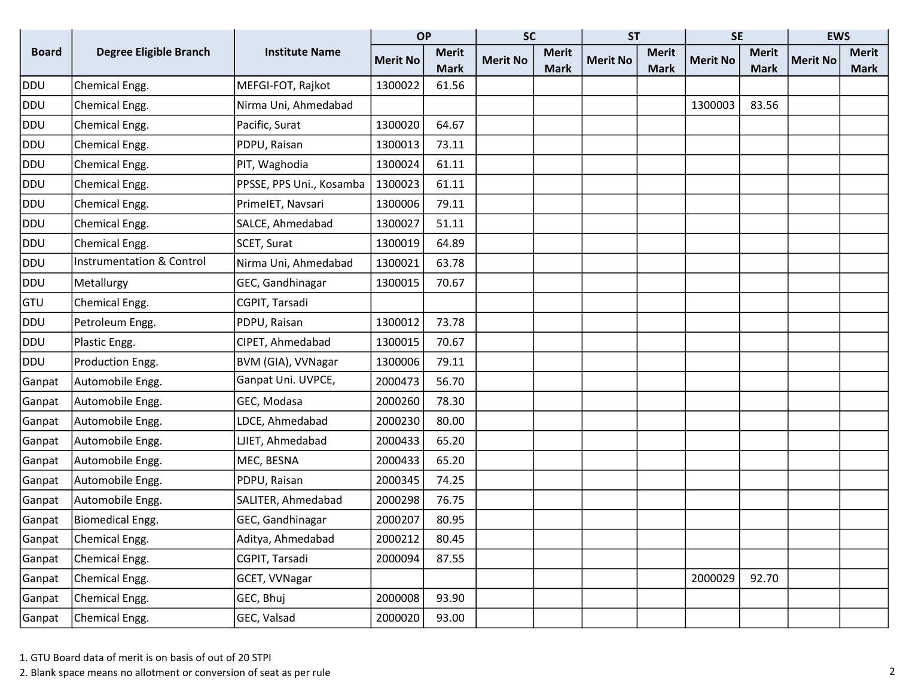|              |                                      |                          | <b>OP</b>       |              | <b>SC</b>       |              | <b>ST</b>       |              | <b>SE</b>       |              | <b>EWS</b>      |              |
|--------------|--------------------------------------|--------------------------|-----------------|--------------|-----------------|--------------|-----------------|--------------|-----------------|--------------|-----------------|--------------|
| <b>Board</b> | <b>Degree Eligible Branch</b>        | <b>Institute Name</b>    | <b>Merit No</b> | <b>Merit</b> | <b>Merit No</b> | <b>Merit</b> | <b>Merit No</b> | <b>Merit</b> | <b>Merit No</b> | <b>Merit</b> | <b>Merit No</b> | <b>Merit</b> |
|              |                                      |                          |                 | <b>Mark</b>  |                 | <b>Mark</b>  |                 | <b>Mark</b>  |                 | <b>Mark</b>  |                 | Mark         |
| <b>DDU</b>   | Chemical Engg.                       | MEFGI-FOT, Rajkot        | 1300022         | 61.56        |                 |              |                 |              |                 |              |                 |              |
| <b>DDU</b>   | Chemical Engg.                       | Nirma Uni, Ahmedabad     |                 |              |                 |              |                 |              | 1300003         | 83.56        |                 |              |
| DDU          | Chemical Engg.                       | Pacific, Surat           | 1300020         | 64.67        |                 |              |                 |              |                 |              |                 |              |
| DDU          | Chemical Engg.                       | PDPU, Raisan             | 1300013         | 73.11        |                 |              |                 |              |                 |              |                 |              |
| DDU          | Chemical Engg.                       | PIT, Waghodia            | 1300024         | 61.11        |                 |              |                 |              |                 |              |                 |              |
| DDU          | Chemical Engg.                       | PPSSE, PPS Uni., Kosamba | 1300023         | 61.11        |                 |              |                 |              |                 |              |                 |              |
| <b>DDU</b>   | Chemical Engg.                       | PrimeIET, Navsari        | 1300006         | 79.11        |                 |              |                 |              |                 |              |                 |              |
| DDU          | Chemical Engg.                       | SALCE, Ahmedabad         | 1300027         | 51.11        |                 |              |                 |              |                 |              |                 |              |
| DDU          | Chemical Engg.                       | SCET, Surat              | 1300019         | 64.89        |                 |              |                 |              |                 |              |                 |              |
| DDU          | <b>Instrumentation &amp; Control</b> | Nirma Uni, Ahmedabad     | 1300021         | 63.78        |                 |              |                 |              |                 |              |                 |              |
| DDU          | Metallurgy                           | GEC, Gandhinagar         | 1300015         | 70.67        |                 |              |                 |              |                 |              |                 |              |
| GTU          | Chemical Engg.                       | CGPIT, Tarsadi           |                 |              |                 |              |                 |              |                 |              |                 |              |
| DDU          | Petroleum Engg.                      | PDPU, Raisan             | 1300012         | 73.78        |                 |              |                 |              |                 |              |                 |              |
| DDU          | Plastic Engg.                        | CIPET, Ahmedabad         | 1300015         | 70.67        |                 |              |                 |              |                 |              |                 |              |
| DDU          | Production Engg.                     | BVM (GIA), VVNagar       | 1300006         | 79.11        |                 |              |                 |              |                 |              |                 |              |
| Ganpat       | Automobile Engg.                     | Ganpat Uni. UVPCE,       | 2000473         | 56.70        |                 |              |                 |              |                 |              |                 |              |
| Ganpat       | Automobile Engg.                     | GEC, Modasa              | 2000260         | 78.30        |                 |              |                 |              |                 |              |                 |              |
| Ganpat       | Automobile Engg.                     | LDCE, Ahmedabad          | 2000230         | 80.00        |                 |              |                 |              |                 |              |                 |              |
| Ganpat       | Automobile Engg.                     | LJIET, Ahmedabad         | 2000433         | 65.20        |                 |              |                 |              |                 |              |                 |              |
| Ganpat       | Automobile Engg.                     | MEC, BESNA               | 2000433         | 65.20        |                 |              |                 |              |                 |              |                 |              |
| Ganpat       | Automobile Engg.                     | PDPU, Raisan             | 2000345         | 74.25        |                 |              |                 |              |                 |              |                 |              |
| Ganpat       | Automobile Engg.                     | SALITER, Ahmedabad       | 2000298         | 76.75        |                 |              |                 |              |                 |              |                 |              |
| Ganpat       | Biomedical Engg.                     | GEC, Gandhinagar         | 2000207         | 80.95        |                 |              |                 |              |                 |              |                 |              |
| Ganpat       | Chemical Engg.                       | Aditya, Ahmedabad        | 2000212         | 80.45        |                 |              |                 |              |                 |              |                 |              |
| Ganpat       | Chemical Engg.                       | CGPIT, Tarsadi           | 2000094         | 87.55        |                 |              |                 |              |                 |              |                 |              |
| Ganpat       | Chemical Engg.                       | GCET, VVNagar            |                 |              |                 |              |                 |              | 2000029         | 92.70        |                 |              |
| Ganpat       | Chemical Engg.                       | GEC, Bhuj                | 2000008         | 93.90        |                 |              |                 |              |                 |              |                 |              |
| Ganpat       | Chemical Engg.                       | GEC, Valsad              | 2000020         | 93.00        |                 |              |                 |              |                 |              |                 |              |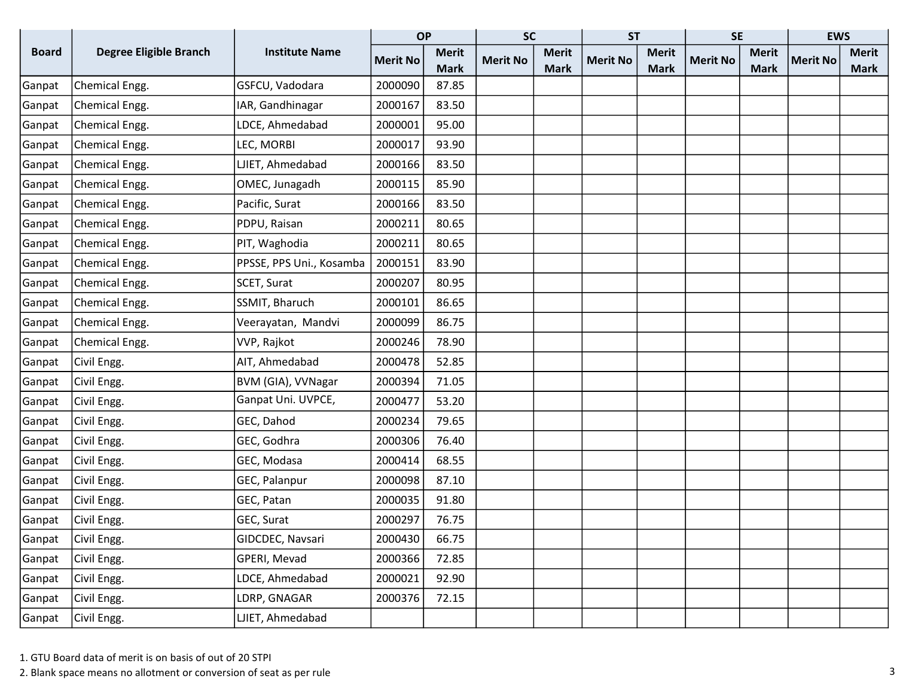|              |                               |                          | <b>OP</b>       |              | <b>SC</b>       |              | <b>ST</b>       |              | <b>SE</b>       |              | <b>EWS</b>      |              |
|--------------|-------------------------------|--------------------------|-----------------|--------------|-----------------|--------------|-----------------|--------------|-----------------|--------------|-----------------|--------------|
| <b>Board</b> | <b>Degree Eligible Branch</b> | <b>Institute Name</b>    | <b>Merit No</b> | <b>Merit</b> | <b>Merit No</b> | <b>Merit</b> | <b>Merit No</b> | <b>Merit</b> | <b>Merit No</b> | <b>Merit</b> | <b>Merit No</b> | <b>Merit</b> |
|              |                               |                          |                 | <b>Mark</b>  |                 | <b>Mark</b>  |                 | <b>Mark</b>  |                 | <b>Mark</b>  |                 | <b>Mark</b>  |
| Ganpat       | Chemical Engg.                | GSFCU, Vadodara          | 2000090         | 87.85        |                 |              |                 |              |                 |              |                 |              |
| Ganpat       | Chemical Engg.                | IAR, Gandhinagar         | 2000167         | 83.50        |                 |              |                 |              |                 |              |                 |              |
| Ganpat       | Chemical Engg.                | LDCE, Ahmedabad          | 2000001         | 95.00        |                 |              |                 |              |                 |              |                 |              |
| Ganpat       | Chemical Engg.                | LEC, MORBI               | 2000017         | 93.90        |                 |              |                 |              |                 |              |                 |              |
| Ganpat       | Chemical Engg.                | LJIET, Ahmedabad         | 2000166         | 83.50        |                 |              |                 |              |                 |              |                 |              |
| Ganpat       | Chemical Engg.                | OMEC, Junagadh           | 2000115         | 85.90        |                 |              |                 |              |                 |              |                 |              |
| Ganpat       | Chemical Engg.                | Pacific, Surat           | 2000166         | 83.50        |                 |              |                 |              |                 |              |                 |              |
| Ganpat       | Chemical Engg.                | PDPU, Raisan             | 2000211         | 80.65        |                 |              |                 |              |                 |              |                 |              |
| Ganpat       | Chemical Engg.                | PIT, Waghodia            | 2000211         | 80.65        |                 |              |                 |              |                 |              |                 |              |
| Ganpat       | Chemical Engg.                | PPSSE, PPS Uni., Kosamba | 2000151         | 83.90        |                 |              |                 |              |                 |              |                 |              |
| Ganpat       | Chemical Engg.                | SCET, Surat              | 2000207         | 80.95        |                 |              |                 |              |                 |              |                 |              |
| Ganpat       | Chemical Engg.                | SSMIT, Bharuch           | 2000101         | 86.65        |                 |              |                 |              |                 |              |                 |              |
| Ganpat       | Chemical Engg.                | Veerayatan, Mandvi       | 2000099         | 86.75        |                 |              |                 |              |                 |              |                 |              |
| Ganpat       | Chemical Engg.                | VVP, Rajkot              | 2000246         | 78.90        |                 |              |                 |              |                 |              |                 |              |
| Ganpat       | Civil Engg.                   | AIT, Ahmedabad           | 2000478         | 52.85        |                 |              |                 |              |                 |              |                 |              |
| Ganpat       | Civil Engg.                   | BVM (GIA), VVNagar       | 2000394         | 71.05        |                 |              |                 |              |                 |              |                 |              |
| Ganpat       | Civil Engg.                   | Ganpat Uni. UVPCE,       | 2000477         | 53.20        |                 |              |                 |              |                 |              |                 |              |
| Ganpat       | Civil Engg.                   | GEC, Dahod               | 2000234         | 79.65        |                 |              |                 |              |                 |              |                 |              |
| Ganpat       | Civil Engg.                   | GEC, Godhra              | 2000306         | 76.40        |                 |              |                 |              |                 |              |                 |              |
| Ganpat       | Civil Engg.                   | GEC, Modasa              | 2000414         | 68.55        |                 |              |                 |              |                 |              |                 |              |
| Ganpat       | Civil Engg.                   | GEC, Palanpur            | 2000098         | 87.10        |                 |              |                 |              |                 |              |                 |              |
| Ganpat       | Civil Engg.                   | GEC, Patan               | 2000035         | 91.80        |                 |              |                 |              |                 |              |                 |              |
| Ganpat       | Civil Engg.                   | GEC, Surat               | 2000297         | 76.75        |                 |              |                 |              |                 |              |                 |              |
| Ganpat       | Civil Engg.                   | GIDCDEC, Navsari         | 2000430         | 66.75        |                 |              |                 |              |                 |              |                 |              |
| Ganpat       | Civil Engg.                   | GPERI, Mevad             | 2000366         | 72.85        |                 |              |                 |              |                 |              |                 |              |
| Ganpat       | Civil Engg.                   | LDCE, Ahmedabad          | 2000021         | 92.90        |                 |              |                 |              |                 |              |                 |              |
| Ganpat       | Civil Engg.                   | LDRP, GNAGAR             | 2000376         | 72.15        |                 |              |                 |              |                 |              |                 |              |
| Ganpat       | Civil Engg.                   | LJIET, Ahmedabad         |                 |              |                 |              |                 |              |                 |              |                 |              |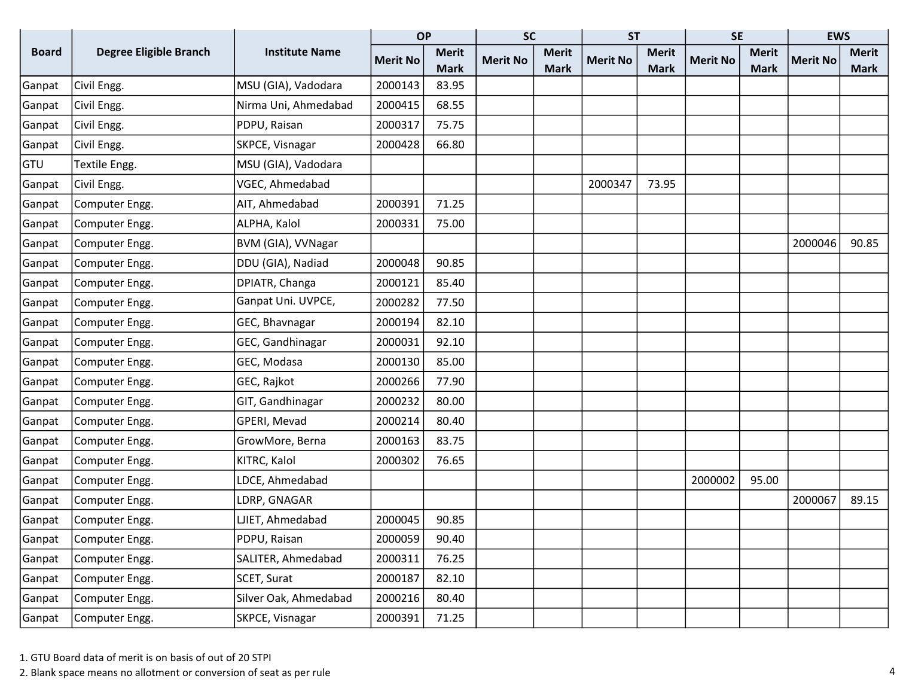|              |                               |                       | <b>OP</b>       |              | <b>SC</b>       |              | <b>ST</b>       |              | <b>SE</b>       |              | <b>EWS</b>      |              |
|--------------|-------------------------------|-----------------------|-----------------|--------------|-----------------|--------------|-----------------|--------------|-----------------|--------------|-----------------|--------------|
| <b>Board</b> | <b>Degree Eligible Branch</b> | <b>Institute Name</b> | <b>Merit No</b> | <b>Merit</b> | <b>Merit No</b> | <b>Merit</b> | <b>Merit No</b> | <b>Merit</b> | <b>Merit No</b> | <b>Merit</b> | <b>Merit No</b> | <b>Merit</b> |
|              |                               |                       |                 | <b>Mark</b>  |                 | <b>Mark</b>  |                 | <b>Mark</b>  |                 | <b>Mark</b>  |                 | <b>Mark</b>  |
| Ganpat       | Civil Engg.                   | MSU (GIA), Vadodara   | 2000143         | 83.95        |                 |              |                 |              |                 |              |                 |              |
| Ganpat       | Civil Engg.                   | Nirma Uni, Ahmedabad  | 2000415         | 68.55        |                 |              |                 |              |                 |              |                 |              |
| Ganpat       | Civil Engg.                   | PDPU, Raisan          | 2000317         | 75.75        |                 |              |                 |              |                 |              |                 |              |
| Ganpat       | Civil Engg.                   | SKPCE, Visnagar       | 2000428         | 66.80        |                 |              |                 |              |                 |              |                 |              |
| GTU          | Textile Engg.                 | MSU (GIA), Vadodara   |                 |              |                 |              |                 |              |                 |              |                 |              |
| Ganpat       | Civil Engg.                   | VGEC, Ahmedabad       |                 |              |                 |              | 2000347         | 73.95        |                 |              |                 |              |
| Ganpat       | Computer Engg.                | AIT, Ahmedabad        | 2000391         | 71.25        |                 |              |                 |              |                 |              |                 |              |
| Ganpat       | Computer Engg.                | ALPHA, Kalol          | 2000331         | 75.00        |                 |              |                 |              |                 |              |                 |              |
| Ganpat       | Computer Engg.                | BVM (GIA), VVNagar    |                 |              |                 |              |                 |              |                 |              | 2000046         | 90.85        |
| Ganpat       | Computer Engg.                | DDU (GIA), Nadiad     | 2000048         | 90.85        |                 |              |                 |              |                 |              |                 |              |
| Ganpat       | Computer Engg.                | DPIATR, Changa        | 2000121         | 85.40        |                 |              |                 |              |                 |              |                 |              |
| Ganpat       | Computer Engg.                | Ganpat Uni. UVPCE,    | 2000282         | 77.50        |                 |              |                 |              |                 |              |                 |              |
| Ganpat       | Computer Engg.                | GEC, Bhavnagar        | 2000194         | 82.10        |                 |              |                 |              |                 |              |                 |              |
| Ganpat       | Computer Engg.                | GEC, Gandhinagar      | 2000031         | 92.10        |                 |              |                 |              |                 |              |                 |              |
| Ganpat       | Computer Engg.                | GEC, Modasa           | 2000130         | 85.00        |                 |              |                 |              |                 |              |                 |              |
| Ganpat       | Computer Engg.                | GEC, Rajkot           | 2000266         | 77.90        |                 |              |                 |              |                 |              |                 |              |
| Ganpat       | Computer Engg.                | GIT, Gandhinagar      | 2000232         | 80.00        |                 |              |                 |              |                 |              |                 |              |
| Ganpat       | Computer Engg.                | GPERI, Mevad          | 2000214         | 80.40        |                 |              |                 |              |                 |              |                 |              |
| Ganpat       | Computer Engg.                | GrowMore, Berna       | 2000163         | 83.75        |                 |              |                 |              |                 |              |                 |              |
| Ganpat       | Computer Engg.                | KITRC, Kalol          | 2000302         | 76.65        |                 |              |                 |              |                 |              |                 |              |
| Ganpat       | Computer Engg.                | LDCE, Ahmedabad       |                 |              |                 |              |                 |              | 2000002         | 95.00        |                 |              |
| Ganpat       | Computer Engg.                | LDRP, GNAGAR          |                 |              |                 |              |                 |              |                 |              | 2000067         | 89.15        |
| Ganpat       | Computer Engg.                | LJIET, Ahmedabad      | 2000045         | 90.85        |                 |              |                 |              |                 |              |                 |              |
| Ganpat       | Computer Engg.                | PDPU, Raisan          | 2000059         | 90.40        |                 |              |                 |              |                 |              |                 |              |
| Ganpat       | Computer Engg.                | SALITER, Ahmedabad    | 2000311         | 76.25        |                 |              |                 |              |                 |              |                 |              |
| Ganpat       | Computer Engg.                | SCET, Surat           | 2000187         | 82.10        |                 |              |                 |              |                 |              |                 |              |
| Ganpat       | Computer Engg.                | Silver Oak, Ahmedabad | 2000216         | 80.40        |                 |              |                 |              |                 |              |                 |              |
| Ganpat       | Computer Engg.                | SKPCE, Visnagar       | 2000391         | 71.25        |                 |              |                 |              |                 |              |                 |              |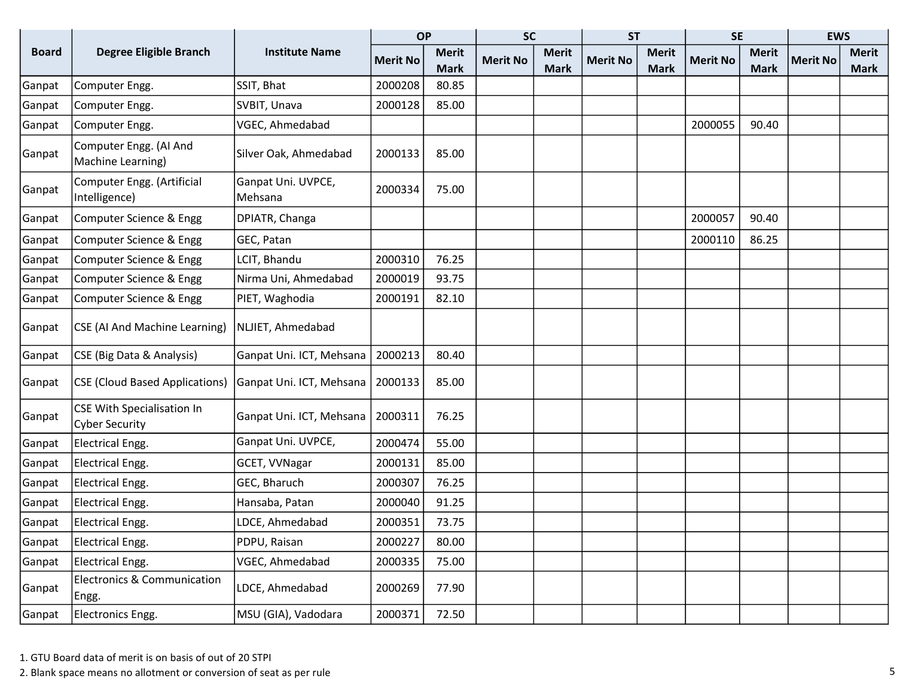|              |                                                            |                               | <b>OP</b>       |              | <b>SC</b>       |              | <b>ST</b>       |              | <b>SE</b>       |              | <b>EWS</b>      |              |
|--------------|------------------------------------------------------------|-------------------------------|-----------------|--------------|-----------------|--------------|-----------------|--------------|-----------------|--------------|-----------------|--------------|
| <b>Board</b> | <b>Degree Eligible Branch</b>                              | <b>Institute Name</b>         | <b>Merit No</b> | <b>Merit</b> | <b>Merit No</b> | <b>Merit</b> | <b>Merit No</b> | <b>Merit</b> | <b>Merit No</b> | <b>Merit</b> | <b>Merit No</b> | <b>Merit</b> |
|              |                                                            |                               |                 | <b>Mark</b>  |                 | <b>Mark</b>  |                 | <b>Mark</b>  |                 | <b>Mark</b>  |                 | <b>Mark</b>  |
| Ganpat       | Computer Engg.                                             | SSIT, Bhat                    | 2000208         | 80.85        |                 |              |                 |              |                 |              |                 |              |
| Ganpat       | Computer Engg.                                             | SVBIT, Unava                  | 2000128         | 85.00        |                 |              |                 |              |                 |              |                 |              |
| Ganpat       | Computer Engg.                                             | VGEC, Ahmedabad               |                 |              |                 |              |                 |              | 2000055         | 90.40        |                 |              |
| Ganpat       | Computer Engg. (AI And<br>Machine Learning)                | Silver Oak, Ahmedabad         | 2000133         | 85.00        |                 |              |                 |              |                 |              |                 |              |
| Ganpat       | Computer Engg. (Artificial<br>Intelligence)                | Ganpat Uni. UVPCE,<br>Mehsana | 2000334         | 75.00        |                 |              |                 |              |                 |              |                 |              |
| Ganpat       | Computer Science & Engg                                    | DPIATR, Changa                |                 |              |                 |              |                 |              | 2000057         | 90.40        |                 |              |
| Ganpat       | Computer Science & Engg                                    | GEC, Patan                    |                 |              |                 |              |                 |              | 2000110         | 86.25        |                 |              |
| Ganpat       | Computer Science & Engg                                    | LCIT, Bhandu                  | 2000310         | 76.25        |                 |              |                 |              |                 |              |                 |              |
| Ganpat       | Computer Science & Engg                                    | Nirma Uni, Ahmedabad          | 2000019         | 93.75        |                 |              |                 |              |                 |              |                 |              |
| Ganpat       | Computer Science & Engg                                    | PIET, Waghodia                | 2000191         | 82.10        |                 |              |                 |              |                 |              |                 |              |
| Ganpat       | CSE (AI And Machine Learning)                              | NLJIET, Ahmedabad             |                 |              |                 |              |                 |              |                 |              |                 |              |
| Ganpat       | CSE (Big Data & Analysis)                                  | Ganpat Uni. ICT, Mehsana      | 2000213         | 80.40        |                 |              |                 |              |                 |              |                 |              |
| Ganpat       | <b>CSE (Cloud Based Applications)</b>                      | Ganpat Uni. ICT, Mehsana      | 2000133         | 85.00        |                 |              |                 |              |                 |              |                 |              |
| Ganpat       | <b>CSE With Specialisation In</b><br><b>Cyber Security</b> | Ganpat Uni. ICT, Mehsana      | 2000311         | 76.25        |                 |              |                 |              |                 |              |                 |              |
| Ganpat       | <b>Electrical Engg.</b>                                    | Ganpat Uni. UVPCE,            | 2000474         | 55.00        |                 |              |                 |              |                 |              |                 |              |
| Ganpat       | <b>Electrical Engg.</b>                                    | GCET, VVNagar                 | 2000131         | 85.00        |                 |              |                 |              |                 |              |                 |              |
| Ganpat       | <b>Electrical Engg.</b>                                    | GEC, Bharuch                  | 2000307         | 76.25        |                 |              |                 |              |                 |              |                 |              |
| Ganpat       | <b>Electrical Engg.</b>                                    | Hansaba, Patan                | 2000040         | 91.25        |                 |              |                 |              |                 |              |                 |              |
| Ganpat       | <b>Electrical Engg.</b>                                    | LDCE, Ahmedabad               | 2000351         | 73.75        |                 |              |                 |              |                 |              |                 |              |
| Ganpat       | <b>Electrical Engg.</b>                                    | PDPU, Raisan                  | 2000227         | 80.00        |                 |              |                 |              |                 |              |                 |              |
| Ganpat       | <b>Electrical Engg.</b>                                    | VGEC, Ahmedabad               | 2000335         | 75.00        |                 |              |                 |              |                 |              |                 |              |
| Ganpat       | <b>Electronics &amp; Communication</b><br>Engg.            | LDCE, Ahmedabad               | 2000269         | 77.90        |                 |              |                 |              |                 |              |                 |              |
| Ganpat       | Electronics Engg.                                          | MSU (GIA), Vadodara           | 2000371         | 72.50        |                 |              |                 |              |                 |              |                 |              |

2. Blank space means no allotment or conversion of seat as per rule 5 and 3 and 3 and 3 and 3 and 3 and 3 and 3 and 3 and 3 and 3 and 3 and 3 and 3 and 3 and 3 and 3 and 3 and 3 and 3 and 3 and 3 and 3 and 3 and 3 and 3 an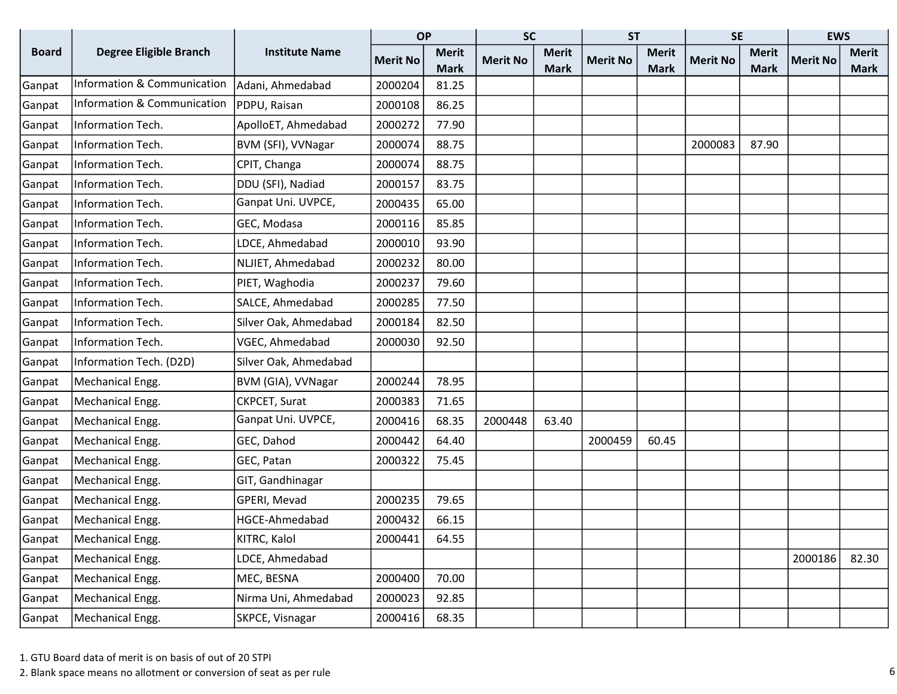|              |                                        |                       | <b>OP</b>       |              | <b>SC</b>       |              | <b>ST</b>       |              | <b>SE</b>       |              | <b>EWS</b>      |              |
|--------------|----------------------------------------|-----------------------|-----------------|--------------|-----------------|--------------|-----------------|--------------|-----------------|--------------|-----------------|--------------|
| <b>Board</b> | <b>Degree Eligible Branch</b>          | <b>Institute Name</b> | <b>Merit No</b> | <b>Merit</b> | <b>Merit No</b> | <b>Merit</b> | <b>Merit No</b> | <b>Merit</b> | <b>Merit No</b> | <b>Merit</b> | <b>Merit No</b> | <b>Merit</b> |
|              |                                        |                       |                 | <b>Mark</b>  |                 | <b>Mark</b>  |                 | <b>Mark</b>  |                 | <b>Mark</b>  |                 | <b>Mark</b>  |
| Ganpat       | <b>Information &amp; Communication</b> | Adani, Ahmedabad      | 2000204         | 81.25        |                 |              |                 |              |                 |              |                 |              |
| Ganpat       | Information & Communication            | PDPU, Raisan          | 2000108         | 86.25        |                 |              |                 |              |                 |              |                 |              |
| Ganpat       | Information Tech.                      | ApolloET, Ahmedabad   | 2000272         | 77.90        |                 |              |                 |              |                 |              |                 |              |
| Ganpat       | Information Tech.                      | BVM (SFI), VVNagar    | 2000074         | 88.75        |                 |              |                 |              | 2000083         | 87.90        |                 |              |
| Ganpat       | Information Tech.                      | CPIT, Changa          | 2000074         | 88.75        |                 |              |                 |              |                 |              |                 |              |
| Ganpat       | Information Tech.                      | DDU (SFI), Nadiad     | 2000157         | 83.75        |                 |              |                 |              |                 |              |                 |              |
| Ganpat       | Information Tech.                      | Ganpat Uni. UVPCE,    | 2000435         | 65.00        |                 |              |                 |              |                 |              |                 |              |
| Ganpat       | Information Tech.                      | GEC, Modasa           | 2000116         | 85.85        |                 |              |                 |              |                 |              |                 |              |
| Ganpat       | Information Tech.                      | LDCE, Ahmedabad       | 2000010         | 93.90        |                 |              |                 |              |                 |              |                 |              |
| Ganpat       | Information Tech.                      | NLJIET, Ahmedabad     | 2000232         | 80.00        |                 |              |                 |              |                 |              |                 |              |
| Ganpat       | Information Tech.                      | PIET, Waghodia        | 2000237         | 79.60        |                 |              |                 |              |                 |              |                 |              |
| Ganpat       | Information Tech.                      | SALCE, Ahmedabad      | 2000285         | 77.50        |                 |              |                 |              |                 |              |                 |              |
| Ganpat       | Information Tech.                      | Silver Oak, Ahmedabad | 2000184         | 82.50        |                 |              |                 |              |                 |              |                 |              |
| Ganpat       | Information Tech.                      | VGEC, Ahmedabad       | 2000030         | 92.50        |                 |              |                 |              |                 |              |                 |              |
| Ganpat       | Information Tech. (D2D)                | Silver Oak, Ahmedabad |                 |              |                 |              |                 |              |                 |              |                 |              |
| Ganpat       | Mechanical Engg.                       | BVM (GIA), VVNagar    | 2000244         | 78.95        |                 |              |                 |              |                 |              |                 |              |
| Ganpat       | Mechanical Engg.                       | CKPCET, Surat         | 2000383         | 71.65        |                 |              |                 |              |                 |              |                 |              |
| Ganpat       | Mechanical Engg.                       | Ganpat Uni. UVPCE,    | 2000416         | 68.35        | 2000448         | 63.40        |                 |              |                 |              |                 |              |
| Ganpat       | Mechanical Engg.                       | GEC, Dahod            | 2000442         | 64.40        |                 |              | 2000459         | 60.45        |                 |              |                 |              |
| Ganpat       | Mechanical Engg.                       | GEC, Patan            | 2000322         | 75.45        |                 |              |                 |              |                 |              |                 |              |
| Ganpat       | Mechanical Engg.                       | GIT, Gandhinagar      |                 |              |                 |              |                 |              |                 |              |                 |              |
| Ganpat       | Mechanical Engg.                       | GPERI, Mevad          | 2000235         | 79.65        |                 |              |                 |              |                 |              |                 |              |
| Ganpat       | Mechanical Engg.                       | HGCE-Ahmedabad        | 2000432         | 66.15        |                 |              |                 |              |                 |              |                 |              |
| Ganpat       | Mechanical Engg.                       | KITRC, Kalol          | 2000441         | 64.55        |                 |              |                 |              |                 |              |                 |              |
| Ganpat       | Mechanical Engg.                       | LDCE, Ahmedabad       |                 |              |                 |              |                 |              |                 |              | 2000186         | 82.30        |
| Ganpat       | Mechanical Engg.                       | MEC, BESNA            | 2000400         | 70.00        |                 |              |                 |              |                 |              |                 |              |
| Ganpat       | Mechanical Engg.                       | Nirma Uni, Ahmedabad  | 2000023         | 92.85        |                 |              |                 |              |                 |              |                 |              |
| Ganpat       | Mechanical Engg.                       | SKPCE, Visnagar       | 2000416         | 68.35        |                 |              |                 |              |                 |              |                 |              |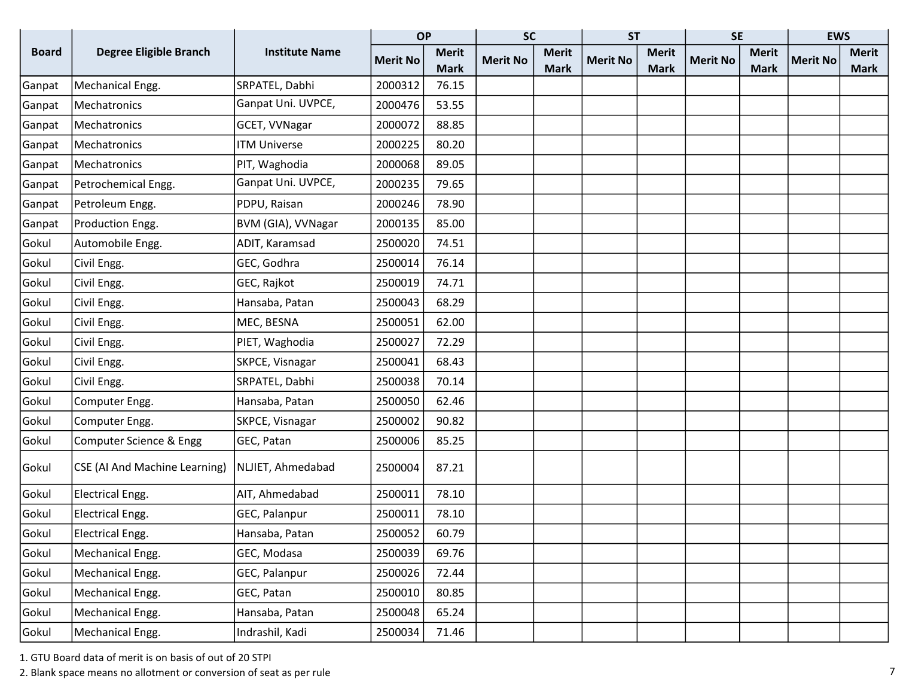|              |                               |                       | <b>OP</b>       |              | <b>SC</b>       |              | <b>ST</b>       |              | <b>SE</b>       |              | <b>EWS</b>      |              |
|--------------|-------------------------------|-----------------------|-----------------|--------------|-----------------|--------------|-----------------|--------------|-----------------|--------------|-----------------|--------------|
| <b>Board</b> | <b>Degree Eligible Branch</b> | <b>Institute Name</b> | <b>Merit No</b> | <b>Merit</b> | <b>Merit No</b> | <b>Merit</b> | <b>Merit No</b> | <b>Merit</b> | <b>Merit No</b> | <b>Merit</b> | <b>Merit No</b> | <b>Merit</b> |
|              |                               |                       |                 | <b>Mark</b>  |                 | <b>Mark</b>  |                 | <b>Mark</b>  |                 | <b>Mark</b>  |                 | <b>Mark</b>  |
| Ganpat       | Mechanical Engg.              | SRPATEL, Dabhi        | 2000312         | 76.15        |                 |              |                 |              |                 |              |                 |              |
| Ganpat       | Mechatronics                  | Ganpat Uni. UVPCE,    | 2000476         | 53.55        |                 |              |                 |              |                 |              |                 |              |
| Ganpat       | Mechatronics                  | GCET, VVNagar         | 2000072         | 88.85        |                 |              |                 |              |                 |              |                 |              |
| Ganpat       | Mechatronics                  | <b>ITM Universe</b>   | 2000225         | 80.20        |                 |              |                 |              |                 |              |                 |              |
| Ganpat       | Mechatronics                  | PIT, Waghodia         | 2000068         | 89.05        |                 |              |                 |              |                 |              |                 |              |
| Ganpat       | Petrochemical Engg.           | Ganpat Uni. UVPCE,    | 2000235         | 79.65        |                 |              |                 |              |                 |              |                 |              |
| Ganpat       | Petroleum Engg.               | PDPU, Raisan          | 2000246         | 78.90        |                 |              |                 |              |                 |              |                 |              |
| Ganpat       | Production Engg.              | BVM (GIA), VVNagar    | 2000135         | 85.00        |                 |              |                 |              |                 |              |                 |              |
| Gokul        | Automobile Engg.              | ADIT, Karamsad        | 2500020         | 74.51        |                 |              |                 |              |                 |              |                 |              |
| Gokul        | Civil Engg.                   | GEC, Godhra           | 2500014         | 76.14        |                 |              |                 |              |                 |              |                 |              |
| Gokul        | Civil Engg.                   | GEC, Rajkot           | 2500019         | 74.71        |                 |              |                 |              |                 |              |                 |              |
| Gokul        | Civil Engg.                   | Hansaba, Patan        | 2500043         | 68.29        |                 |              |                 |              |                 |              |                 |              |
| Gokul        | Civil Engg.                   | MEC, BESNA            | 2500051         | 62.00        |                 |              |                 |              |                 |              |                 |              |
| Gokul        | Civil Engg.                   | PIET, Waghodia        | 2500027         | 72.29        |                 |              |                 |              |                 |              |                 |              |
| Gokul        | Civil Engg.                   | SKPCE, Visnagar       | 2500041         | 68.43        |                 |              |                 |              |                 |              |                 |              |
| Gokul        | Civil Engg.                   | SRPATEL, Dabhi        | 2500038         | 70.14        |                 |              |                 |              |                 |              |                 |              |
| Gokul        | Computer Engg.                | Hansaba, Patan        | 2500050         | 62.46        |                 |              |                 |              |                 |              |                 |              |
| Gokul        | Computer Engg.                | SKPCE, Visnagar       | 2500002         | 90.82        |                 |              |                 |              |                 |              |                 |              |
| Gokul        | Computer Science & Engg       | GEC, Patan            | 2500006         | 85.25        |                 |              |                 |              |                 |              |                 |              |
| Gokul        | CSE (AI And Machine Learning) | NLJIET, Ahmedabad     | 2500004         | 87.21        |                 |              |                 |              |                 |              |                 |              |
| Gokul        | Electrical Engg.              | AIT, Ahmedabad        | 2500011         | 78.10        |                 |              |                 |              |                 |              |                 |              |
| Gokul        | <b>Electrical Engg.</b>       | GEC, Palanpur         | 2500011         | 78.10        |                 |              |                 |              |                 |              |                 |              |
| Gokul        | Electrical Engg.              | Hansaba, Patan        | 2500052         | 60.79        |                 |              |                 |              |                 |              |                 |              |
| Gokul        | Mechanical Engg.              | GEC, Modasa           | 2500039         | 69.76        |                 |              |                 |              |                 |              |                 |              |
| Gokul        | Mechanical Engg.              | GEC, Palanpur         | 2500026         | 72.44        |                 |              |                 |              |                 |              |                 |              |
| Gokul        | Mechanical Engg.              | GEC, Patan            | 2500010         | 80.85        |                 |              |                 |              |                 |              |                 |              |
| Gokul        | Mechanical Engg.              | Hansaba, Patan        | 2500048         | 65.24        |                 |              |                 |              |                 |              |                 |              |
| Gokul        | Mechanical Engg.              | Indrashil, Kadi       | 2500034         | 71.46        |                 |              |                 |              |                 |              |                 |              |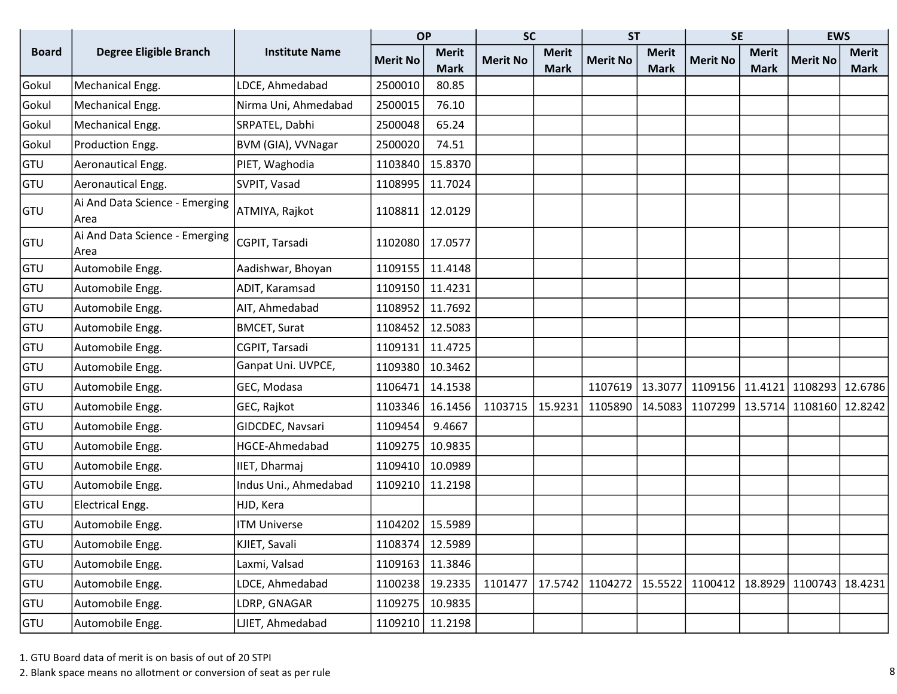|              |                                        |                       | <b>OP</b>       |              | <b>SC</b>       |              | <b>ST</b>       |              | <b>SE</b>         |              | <b>EWS</b>      |              |
|--------------|----------------------------------------|-----------------------|-----------------|--------------|-----------------|--------------|-----------------|--------------|-------------------|--------------|-----------------|--------------|
| <b>Board</b> | <b>Degree Eligible Branch</b>          | <b>Institute Name</b> | <b>Merit No</b> | <b>Merit</b> | <b>Merit No</b> | <b>Merit</b> | <b>Merit No</b> | <b>Merit</b> | <b>Merit No</b>   | <b>Merit</b> | <b>Merit No</b> | <b>Merit</b> |
|              |                                        |                       |                 | <b>Mark</b>  |                 | <b>Mark</b>  |                 | <b>Mark</b>  |                   | <b>Mark</b>  |                 | Mark         |
| Gokul        | Mechanical Engg.                       | LDCE, Ahmedabad       | 2500010         | 80.85        |                 |              |                 |              |                   |              |                 |              |
| Gokul        | Mechanical Engg.                       | Nirma Uni, Ahmedabad  | 2500015         | 76.10        |                 |              |                 |              |                   |              |                 |              |
| Gokul        | Mechanical Engg.                       | SRPATEL, Dabhi        | 2500048         | 65.24        |                 |              |                 |              |                   |              |                 |              |
| Gokul        | Production Engg.                       | BVM (GIA), VVNagar    | 2500020         | 74.51        |                 |              |                 |              |                   |              |                 |              |
| GTU          | Aeronautical Engg.                     | PIET, Waghodia        | 1103840         | 15.8370      |                 |              |                 |              |                   |              |                 |              |
| GTU          | Aeronautical Engg.                     | SVPIT, Vasad          | 1108995         | 11.7024      |                 |              |                 |              |                   |              |                 |              |
| GTU          | Ai And Data Science - Emerging<br>Area | ATMIYA, Rajkot        | 1108811         | 12.0129      |                 |              |                 |              |                   |              |                 |              |
| GTU          | Ai And Data Science - Emerging<br>Area | CGPIT, Tarsadi        | 1102080         | 17.0577      |                 |              |                 |              |                   |              |                 |              |
| GTU          | Automobile Engg.                       | Aadishwar, Bhoyan     | 1109155         | 11.4148      |                 |              |                 |              |                   |              |                 |              |
| GTU          | Automobile Engg.                       | ADIT, Karamsad        | 1109150         | 11.4231      |                 |              |                 |              |                   |              |                 |              |
| GTU          | Automobile Engg.                       | AIT, Ahmedabad        | 1108952         | 11.7692      |                 |              |                 |              |                   |              |                 |              |
| GTU          | Automobile Engg.                       | <b>BMCET, Surat</b>   | 1108452         | 12.5083      |                 |              |                 |              |                   |              |                 |              |
| GTU          | Automobile Engg.                       | CGPIT, Tarsadi        | 1109131         | 11.4725      |                 |              |                 |              |                   |              |                 |              |
| GTU          | Automobile Engg.                       | Ganpat Uni. UVPCE,    | 1109380         | 10.3462      |                 |              |                 |              |                   |              |                 |              |
| GTU          | Automobile Engg.                       | GEC, Modasa           | 1106471         | 14.1538      |                 |              | 1107619         | 13.3077      | 1109156   11.4121 |              | 1108293         | 12.6786      |
| GTU          | Automobile Engg.                       | GEC, Rajkot           | 1103346         | 16.1456      | 1103715         | 15.9231      | 1105890         | 14.5083      | 1107299   13.5714 |              | 1108160 12.8242 |              |
| GTU          | Automobile Engg.                       | GIDCDEC, Navsari      | 1109454         | 9.4667       |                 |              |                 |              |                   |              |                 |              |
| GTU          | Automobile Engg.                       | HGCE-Ahmedabad        | 1109275         | 10.9835      |                 |              |                 |              |                   |              |                 |              |
| GTU          | Automobile Engg.                       | IIET, Dharmaj         | 1109410         | 10.0989      |                 |              |                 |              |                   |              |                 |              |
| GTU          | Automobile Engg.                       | Indus Uni., Ahmedabad | 1109210         | 11.2198      |                 |              |                 |              |                   |              |                 |              |
| GTU          | Electrical Engg.                       | HJD, Kera             |                 |              |                 |              |                 |              |                   |              |                 |              |
| GTU          | Automobile Engg.                       | <b>ITM Universe</b>   | 1104202         | 15.5989      |                 |              |                 |              |                   |              |                 |              |
| GTU          | Automobile Engg.                       | KJIET, Savali         | 1108374         | 12.5989      |                 |              |                 |              |                   |              |                 |              |
| GTU          | Automobile Engg.                       | Laxmi, Valsad         | 1109163         | 11.3846      |                 |              |                 |              |                   |              |                 |              |
| GTU          | Automobile Engg.                       | LDCE, Ahmedabad       | 1100238         | 19.2335      | 1101477         | 17.5742      | 1104272         | 15.5522      | 1100412           | 18.8929      | 1100743         | 18.4231      |
| GTU          | Automobile Engg.                       | LDRP, GNAGAR          | 1109275         | 10.9835      |                 |              |                 |              |                   |              |                 |              |
| GTU          | Automobile Engg.                       | LJIET, Ahmedabad      | 1109210         | 11.2198      |                 |              |                 |              |                   |              |                 |              |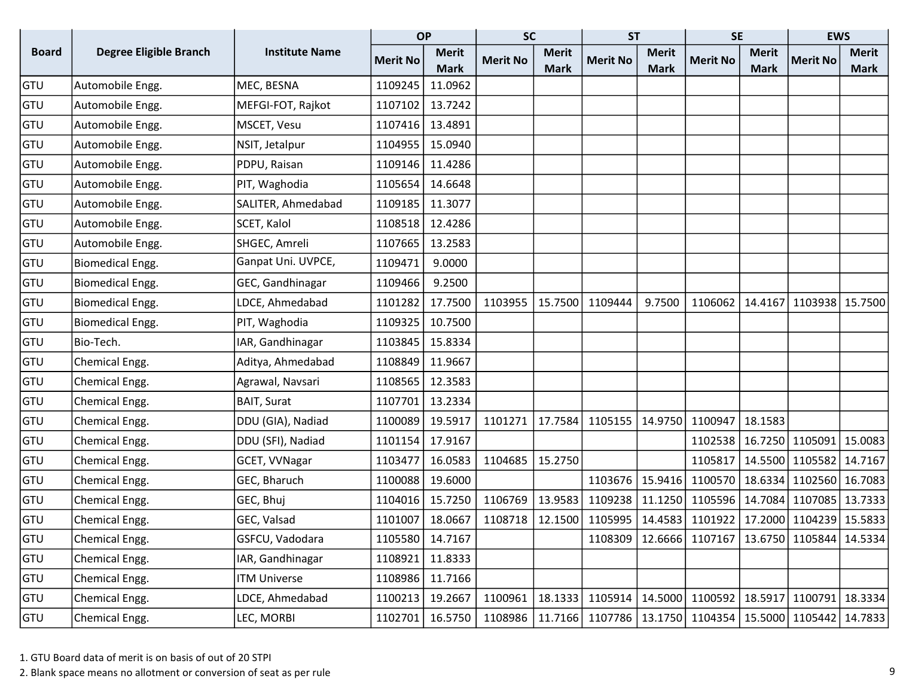|              |                               |                       | <b>OP</b>       |              | <b>SC</b>       |              | <b>ST</b>       |              | <b>SE</b>                                                 |              | <b>EWS</b>                            |              |
|--------------|-------------------------------|-----------------------|-----------------|--------------|-----------------|--------------|-----------------|--------------|-----------------------------------------------------------|--------------|---------------------------------------|--------------|
| <b>Board</b> | <b>Degree Eligible Branch</b> | <b>Institute Name</b> | <b>Merit No</b> | <b>Merit</b> | <b>Merit No</b> | <b>Merit</b> | <b>Merit No</b> | <b>Merit</b> | <b>Merit No</b>                                           | <b>Merit</b> | <b>Merit No</b>                       | <b>Merit</b> |
|              |                               |                       |                 | <b>Mark</b>  |                 | <b>Mark</b>  |                 | <b>Mark</b>  |                                                           | <b>Mark</b>  |                                       | <b>Mark</b>  |
| GTU          | Automobile Engg.              | MEC, BESNA            | 1109245         | 11.0962      |                 |              |                 |              |                                                           |              |                                       |              |
| GTU          | Automobile Engg.              | MEFGI-FOT, Rajkot     | 1107102         | 13.7242      |                 |              |                 |              |                                                           |              |                                       |              |
| GTU          | Automobile Engg.              | MSCET, Vesu           | 1107416         | 13.4891      |                 |              |                 |              |                                                           |              |                                       |              |
| <b>GTU</b>   | Automobile Engg.              | NSIT, Jetalpur        | 1104955         | 15.0940      |                 |              |                 |              |                                                           |              |                                       |              |
| <b>GTU</b>   | Automobile Engg.              | PDPU, Raisan          | 1109146         | 11.4286      |                 |              |                 |              |                                                           |              |                                       |              |
| GTU          | Automobile Engg.              | PIT, Waghodia         | 1105654         | 14.6648      |                 |              |                 |              |                                                           |              |                                       |              |
| GTU          | Automobile Engg.              | SALITER, Ahmedabad    | 1109185         | 11.3077      |                 |              |                 |              |                                                           |              |                                       |              |
| GTU          | Automobile Engg.              | SCET, Kalol           | 1108518         | 12.4286      |                 |              |                 |              |                                                           |              |                                       |              |
| <b>GTU</b>   | Automobile Engg.              | SHGEC, Amreli         | 1107665         | 13.2583      |                 |              |                 |              |                                                           |              |                                       |              |
| GTU          | <b>Biomedical Engg.</b>       | Ganpat Uni. UVPCE,    | 1109471         | 9.0000       |                 |              |                 |              |                                                           |              |                                       |              |
| GTU          | <b>Biomedical Engg.</b>       | GEC, Gandhinagar      | 1109466         | 9.2500       |                 |              |                 |              |                                                           |              |                                       |              |
| GTU          | <b>Biomedical Engg.</b>       | LDCE, Ahmedabad       | 1101282         | 17.7500      | 1103955         | 15.7500      | 1109444         | 9.7500       | 1106062                                                   | 14.4167      | 1103938 15.7500                       |              |
| GTU          | <b>Biomedical Engg.</b>       | PIT, Waghodia         | 1109325         | 10.7500      |                 |              |                 |              |                                                           |              |                                       |              |
| <b>GTU</b>   | Bio-Tech.                     | IAR, Gandhinagar      | 1103845         | 15.8334      |                 |              |                 |              |                                                           |              |                                       |              |
| <b>GTU</b>   | Chemical Engg.                | Aditya, Ahmedabad     | 1108849         | 11.9667      |                 |              |                 |              |                                                           |              |                                       |              |
| <b>GTU</b>   | Chemical Engg.                | Agrawal, Navsari      | 1108565         | 12.3583      |                 |              |                 |              |                                                           |              |                                       |              |
| GTU          | Chemical Engg.                | <b>BAIT, Surat</b>    | 1107701         | 13.2334      |                 |              |                 |              |                                                           |              |                                       |              |
| GTU          | Chemical Engg.                | DDU (GIA), Nadiad     | 1100089         | 19.5917      | 1101271         | 17.7584      | 1105155         | 14.9750      | 1100947                                                   | 18.1583      |                                       |              |
| <b>GTU</b>   | Chemical Engg.                | DDU (SFI), Nadiad     | 1101154         | 17.9167      |                 |              |                 |              | 1102538                                                   | 16.7250      | 1105091                               | 15.0083      |
| GTU          | Chemical Engg.                | GCET, VVNagar         | 1103477         | 16.0583      | 1104685         | 15.2750      |                 |              | 1105817                                                   | 14.5500      | 1105582 14.7167                       |              |
| GTU          | Chemical Engg.                | GEC, Bharuch          | 1100088         | 19.6000      |                 |              | 1103676         | 15.9416      | 1100570                                                   | 18.6334      | 1102560                               | 16.7083      |
| <b>GTU</b>   | Chemical Engg.                | GEC, Bhuj             | 1104016         | 15.7250      | 1106769         | 13.9583      | 1109238         | 11.1250      | 1105596   14.7084                                         |              | 1107085 13.7333                       |              |
| GTU          | Chemical Engg.                | GEC, Valsad           | 1101007         | 18.0667      | 1108718         | 12.1500      | 1105995         | 14.4583      |                                                           |              | 1101922   17.2000   1104239   15.5833 |              |
| GTU          | Chemical Engg.                | GSFCU, Vadodara       | 1105580         | 14.7167      |                 |              |                 |              | 1108309   12.6666   1107167   13.6750   1105844   14.5334 |              |                                       |              |
| <b>GTU</b>   | Chemical Engg.                | IAR, Gandhinagar      | 1108921         | 11.8333      |                 |              |                 |              |                                                           |              |                                       |              |
| <b>GTU</b>   | Chemical Engg.                | <b>ITM Universe</b>   | 1108986         | 11.7166      |                 |              |                 |              |                                                           |              |                                       |              |
| <b>GTU</b>   | Chemical Engg.                | LDCE, Ahmedabad       | 1100213         | 19.2667      | 1100961         | 18.1333      | 1105914         |              | 14.5000 1100592   18.5917                                 |              | 1100791 18.3334                       |              |
| GTU          | Chemical Engg.                | LEC, MORBI            | 1102701         | 16.5750      | 1108986         |              | 11.7166 1107786 |              | 13.1750 1104354 15.5000 1105442 14.7833                   |              |                                       |              |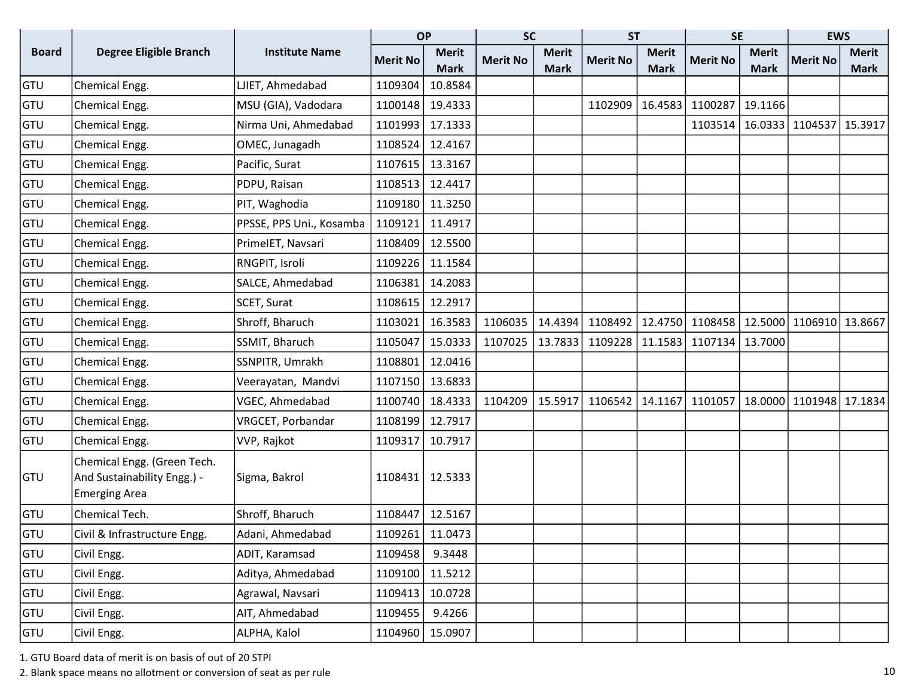|              |                                                                                    |                          | <b>OP</b>       |              | <b>SC</b>       |              | <b>ST</b>       |              | <b>SE</b>       |              | <b>EWS</b>              |              |
|--------------|------------------------------------------------------------------------------------|--------------------------|-----------------|--------------|-----------------|--------------|-----------------|--------------|-----------------|--------------|-------------------------|--------------|
| <b>Board</b> | <b>Degree Eligible Branch</b>                                                      | <b>Institute Name</b>    | <b>Merit No</b> | <b>Merit</b> | <b>Merit No</b> | <b>Merit</b> | <b>Merit No</b> | <b>Merit</b> | <b>Merit No</b> | <b>Merit</b> | <b>Merit No</b>         | <b>Merit</b> |
|              |                                                                                    |                          |                 | <b>Mark</b>  |                 | <b>Mark</b>  |                 | <b>Mark</b>  |                 | <b>Mark</b>  |                         | <b>Mark</b>  |
| GTU          | Chemical Engg.                                                                     | LJIET, Ahmedabad         | 1109304         | 10.8584      |                 |              |                 |              |                 |              |                         |              |
| GTU          | Chemical Engg.                                                                     | MSU (GIA), Vadodara      | 1100148         | 19.4333      |                 |              | 1102909         | 16.4583      | 1100287         | 19.1166      |                         |              |
| GTU          | Chemical Engg.                                                                     | Nirma Uni, Ahmedabad     | 1101993         | 17.1333      |                 |              |                 |              | 1103514         |              | 16.0333 1104537 15.3917 |              |
| GTU          | Chemical Engg.                                                                     | OMEC, Junagadh           | 1108524         | 12.4167      |                 |              |                 |              |                 |              |                         |              |
| GTU          | Chemical Engg.                                                                     | Pacific, Surat           | 1107615         | 13.3167      |                 |              |                 |              |                 |              |                         |              |
| GTU          | Chemical Engg.                                                                     | PDPU, Raisan             | 1108513         | 12.4417      |                 |              |                 |              |                 |              |                         |              |
| GTU          | Chemical Engg.                                                                     | PIT, Waghodia            | 1109180         | 11.3250      |                 |              |                 |              |                 |              |                         |              |
| GTU          | Chemical Engg.                                                                     | PPSSE, PPS Uni., Kosamba | 1109121         | 11.4917      |                 |              |                 |              |                 |              |                         |              |
| GTU          | Chemical Engg.                                                                     | PrimeIET, Navsari        | 1108409         | 12.5500      |                 |              |                 |              |                 |              |                         |              |
| GTU          | Chemical Engg.                                                                     | RNGPIT, Isroli           | 1109226         | 11.1584      |                 |              |                 |              |                 |              |                         |              |
| GTU          | Chemical Engg.                                                                     | SALCE, Ahmedabad         | 1106381         | 14.2083      |                 |              |                 |              |                 |              |                         |              |
| GTU          | Chemical Engg.                                                                     | SCET, Surat              | 1108615         | 12.2917      |                 |              |                 |              |                 |              |                         |              |
| GTU          | Chemical Engg.                                                                     | Shroff, Bharuch          | 1103021         | 16.3583      | 1106035         | 14.4394      | 1108492         | 12.4750      | 1108458         |              | 12.5000 1106910 13.8667 |              |
| GTU          | Chemical Engg.                                                                     | SSMIT, Bharuch           | 1105047         | 15.0333      | 1107025         | 13.7833      | 1109228         |              | 11.1583 1107134 | 13.7000      |                         |              |
| GTU          | Chemical Engg.                                                                     | SSNPITR, Umrakh          | 1108801         | 12.0416      |                 |              |                 |              |                 |              |                         |              |
| GTU          | Chemical Engg.                                                                     | Veerayatan, Mandvi       | 1107150         | 13.6833      |                 |              |                 |              |                 |              |                         |              |
| GTU          | Chemical Engg.                                                                     | VGEC, Ahmedabad          | 1100740         | 18.4333      | 1104209         | 15.5917      | 1106542         | 14.1167      | 1101057         |              | 18.0000 1101948 17.1834 |              |
| GTU          | Chemical Engg.                                                                     | VRGCET, Porbandar        | 1108199         | 12.7917      |                 |              |                 |              |                 |              |                         |              |
| GTU          | Chemical Engg.                                                                     | VVP, Rajkot              | 1109317         | 10.7917      |                 |              |                 |              |                 |              |                         |              |
| <b>GTU</b>   | Chemical Engg. (Green Tech.<br>And Sustainability Engg.) -<br><b>Emerging Area</b> | Sigma, Bakrol            | 1108431         | 12.5333      |                 |              |                 |              |                 |              |                         |              |
| GTU          | Chemical Tech.                                                                     | Shroff, Bharuch          | 1108447         | 12.5167      |                 |              |                 |              |                 |              |                         |              |
| GTU          | Civil & Infrastructure Engg.                                                       | Adani, Ahmedabad         | 1109261         | 11.0473      |                 |              |                 |              |                 |              |                         |              |
| GTU          | Civil Engg.                                                                        | ADIT, Karamsad           | 1109458         | 9.3448       |                 |              |                 |              |                 |              |                         |              |
| GTU          | Civil Engg.                                                                        | Aditya, Ahmedabad        | 1109100         | 11.5212      |                 |              |                 |              |                 |              |                         |              |
| <b>GTU</b>   | Civil Engg.                                                                        | Agrawal, Navsari         | 1109413         | 10.0728      |                 |              |                 |              |                 |              |                         |              |
| <b>GTU</b>   | Civil Engg.                                                                        | AIT, Ahmedabad           | 1109455         | 9.4266       |                 |              |                 |              |                 |              |                         |              |
| GTU          | Civil Engg.                                                                        | ALPHA, Kalol             | 1104960         | 15.0907      |                 |              |                 |              |                 |              |                         |              |

2. Blank space means no allotment or conversion of seat as per rule 10 and 10 and 10 and 10 and 10 and 10 and 10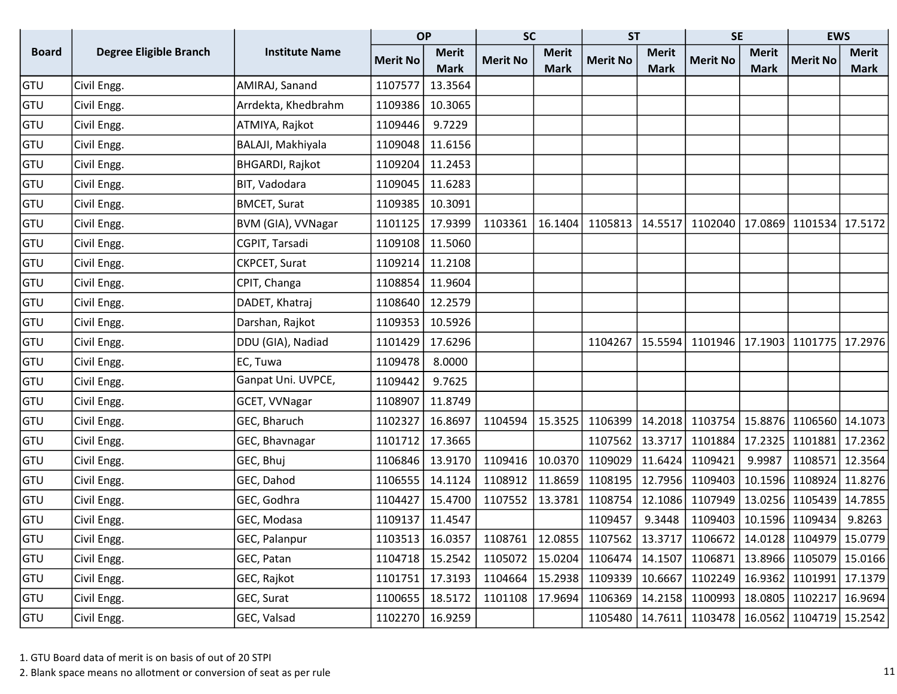|              |                               |                        | <b>OP</b>       |              | <b>SC</b>                                                                               |              | <b>ST</b>       |              | <b>SE</b>                                                 |              | <b>EWS</b>                            |              |
|--------------|-------------------------------|------------------------|-----------------|--------------|-----------------------------------------------------------------------------------------|--------------|-----------------|--------------|-----------------------------------------------------------|--------------|---------------------------------------|--------------|
| <b>Board</b> | <b>Degree Eligible Branch</b> | <b>Institute Name</b>  | <b>Merit No</b> | <b>Merit</b> | <b>Merit No</b>                                                                         | <b>Merit</b> | <b>Merit No</b> | <b>Merit</b> | <b>Merit No</b>                                           | <b>Merit</b> | <b>Merit No</b>                       | <b>Merit</b> |
|              |                               |                        |                 | <b>Mark</b>  |                                                                                         | <b>Mark</b>  |                 | <b>Mark</b>  |                                                           | <b>Mark</b>  |                                       | <b>Mark</b>  |
| GTU          | Civil Engg.                   | AMIRAJ, Sanand         | 1107577         | 13.3564      |                                                                                         |              |                 |              |                                                           |              |                                       |              |
| GTU          | Civil Engg.                   | Arrdekta, Khedbrahm    | 1109386         | 10.3065      |                                                                                         |              |                 |              |                                                           |              |                                       |              |
| GTU          | Civil Engg.                   | ATMIYA, Rajkot         | 1109446         | 9.7229       |                                                                                         |              |                 |              |                                                           |              |                                       |              |
| GTU          | Civil Engg.                   | BALAJI, Makhiyala      | 1109048         | 11.6156      |                                                                                         |              |                 |              |                                                           |              |                                       |              |
| GTU          | Civil Engg.                   | <b>BHGARDI, Rajkot</b> | 1109204         | 11.2453      |                                                                                         |              |                 |              |                                                           |              |                                       |              |
| GTU          | Civil Engg.                   | BIT, Vadodara          | 1109045         | 11.6283      |                                                                                         |              |                 |              |                                                           |              |                                       |              |
| GTU          | Civil Engg.                   | <b>BMCET, Surat</b>    | 1109385         | 10.3091      |                                                                                         |              |                 |              |                                                           |              |                                       |              |
| GTU          | Civil Engg.                   | BVM (GIA), VVNagar     | 1101125         | 17.9399      | 1103361                                                                                 | 16.1404      | 1105813         | 14.5517      | 1102040   17.0869   1101534   17.5172                     |              |                                       |              |
| GTU          | Civil Engg.                   | CGPIT, Tarsadi         | 1109108         | 11.5060      |                                                                                         |              |                 |              |                                                           |              |                                       |              |
| GTU          | Civil Engg.                   | CKPCET, Surat          | 1109214         | 11.2108      |                                                                                         |              |                 |              |                                                           |              |                                       |              |
| GTU          | Civil Engg.                   | CPIT, Changa           | 1108854         | 11.9604      |                                                                                         |              |                 |              |                                                           |              |                                       |              |
| GTU          | Civil Engg.                   | DADET, Khatraj         | 1108640         | 12.2579      |                                                                                         |              |                 |              |                                                           |              |                                       |              |
| GTU          | Civil Engg.                   | Darshan, Rajkot        | 1109353         | 10.5926      |                                                                                         |              |                 |              |                                                           |              |                                       |              |
| GTU          | Civil Engg.                   | DDU (GIA), Nadiad      | 1101429         | 17.6296      |                                                                                         |              | 1104267         | 15.5594      |                                                           |              | 1101946   17.1903   1101775   17.2976 |              |
| GTU          | Civil Engg.                   | EC, Tuwa               | 1109478         | 8.0000       |                                                                                         |              |                 |              |                                                           |              |                                       |              |
| GTU          | Civil Engg.                   | Ganpat Uni. UVPCE,     | 1109442         | 9.7625       |                                                                                         |              |                 |              |                                                           |              |                                       |              |
| GTU          | Civil Engg.                   | GCET, VVNagar          | 1108907         | 11.8749      |                                                                                         |              |                 |              |                                                           |              |                                       |              |
| GTU          | Civil Engg.                   | GEC, Bharuch           | 1102327         | 16.8697      | 1104594                                                                                 | 15.3525      | 1106399         |              | 14.2018 1103754 15.8876 1106560 14.1073                   |              |                                       |              |
| GTU          | Civil Engg.                   | GEC, Bhavnagar         | 1101712         | 17.3665      |                                                                                         |              | 1107562         | 13.3717      | 1101884                                                   | 17.2325      | 1101881 17.2362                       |              |
| GTU          | Civil Engg.                   | GEC, Bhuj              | 1106846         | 13.9170      | 1109416                                                                                 | 10.0370      | 1109029         | 11.6424      | 1109421                                                   | 9.9987       | 1108571 12.3564                       |              |
| GTU          | Civil Engg.                   | GEC, Dahod             | 1106555         | 14.1124      | 1108912                                                                                 | 11.8659      | 1108195         | 12.7956      | 1109403                                                   | 10.1596      | 1108924 11.8276                       |              |
| GTU          | Civil Engg.                   | GEC, Godhra            | 1104427         | 15.4700      | 1107552                                                                                 | 13.3781      | 1108754         | 12.1086      | 1107949                                                   |              | 13.0256 1105439 14.7855               |              |
| GTU          | Civil Engg.                   | GEC, Modasa            | 1109137         | 11.4547      |                                                                                         |              | 1109457         | 9.3448       | 1109403   10.1596   1109434                               |              |                                       | 9.8263       |
| GTU          | Civil Engg.                   | GEC, Palanpur          | 1103513         |              | 16.0357   1108761   12.0855   1107562   13.3717   1106672   14.0128   1104979   15.0779 |              |                 |              |                                                           |              |                                       |              |
| GTU          | Civil Engg.                   | GEC, Patan             | 1104718         | 15.2542      | 1105072                                                                                 | 15.0204      |                 |              | 1106474   14.1507   1106871   13.8966   1105079   15.0166 |              |                                       |              |
| GTU          | Civil Engg.                   | GEC, Rajkot            | 1101751         | 17.3193      | 1104664                                                                                 | 15.2938      | 1109339         | 10.6667      |                                                           |              | 1102249   16.9362   1101991   17.1379 |              |
| GTU          | Civil Engg.                   | GEC, Surat             | 1100655         | 18.5172      | 1101108                                                                                 | 17.9694      | 1106369         | 14.2158      | 1100993   18.0805   1102217   16.9694                     |              |                                       |              |
| <b>GTU</b>   | Civil Engg.                   | GEC, Valsad            | 1102270         | 16.9259      |                                                                                         |              | 1105480         | 14.7611      |                                                           |              | 1103478   16.0562   1104719   15.2542 |              |

2. Blank space means no allotment or conversion of seat as per rule 11 and 20 years of seat as per rule 11 and 20 years of seat as per rule 11 and 20 years of seat as per rule 11 and 20 years of seat as per rule 11 and 20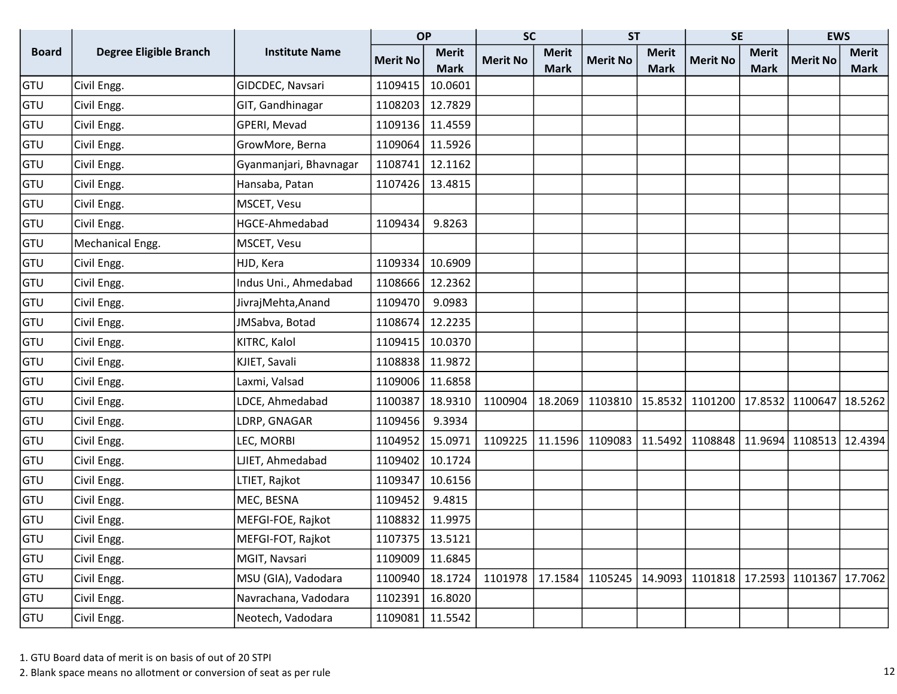|              |                               |                        | <b>OP</b>       |              | <b>SC</b>       |              | <b>ST</b>       |              | <b>SE</b>         |              | <b>EWS</b>      |              |
|--------------|-------------------------------|------------------------|-----------------|--------------|-----------------|--------------|-----------------|--------------|-------------------|--------------|-----------------|--------------|
| <b>Board</b> | <b>Degree Eligible Branch</b> | <b>Institute Name</b>  | <b>Merit No</b> | <b>Merit</b> | <b>Merit No</b> | <b>Merit</b> | <b>Merit No</b> | <b>Merit</b> | <b>Merit No</b>   | <b>Merit</b> | <b>Merit No</b> | <b>Merit</b> |
|              |                               |                        |                 | <b>Mark</b>  |                 | <b>Mark</b>  |                 | <b>Mark</b>  |                   | <b>Mark</b>  |                 | <b>Mark</b>  |
| GTU          | Civil Engg.                   | GIDCDEC, Navsari       | 1109415         | 10.0601      |                 |              |                 |              |                   |              |                 |              |
| GTU          | Civil Engg.                   | GIT, Gandhinagar       | 1108203         | 12.7829      |                 |              |                 |              |                   |              |                 |              |
| GTU          | Civil Engg.                   | GPERI, Mevad           | 1109136         | 11.4559      |                 |              |                 |              |                   |              |                 |              |
| GTU          | Civil Engg.                   | GrowMore, Berna        | 1109064         | 11.5926      |                 |              |                 |              |                   |              |                 |              |
| GTU          | Civil Engg.                   | Gyanmanjari, Bhavnagar | 1108741         | 12.1162      |                 |              |                 |              |                   |              |                 |              |
| GTU          | Civil Engg.                   | Hansaba, Patan         | 1107426         | 13.4815      |                 |              |                 |              |                   |              |                 |              |
| GTU          | Civil Engg.                   | MSCET, Vesu            |                 |              |                 |              |                 |              |                   |              |                 |              |
| GTU          | Civil Engg.                   | HGCE-Ahmedabad         | 1109434         | 9.8263       |                 |              |                 |              |                   |              |                 |              |
| GTU          | Mechanical Engg.              | MSCET, Vesu            |                 |              |                 |              |                 |              |                   |              |                 |              |
| GTU          | Civil Engg.                   | HJD, Kera              | 1109334         | 10.6909      |                 |              |                 |              |                   |              |                 |              |
| GTU          | Civil Engg.                   | Indus Uni., Ahmedabad  | 1108666         | 12.2362      |                 |              |                 |              |                   |              |                 |              |
| GTU          | Civil Engg.                   | JivrajMehta, Anand     | 1109470         | 9.0983       |                 |              |                 |              |                   |              |                 |              |
| GTU          | Civil Engg.                   | JMSabva, Botad         | 1108674         | 12.2235      |                 |              |                 |              |                   |              |                 |              |
| GTU          | Civil Engg.                   | KITRC, Kalol           | 1109415         | 10.0370      |                 |              |                 |              |                   |              |                 |              |
| GTU          | Civil Engg.                   | KJIET, Savali          | 1108838         | 11.9872      |                 |              |                 |              |                   |              |                 |              |
| <b>GTU</b>   | Civil Engg.                   | Laxmi, Valsad          | 1109006         | 11.6858      |                 |              |                 |              |                   |              |                 |              |
| GTU          | Civil Engg.                   | LDCE, Ahmedabad        | 1100387         | 18.9310      | 1100904         | 18.2069      | 1103810         | 15.8532      | 1101200           | 17.8532      | 1100647         | 18.5262      |
| GTU          | Civil Engg.                   | LDRP, GNAGAR           | 1109456         | 9.3934       |                 |              |                 |              |                   |              |                 |              |
| GTU          | Civil Engg.                   | LEC, MORBI             | 1104952         | 15.0971      | 1109225         | 11.1596      | 1109083         | 11.5492      | 1108848   11.9694 |              | 1108513 12.4394 |              |
| GTU          | Civil Engg.                   | LJIET, Ahmedabad       | 1109402         | 10.1724      |                 |              |                 |              |                   |              |                 |              |
| GTU          | Civil Engg.                   | LTIET, Rajkot          | 1109347         | 10.6156      |                 |              |                 |              |                   |              |                 |              |
| GTU          | Civil Engg.                   | MEC, BESNA             | 1109452         | 9.4815       |                 |              |                 |              |                   |              |                 |              |
| GTU          | Civil Engg.                   | MEFGI-FOE, Rajkot      | 1108832         | 11.9975      |                 |              |                 |              |                   |              |                 |              |
| GTU          | Civil Engg.                   | MEFGI-FOT, Rajkot      | 1107375         | 13.5121      |                 |              |                 |              |                   |              |                 |              |
| GTU          | Civil Engg.                   | MGIT, Navsari          | 1109009         | 11.6845      |                 |              |                 |              |                   |              |                 |              |
| GTU          | Civil Engg.                   | MSU (GIA), Vadodara    | 1100940         | 18.1724      | 1101978         | 17.1584      | 1105245         | 14.9093      | 1101818   17.2593 |              | 1101367 17.7062 |              |
| GTU          | Civil Engg.                   | Navrachana, Vadodara   | 1102391         | 16.8020      |                 |              |                 |              |                   |              |                 |              |
| GTU          | Civil Engg.                   | Neotech, Vadodara      | 1109081         | 11.5542      |                 |              |                 |              |                   |              |                 |              |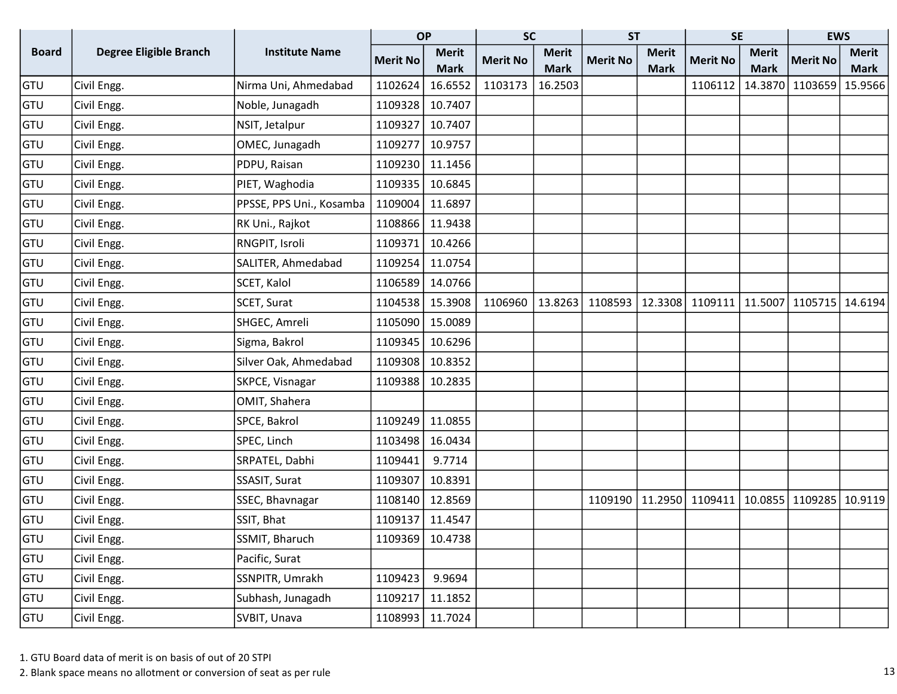|              |                               |                          | <b>OP</b>       |                 | <b>SC</b>       |              | <b>ST</b>       |              | <b>SE</b>         |              | <b>EWS</b>      |              |
|--------------|-------------------------------|--------------------------|-----------------|-----------------|-----------------|--------------|-----------------|--------------|-------------------|--------------|-----------------|--------------|
| <b>Board</b> | <b>Degree Eligible Branch</b> | <b>Institute Name</b>    | <b>Merit No</b> | <b>Merit</b>    | <b>Merit No</b> | <b>Merit</b> | <b>Merit No</b> | <b>Merit</b> | <b>Merit No</b>   | <b>Merit</b> | <b>Merit No</b> | <b>Merit</b> |
|              |                               |                          |                 | <b>Mark</b>     |                 | <b>Mark</b>  |                 | <b>Mark</b>  |                   | <b>Mark</b>  |                 | <b>Mark</b>  |
| GTU          | Civil Engg.                   | Nirma Uni, Ahmedabad     | 1102624         | 16.6552         | 1103173         | 16.2503      |                 |              | 1106112           | 14.3870      | 1103659         | 15.9566      |
| GTU          | Civil Engg.                   | Noble, Junagadh          | 1109328         | 10.7407         |                 |              |                 |              |                   |              |                 |              |
| GTU          | Civil Engg.                   | NSIT, Jetalpur           | 1109327         | 10.7407         |                 |              |                 |              |                   |              |                 |              |
| GTU          | Civil Engg.                   | OMEC, Junagadh           | 1109277         | 10.9757         |                 |              |                 |              |                   |              |                 |              |
| <b>GTU</b>   | Civil Engg.                   | PDPU, Raisan             | 1109230         | 11.1456         |                 |              |                 |              |                   |              |                 |              |
| GTU          | Civil Engg.                   | PIET, Waghodia           | 1109335         | 10.6845         |                 |              |                 |              |                   |              |                 |              |
| <b>GTU</b>   | Civil Engg.                   | PPSSE, PPS Uni., Kosamba | 1109004         | 11.6897         |                 |              |                 |              |                   |              |                 |              |
| GTU          | Civil Engg.                   | RK Uni., Rajkot          | 1108866         | 11.9438         |                 |              |                 |              |                   |              |                 |              |
| <b>GTU</b>   | Civil Engg.                   | RNGPIT, Isroli           | 1109371         | 10.4266         |                 |              |                 |              |                   |              |                 |              |
| <b>GTU</b>   | Civil Engg.                   | SALITER, Ahmedabad       | 1109254         | 11.0754         |                 |              |                 |              |                   |              |                 |              |
| GTU          | Civil Engg.                   | SCET, Kalol              | 1106589         | 14.0766         |                 |              |                 |              |                   |              |                 |              |
| GTU          | Civil Engg.                   | SCET, Surat              | 1104538         | 15.3908         | 1106960         | 13.8263      | 1108593         | 12.3308      | 1109111   11.5007 |              | 1105715 14.6194 |              |
| GTU          | Civil Engg.                   | SHGEC, Amreli            | 1105090         | 15.0089         |                 |              |                 |              |                   |              |                 |              |
| GTU          | Civil Engg.                   | Sigma, Bakrol            | 1109345         | 10.6296         |                 |              |                 |              |                   |              |                 |              |
| <b>GTU</b>   | Civil Engg.                   | Silver Oak, Ahmedabad    | 1109308         | 10.8352         |                 |              |                 |              |                   |              |                 |              |
| GTU          | Civil Engg.                   | SKPCE, Visnagar          | 1109388         | 10.2835         |                 |              |                 |              |                   |              |                 |              |
| GTU          | Civil Engg.                   | OMIT, Shahera            |                 |                 |                 |              |                 |              |                   |              |                 |              |
| <b>GTU</b>   | Civil Engg.                   | SPCE, Bakrol             | 1109249         | 11.0855         |                 |              |                 |              |                   |              |                 |              |
| <b>GTU</b>   | Civil Engg.                   | SPEC, Linch              | 1103498         | 16.0434         |                 |              |                 |              |                   |              |                 |              |
| <b>GTU</b>   | Civil Engg.                   | SRPATEL, Dabhi           | 1109441         | 9.7714          |                 |              |                 |              |                   |              |                 |              |
| GTU          | Civil Engg.                   | SSASIT, Surat            | 1109307         | 10.8391         |                 |              |                 |              |                   |              |                 |              |
| GTU          | Civil Engg.                   | SSEC, Bhavnagar          | 1108140         | 12.8569         |                 |              | 1109190         | 11.2950      | 1109411   10.0855 |              | 1109285 10.9119 |              |
| GTU          | Civil Engg.                   | SSIT, Bhat               | 1109137         | 11.4547         |                 |              |                 |              |                   |              |                 |              |
| GTU          | Civil Engg.                   | SSMIT, Bharuch           |                 | 1109369 10.4738 |                 |              |                 |              |                   |              |                 |              |
| GTU          | Civil Engg.                   | Pacific, Surat           |                 |                 |                 |              |                 |              |                   |              |                 |              |
| GTU          | Civil Engg.                   | SSNPITR, Umrakh          | 1109423         | 9.9694          |                 |              |                 |              |                   |              |                 |              |
| GTU          | Civil Engg.                   | Subhash, Junagadh        | 1109217         | 11.1852         |                 |              |                 |              |                   |              |                 |              |
| GTU          | Civil Engg.                   | SVBIT, Unava             | 1108993         | 11.7024         |                 |              |                 |              |                   |              |                 |              |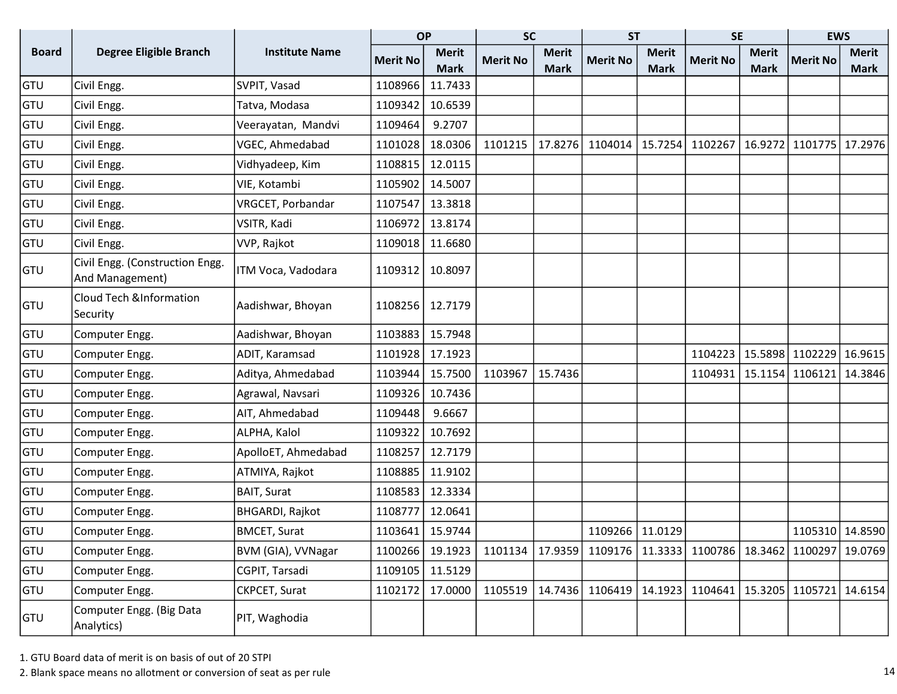|              |                                                    |                       | <b>OP</b>       |              | <b>SC</b>       |              | <b>ST</b>       |              | <b>SE</b>                             |              | <b>EWS</b>      |              |
|--------------|----------------------------------------------------|-----------------------|-----------------|--------------|-----------------|--------------|-----------------|--------------|---------------------------------------|--------------|-----------------|--------------|
| <b>Board</b> | <b>Degree Eligible Branch</b>                      | <b>Institute Name</b> | <b>Merit No</b> | <b>Merit</b> | <b>Merit No</b> | <b>Merit</b> | <b>Merit No</b> | <b>Merit</b> | <b>Merit No</b>                       | <b>Merit</b> | <b>Merit No</b> | <b>Merit</b> |
|              |                                                    |                       |                 | <b>Mark</b>  |                 | <b>Mark</b>  |                 | <b>Mark</b>  |                                       | <b>Mark</b>  |                 | <b>Mark</b>  |
| GTU          | Civil Engg.                                        | SVPIT, Vasad          | 1108966         | 11.7433      |                 |              |                 |              |                                       |              |                 |              |
| GTU          | Civil Engg.                                        | Tatva, Modasa         | 1109342         | 10.6539      |                 |              |                 |              |                                       |              |                 |              |
| GTU          | Civil Engg.                                        | Veerayatan, Mandvi    | 1109464         | 9.2707       |                 |              |                 |              |                                       |              |                 |              |
| GTU          | Civil Engg.                                        | VGEC, Ahmedabad       | 1101028         | 18.0306      | 1101215         | 17.8276      | 1104014         | 15.7254      | 1102267                               | 16.9272      | 1101775 17.2976 |              |
| GTU          | Civil Engg.                                        | Vidhyadeep, Kim       | 1108815         | 12.0115      |                 |              |                 |              |                                       |              |                 |              |
| GTU          | Civil Engg.                                        | VIE, Kotambi          | 1105902         | 14.5007      |                 |              |                 |              |                                       |              |                 |              |
| GTU          | Civil Engg.                                        | VRGCET, Porbandar     | 1107547         | 13.3818      |                 |              |                 |              |                                       |              |                 |              |
| GTU          | Civil Engg.                                        | VSITR, Kadi           | 1106972         | 13.8174      |                 |              |                 |              |                                       |              |                 |              |
| <b>GTU</b>   | Civil Engg.                                        | VVP, Rajkot           | 1109018         | 11.6680      |                 |              |                 |              |                                       |              |                 |              |
| <b>GTU</b>   | Civil Engg. (Construction Engg.<br>And Management) | ITM Voca, Vadodara    | 1109312         | 10.8097      |                 |              |                 |              |                                       |              |                 |              |
| <b>GTU</b>   | <b>Cloud Tech &amp;Information</b><br>Security     | Aadishwar, Bhoyan     | 1108256         | 12.7179      |                 |              |                 |              |                                       |              |                 |              |
| GTU          | Computer Engg.                                     | Aadishwar, Bhoyan     | 1103883         | 15.7948      |                 |              |                 |              |                                       |              |                 |              |
| GTU          | Computer Engg.                                     | ADIT, Karamsad        | 1101928         | 17.1923      |                 |              |                 |              | 1104223                               | 15.5898      | 1102229         | 16.9615      |
| GTU          | Computer Engg.                                     | Aditya, Ahmedabad     | 1103944         | 15.7500      | 1103967         | 15.7436      |                 |              | 1104931                               | 15.1154      | 1106121         | 14.3846      |
| GTU          | Computer Engg.                                     | Agrawal, Navsari      | 1109326         | 10.7436      |                 |              |                 |              |                                       |              |                 |              |
| GTU          | Computer Engg.                                     | AIT, Ahmedabad        | 1109448         | 9.6667       |                 |              |                 |              |                                       |              |                 |              |
| GTU          | Computer Engg.                                     | ALPHA, Kalol          | 1109322         | 10.7692      |                 |              |                 |              |                                       |              |                 |              |
| GTU          | Computer Engg.                                     | ApolloET, Ahmedabad   | 1108257         | 12.7179      |                 |              |                 |              |                                       |              |                 |              |
| GTU          | Computer Engg.                                     | ATMIYA, Rajkot        | 1108885         | 11.9102      |                 |              |                 |              |                                       |              |                 |              |
| GTU          | Computer Engg.                                     | BAIT, Surat           | 1108583         | 12.3334      |                 |              |                 |              |                                       |              |                 |              |
| GTU          | Computer Engg.                                     | BHGARDI, Rajkot       | 1108777         | 12.0641      |                 |              |                 |              |                                       |              |                 |              |
| GTU          | Computer Engg.                                     | BMCET, Surat          | 1103641         | 15.9744      |                 |              | 1109266 11.0129 |              |                                       |              | 1105310 14.8590 |              |
| GTU          | Computer Engg.                                     | BVM (GIA), VVNagar    | 1100266         | 19.1923      | 1101134         | 17.9359      |                 |              | 1109176   11.3333   1100786   18.3462 |              | 1100297         | 19.0769      |
| <b>GTU</b>   | Computer Engg.                                     | CGPIT, Tarsadi        | 1109105         | 11.5129      |                 |              |                 |              |                                       |              |                 |              |
| <b>GTU</b>   | Computer Engg.                                     | CKPCET, Surat         | 1102172         | 17.0000      | 1105519         | 14.7436      | 1106419         | 14.1923      | 1104641                               | 15.3205      | 1105721         | 14.6154      |
| <b>GTU</b>   | Computer Engg. (Big Data<br>Analytics)             | PIT, Waghodia         |                 |              |                 |              |                 |              |                                       |              |                 |              |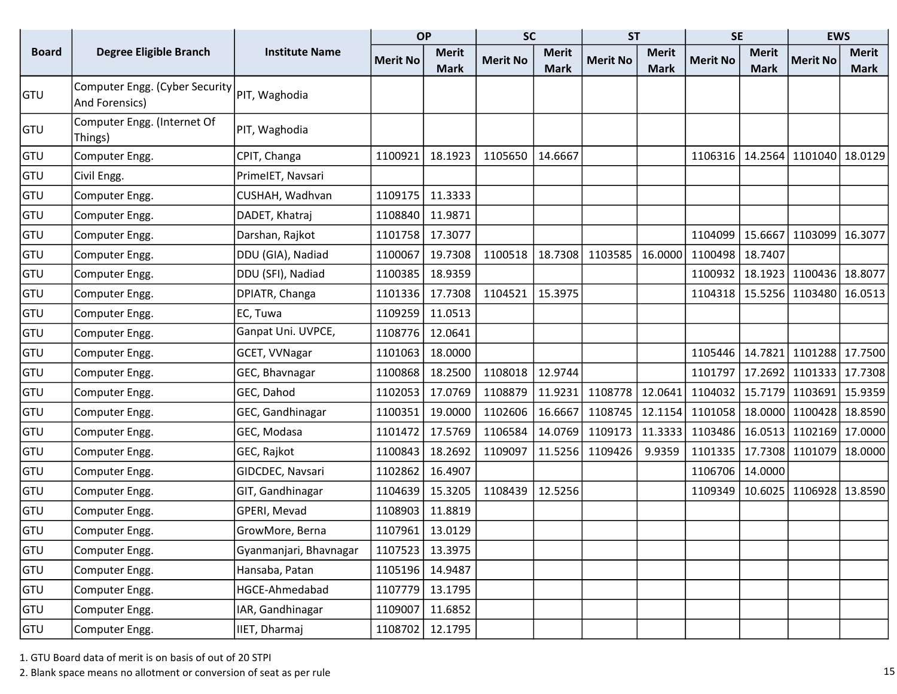|              |                                                  |                        | <b>OP</b>       |              | <b>SC</b>       |              | <b>ST</b>       |              | <b>SE</b>         |              | <b>EWS</b>      |              |
|--------------|--------------------------------------------------|------------------------|-----------------|--------------|-----------------|--------------|-----------------|--------------|-------------------|--------------|-----------------|--------------|
| <b>Board</b> | <b>Degree Eligible Branch</b>                    | <b>Institute Name</b>  | <b>Merit No</b> | <b>Merit</b> | <b>Merit No</b> | <b>Merit</b> | <b>Merit No</b> | <b>Merit</b> | <b>Merit No</b>   | <b>Merit</b> | <b>Merit No</b> | <b>Merit</b> |
|              |                                                  |                        |                 | <b>Mark</b>  |                 | <b>Mark</b>  |                 | <b>Mark</b>  |                   | <b>Mark</b>  |                 | <b>Mark</b>  |
| <b>GTU</b>   | Computer Engg. (Cyber Security<br>And Forensics) | PIT, Waghodia          |                 |              |                 |              |                 |              |                   |              |                 |              |
| <b>GTU</b>   | Computer Engg. (Internet Of<br>Things)           | PIT, Waghodia          |                 |              |                 |              |                 |              |                   |              |                 |              |
| <b>GTU</b>   | Computer Engg.                                   | CPIT, Changa           | 1100921         | 18.1923      | 1105650         | 14.6667      |                 |              | 1106316           | 14.2564      | 1101040         | 18.0129      |
| <b>GTU</b>   | Civil Engg.                                      | PrimeIET, Navsari      |                 |              |                 |              |                 |              |                   |              |                 |              |
| <b>GTU</b>   | Computer Engg.                                   | CUSHAH, Wadhvan        | 1109175         | 11.3333      |                 |              |                 |              |                   |              |                 |              |
| <b>GTU</b>   | Computer Engg.                                   | DADET, Khatraj         | 1108840         | 11.9871      |                 |              |                 |              |                   |              |                 |              |
| <b>GTU</b>   | Computer Engg.                                   | Darshan, Rajkot        | 1101758         | 17.3077      |                 |              |                 |              | 1104099           | 15.6667      | 1103099         | 16.3077      |
| <b>GTU</b>   | Computer Engg.                                   | DDU (GIA), Nadiad      | 1100067         | 19.7308      | 1100518         | 18.7308      | 1103585         | 16.0000      | 1100498           | 18.7407      |                 |              |
| <b>GTU</b>   | Computer Engg.                                   | DDU (SFI), Nadiad      | 1100385         | 18.9359      |                 |              |                 |              | 1100932           | 18.1923      | 1100436 18.8077 |              |
| <b>GTU</b>   | Computer Engg.                                   | DPIATR, Changa         | 1101336         | 17.7308      | 1104521         | 15.3975      |                 |              | 1104318   15.5256 |              | 1103480         | 16.0513      |
| GTU          | Computer Engg.                                   | EC, Tuwa               | 1109259         | 11.0513      |                 |              |                 |              |                   |              |                 |              |
| GTU          | Computer Engg.                                   | Ganpat Uni. UVPCE,     | 1108776         | 12.0641      |                 |              |                 |              |                   |              |                 |              |
| <b>GTU</b>   | Computer Engg.                                   | GCET, VVNagar          | 1101063         | 18.0000      |                 |              |                 |              | 1105446           | 14.7821      | 1101288         | 17.7500      |
| <b>GTU</b>   | Computer Engg.                                   | GEC, Bhavnagar         | 1100868         | 18.2500      | 1108018         | 12.9744      |                 |              | 1101797           | 17.2692      | 1101333 17.7308 |              |
| <b>GTU</b>   | Computer Engg.                                   | GEC, Dahod             | 1102053         | 17.0769      | 1108879         | 11.9231      | 1108778         | 12.0641      | 1104032           | 15.7179      | 1103691 15.9359 |              |
| <b>GTU</b>   | Computer Engg.                                   | GEC, Gandhinagar       | 1100351         | 19.0000      | 1102606         | 16.6667      | 1108745         | 12.1154      | 1101058           | 18.0000      | 1100428         | 18.8590      |
| GTU          | Computer Engg.                                   | GEC, Modasa            | 1101472         | 17.5769      | 1106584         | 14.0769      | 1109173         | 11.3333      | 1103486           | 16.0513      | 1102169         | 17.0000      |
| GTU          | Computer Engg.                                   | GEC, Rajkot            | 1100843         | 18.2692      | 1109097         | 11.5256      | 1109426         | 9.9359       | 1101335           | 17.7308      | 1101079         | 18.0000      |
| <b>GTU</b>   | Computer Engg.                                   | GIDCDEC, Navsari       | 1102862         | 16.4907      |                 |              |                 |              | 1106706           | 14.0000      |                 |              |
| <b>GTU</b>   | Computer Engg.                                   | GIT, Gandhinagar       | 1104639         | 15.3205      | 1108439         | 12.5256      |                 |              | 1109349           | 10.6025      | 1106928 13.8590 |              |
| <b>GTU</b>   | Computer Engg.                                   | GPERI, Mevad           | 1108903         | 11.8819      |                 |              |                 |              |                   |              |                 |              |
| <b>GTU</b>   | Computer Engg.                                   | GrowMore, Berna        | 1107961         | 13.0129      |                 |              |                 |              |                   |              |                 |              |
| GTU          | Computer Engg.                                   | Gyanmanjari, Bhavnagar | 1107523         | 13.3975      |                 |              |                 |              |                   |              |                 |              |
| <b>GTU</b>   | Computer Engg.                                   | Hansaba, Patan         | 1105196         | 14.9487      |                 |              |                 |              |                   |              |                 |              |
| GTU          | Computer Engg.                                   | HGCE-Ahmedabad         | 1107779         | 13.1795      |                 |              |                 |              |                   |              |                 |              |
| GTU          | Computer Engg.                                   | IAR, Gandhinagar       | 1109007         | 11.6852      |                 |              |                 |              |                   |              |                 |              |
| <b>GTU</b>   | Computer Engg.                                   | IIET, Dharmaj          | 1108702         | 12.1795      |                 |              |                 |              |                   |              |                 |              |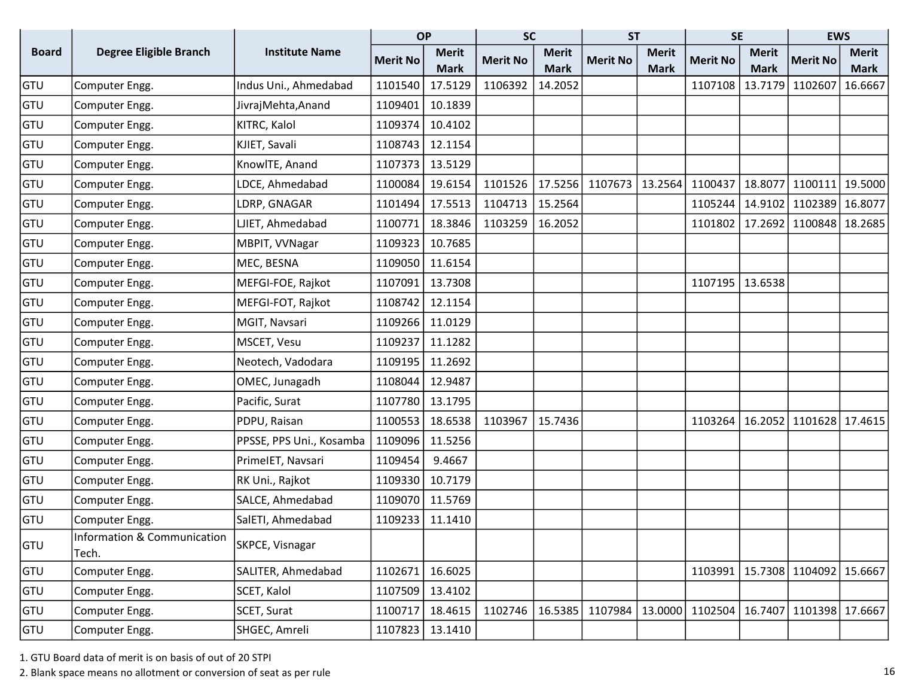|              |                                      |                          | <b>OP</b>       |              | <b>SC</b>       |              | <b>ST</b>       |              | <b>SE</b>         |              | <b>EWS</b>      |              |
|--------------|--------------------------------------|--------------------------|-----------------|--------------|-----------------|--------------|-----------------|--------------|-------------------|--------------|-----------------|--------------|
| <b>Board</b> | <b>Degree Eligible Branch</b>        | <b>Institute Name</b>    | <b>Merit No</b> | <b>Merit</b> | <b>Merit No</b> | <b>Merit</b> | <b>Merit No</b> | <b>Merit</b> | <b>Merit No</b>   | <b>Merit</b> | <b>Merit No</b> | <b>Merit</b> |
|              |                                      |                          |                 | <b>Mark</b>  |                 | <b>Mark</b>  |                 | <b>Mark</b>  |                   | <b>Mark</b>  |                 | <b>Mark</b>  |
| GTU          | Computer Engg.                       | Indus Uni., Ahmedabad    | 1101540         | 17.5129      | 1106392         | 14.2052      |                 |              | 1107108           | 13.7179      | 1102607         | 16.6667      |
| GTU          | Computer Engg.                       | JivrajMehta, Anand       | 1109401         | 10.1839      |                 |              |                 |              |                   |              |                 |              |
| GTU          | Computer Engg.                       | KITRC, Kalol             | 1109374         | 10.4102      |                 |              |                 |              |                   |              |                 |              |
| GTU          | Computer Engg.                       | KJIET, Savali            | 1108743         | 12.1154      |                 |              |                 |              |                   |              |                 |              |
| GTU          | Computer Engg.                       | KnowlTE, Anand           | 1107373         | 13.5129      |                 |              |                 |              |                   |              |                 |              |
| GTU          | Computer Engg.                       | LDCE, Ahmedabad          | 1100084         | 19.6154      | 1101526         | 17.5256      | 1107673         | 13.2564      | 1100437           | 18.8077      | 1100111         | 19.5000      |
| GTU          | Computer Engg.                       | LDRP, GNAGAR             | 1101494         | 17.5513      | 1104713         | 15.2564      |                 |              | 1105244           | 14.9102      | 1102389         | 16.8077      |
| GTU          | Computer Engg.                       | LJIET, Ahmedabad         | 1100771         | 18.3846      | 1103259         | 16.2052      |                 |              | 1101802           | 17.2692      | 1100848         | 18.2685      |
| GTU          | Computer Engg.                       | MBPIT, VVNagar           | 1109323         | 10.7685      |                 |              |                 |              |                   |              |                 |              |
| GTU          | Computer Engg.                       | MEC, BESNA               | 1109050         | 11.6154      |                 |              |                 |              |                   |              |                 |              |
| GTU          | Computer Engg.                       | MEFGI-FOE, Rajkot        | 1107091         | 13.7308      |                 |              |                 |              | 1107195   13.6538 |              |                 |              |
| GTU          | Computer Engg.                       | MEFGI-FOT, Rajkot        | 1108742         | 12.1154      |                 |              |                 |              |                   |              |                 |              |
| GTU          | Computer Engg.                       | MGIT, Navsari            | 1109266         | 11.0129      |                 |              |                 |              |                   |              |                 |              |
| GTU          | Computer Engg.                       | MSCET, Vesu              | 1109237         | 11.1282      |                 |              |                 |              |                   |              |                 |              |
| GTU          | Computer Engg.                       | Neotech, Vadodara        | 1109195         | 11.2692      |                 |              |                 |              |                   |              |                 |              |
| GTU          | Computer Engg.                       | OMEC, Junagadh           | 1108044         | 12.9487      |                 |              |                 |              |                   |              |                 |              |
| GTU          | Computer Engg.                       | Pacific, Surat           | 1107780         | 13.1795      |                 |              |                 |              |                   |              |                 |              |
| GTU          | Computer Engg.                       | PDPU, Raisan             | 1100553         | 18.6538      | 1103967         | 15.7436      |                 |              | 1103264           | 16.2052      | 1101628 17.4615 |              |
| GTU          | Computer Engg.                       | PPSSE, PPS Uni., Kosamba | 1109096         | 11.5256      |                 |              |                 |              |                   |              |                 |              |
| GTU          | Computer Engg.                       | PrimeIET, Navsari        | 1109454         | 9.4667       |                 |              |                 |              |                   |              |                 |              |
| GTU          | Computer Engg.                       | RK Uni., Rajkot          | 1109330         | 10.7179      |                 |              |                 |              |                   |              |                 |              |
| GTU          | Computer Engg.                       | SALCE, Ahmedabad         | 1109070         | 11.5769      |                 |              |                 |              |                   |              |                 |              |
| GTU          | Computer Engg.                       | SalETI, Ahmedabad        | 1109233         | 11.1410      |                 |              |                 |              |                   |              |                 |              |
| GTU          | Information & Communication<br>Tech. | SKPCE, Visnagar          |                 |              |                 |              |                 |              |                   |              |                 |              |
| GTU          | Computer Engg.                       | SALITER, Ahmedabad       | 1102671         | 16.6025      |                 |              |                 |              | 1103991           | 15.7308      | 1104092         | 15.6667      |
| GTU          | Computer Engg.                       | SCET, Kalol              | 1107509         | 13.4102      |                 |              |                 |              |                   |              |                 |              |
| <b>GTU</b>   | Computer Engg.                       | SCET, Surat              | 1100717         | 18.4615      | 1102746         | 16.5385      | 1107984         | 13.0000      | 1102504           | 16.7407      | 1101398 17.6667 |              |
| <b>GTU</b>   | Computer Engg.                       | SHGEC, Amreli            | 1107823         | 13.1410      |                 |              |                 |              |                   |              |                 |              |

2. Blank space means no allotment or conversion of seat as per rule 16 and 16 and 16 and 16 and 16 and 16 and 16 and 16 and 16 and 16 and 16 and 16 and 16 and 16 and 16 and 16 and 16 and 16 and 16 and 16 and 16 and 16 and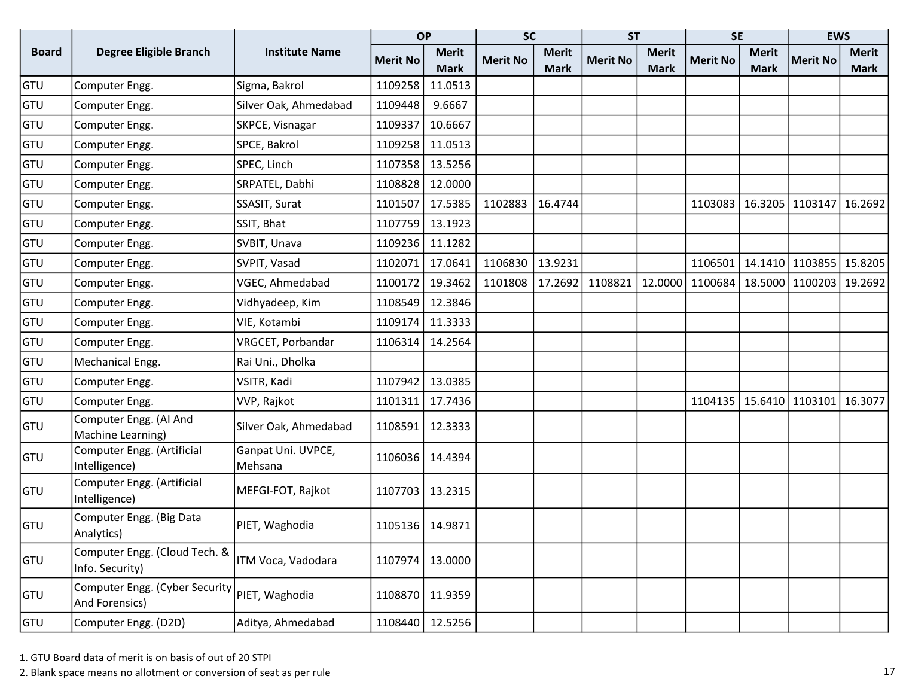|              |                                                   |                               | <b>OP</b>       |              | <b>SC</b>       |              | <b>ST</b>       |              | <b>SE</b>       |              | <b>EWS</b>      |              |
|--------------|---------------------------------------------------|-------------------------------|-----------------|--------------|-----------------|--------------|-----------------|--------------|-----------------|--------------|-----------------|--------------|
| <b>Board</b> | Degree Eligible Branch                            | <b>Institute Name</b>         | <b>Merit No</b> | <b>Merit</b> | <b>Merit No</b> | <b>Merit</b> | <b>Merit No</b> | <b>Merit</b> | <b>Merit No</b> | <b>Merit</b> | <b>Merit No</b> | <b>Merit</b> |
|              |                                                   |                               |                 | <b>Mark</b>  |                 | <b>Mark</b>  |                 | <b>Mark</b>  |                 | <b>Mark</b>  |                 | <b>Mark</b>  |
| GTU          | Computer Engg.                                    | Sigma, Bakrol                 | 1109258         | 11.0513      |                 |              |                 |              |                 |              |                 |              |
| GTU          | Computer Engg.                                    | Silver Oak, Ahmedabad         | 1109448         | 9.6667       |                 |              |                 |              |                 |              |                 |              |
| GTU          | Computer Engg.                                    | SKPCE, Visnagar               | 1109337         | 10.6667      |                 |              |                 |              |                 |              |                 |              |
| GTU          | Computer Engg.                                    | SPCE, Bakrol                  | 1109258         | 11.0513      |                 |              |                 |              |                 |              |                 |              |
| GTU          | Computer Engg.                                    | SPEC, Linch                   | 1107358         | 13.5256      |                 |              |                 |              |                 |              |                 |              |
| <b>GTU</b>   | Computer Engg.                                    | SRPATEL, Dabhi                | 1108828         | 12.0000      |                 |              |                 |              |                 |              |                 |              |
| GTU          | Computer Engg.                                    | SSASIT, Surat                 | 1101507         | 17.5385      | 1102883         | 16.4744      |                 |              | 1103083         | 16.3205      | 1103147         | 16.2692      |
| GTU          | Computer Engg.                                    | SSIT, Bhat                    | 1107759         | 13.1923      |                 |              |                 |              |                 |              |                 |              |
| GTU          | Computer Engg.                                    | SVBIT, Unava                  | 1109236         | 11.1282      |                 |              |                 |              |                 |              |                 |              |
| GTU          | Computer Engg.                                    | SVPIT, Vasad                  | 1102071         | 17.0641      | 1106830         | 13.9231      |                 |              | 1106501         | 14.1410      | 1103855         | 15.8205      |
| GTU          | Computer Engg.                                    | VGEC, Ahmedabad               | 1100172         | 19.3462      | 1101808         | 17.2692      | 1108821         | 12.0000      | 1100684         | 18.5000      | 1100203         | 19.2692      |
| GTU          | Computer Engg.                                    | Vidhyadeep, Kim               | 1108549         | 12.3846      |                 |              |                 |              |                 |              |                 |              |
| GTU          | Computer Engg.                                    | VIE, Kotambi                  | 1109174         | 11.3333      |                 |              |                 |              |                 |              |                 |              |
| GTU          | Computer Engg.                                    | VRGCET, Porbandar             | 1106314         | 14.2564      |                 |              |                 |              |                 |              |                 |              |
| GTU          | Mechanical Engg.                                  | Rai Uni., Dholka              |                 |              |                 |              |                 |              |                 |              |                 |              |
| <b>GTU</b>   | Computer Engg.                                    | VSITR, Kadi                   | 1107942         | 13.0385      |                 |              |                 |              |                 |              |                 |              |
| GTU          | Computer Engg.                                    | VVP, Rajkot                   | 1101311         | 17.7436      |                 |              |                 |              | 1104135         | 15.6410      | 1103101         | 16.3077      |
| <b>GTU</b>   | Computer Engg. (AI And<br>Machine Learning)       | Silver Oak, Ahmedabad         | 1108591         | 12.3333      |                 |              |                 |              |                 |              |                 |              |
| <b>GTU</b>   | Computer Engg. (Artificial<br>Intelligence)       | Ganpat Uni. UVPCE,<br>Mehsana | 1106036         | 14.4394      |                 |              |                 |              |                 |              |                 |              |
| <b>GTU</b>   | Computer Engg. (Artificial<br>Intelligence)       | MEFGI-FOT, Rajkot             | 1107703         | 13.2315      |                 |              |                 |              |                 |              |                 |              |
| GTU          | Computer Engg. (Big Data<br>Analytics)            | PIET, Waghodia                | 1105136         | 14.9871      |                 |              |                 |              |                 |              |                 |              |
| <b>GTU</b>   | Computer Engg. (Cloud Tech. &<br>Info. Security)  | ITM Voca, Vadodara            | 1107974         | 13.0000      |                 |              |                 |              |                 |              |                 |              |
| <b>GTU</b>   | Computer Engg. (Cyber Security)<br>And Forensics) | PIET, Waghodia                | 1108870         | 11.9359      |                 |              |                 |              |                 |              |                 |              |
| <b>GTU</b>   | Computer Engg. (D2D)                              | Aditya, Ahmedabad             | 1108440         | 12.5256      |                 |              |                 |              |                 |              |                 |              |

2. Blank space means no allotment or conversion of seat as per rule 17 and 17 and 17 and 17 and 17 and 17 and 17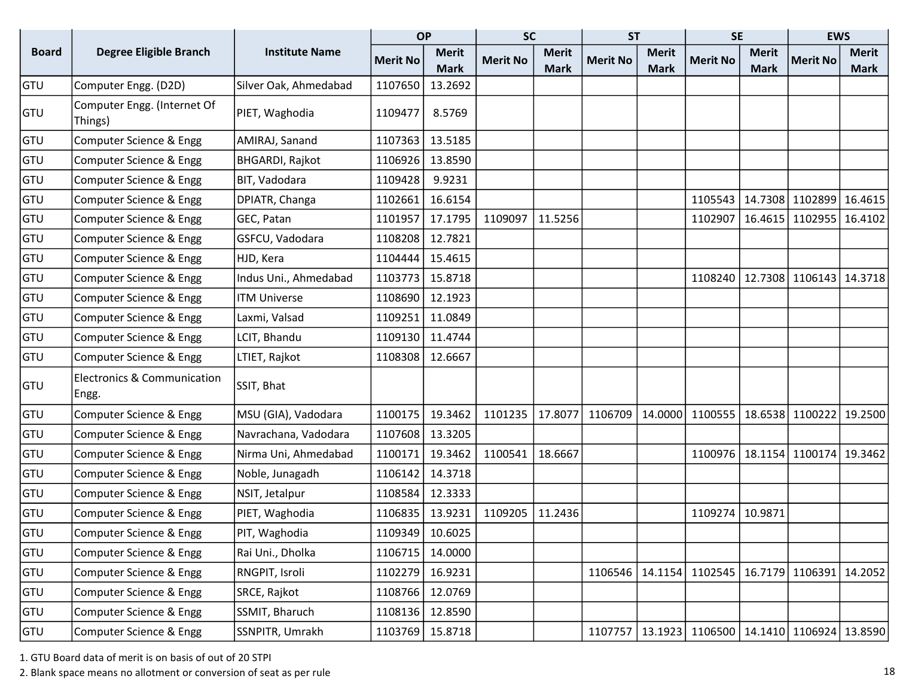|              |                                                 |                       |                 | <b>OP</b>    | <b>SC</b>       |              | <b>ST</b>       |              | <b>SE</b>                             |              | <b>EWS</b>      |              |
|--------------|-------------------------------------------------|-----------------------|-----------------|--------------|-----------------|--------------|-----------------|--------------|---------------------------------------|--------------|-----------------|--------------|
| <b>Board</b> | <b>Degree Eligible Branch</b>                   | <b>Institute Name</b> | <b>Merit No</b> | <b>Merit</b> | <b>Merit No</b> | <b>Merit</b> | <b>Merit No</b> | <b>Merit</b> | <b>Merit No</b>                       | <b>Merit</b> | <b>Merit No</b> | <b>Merit</b> |
|              |                                                 |                       |                 | <b>Mark</b>  |                 | <b>Mark</b>  |                 | <b>Mark</b>  |                                       | <b>Mark</b>  |                 | <b>Mark</b>  |
| GTU          | Computer Engg. (D2D)                            | Silver Oak, Ahmedabad | 1107650         | 13.2692      |                 |              |                 |              |                                       |              |                 |              |
| GTU          | Computer Engg. (Internet Of<br>Things)          | PIET, Waghodia        | 1109477         | 8.5769       |                 |              |                 |              |                                       |              |                 |              |
| <b>GTU</b>   | Computer Science & Engg                         | AMIRAJ, Sanand        | 1107363         | 13.5185      |                 |              |                 |              |                                       |              |                 |              |
| <b>GTU</b>   | Computer Science & Engg                         | BHGARDI, Rajkot       | 1106926         | 13.8590      |                 |              |                 |              |                                       |              |                 |              |
| GTU          | Computer Science & Engg                         | BIT, Vadodara         | 1109428         | 9.9231       |                 |              |                 |              |                                       |              |                 |              |
| <b>GTU</b>   | Computer Science & Engg                         | DPIATR, Changa        | 1102661         | 16.6154      |                 |              |                 |              | 1105543                               | 14.7308      | 1102899         | 16.4615      |
| <b>GTU</b>   | Computer Science & Engg                         | GEC, Patan            | 1101957         | 17.1795      | 1109097         | 11.5256      |                 |              | 1102907                               | 16.4615      | 1102955         | 16.4102      |
| <b>GTU</b>   | Computer Science & Engg                         | GSFCU, Vadodara       | 1108208         | 12.7821      |                 |              |                 |              |                                       |              |                 |              |
| <b>GTU</b>   | Computer Science & Engg                         | HJD, Kera             | 1104444         | 15.4615      |                 |              |                 |              |                                       |              |                 |              |
| GTU          | Computer Science & Engg                         | Indus Uni., Ahmedabad | 1103773         | 15.8718      |                 |              |                 |              | 1108240                               | 12.7308      | 1106143         | 14.3718      |
| <b>GTU</b>   | Computer Science & Engg                         | <b>ITM Universe</b>   | 1108690         | 12.1923      |                 |              |                 |              |                                       |              |                 |              |
| <b>GTU</b>   | Computer Science & Engg                         | Laxmi, Valsad         | 1109251         | 11.0849      |                 |              |                 |              |                                       |              |                 |              |
| <b>GTU</b>   | Computer Science & Engg                         | LCIT, Bhandu          | 1109130         | 11.4744      |                 |              |                 |              |                                       |              |                 |              |
| GTU          | Computer Science & Engg                         | LTIET, Rajkot         | 1108308         | 12.6667      |                 |              |                 |              |                                       |              |                 |              |
| <b>GTU</b>   | <b>Electronics &amp; Communication</b><br>Engg. | SSIT, Bhat            |                 |              |                 |              |                 |              |                                       |              |                 |              |
| <b>GTU</b>   | Computer Science & Engg                         | MSU (GIA), Vadodara   | 1100175         | 19.3462      | 1101235         | 17.8077      | 1106709         | 14.0000      | 1100555                               | 18.6538      | 1100222         | 19.2500      |
| <b>GTU</b>   | Computer Science & Engg                         | Navrachana, Vadodara  | 1107608         | 13.3205      |                 |              |                 |              |                                       |              |                 |              |
| <b>GTU</b>   | Computer Science & Engg                         | Nirma Uni, Ahmedabad  | 1100171         | 19.3462      | 1100541         | 18.6667      |                 |              | 1100976                               | 18.1154      | 1100174         | 19.3462      |
| <b>GTU</b>   | Computer Science & Engg                         | Noble, Junagadh       | 1106142         | 14.3718      |                 |              |                 |              |                                       |              |                 |              |
| <b>GTU</b>   | Computer Science & Engg                         | NSIT, Jetalpur        | 1108584         | 12.3333      |                 |              |                 |              |                                       |              |                 |              |
| <b>GTU</b>   | Computer Science & Engg                         | PIET, Waghodia        | 1106835         | 13.9231      | 1109205         | 11.2436      |                 |              | 1109274                               | 10.9871      |                 |              |
| <b>GTU</b>   | Computer Science & Engg                         | PIT, Waghodia         | 1109349         | 10.6025      |                 |              |                 |              |                                       |              |                 |              |
| <b>GTU</b>   | Computer Science & Engg                         | Rai Uni., Dholka      | 1106715         | 14.0000      |                 |              |                 |              |                                       |              |                 |              |
| GTU          | Computer Science & Engg                         | RNGPIT, Isroli        | 1102279         | 16.9231      |                 |              | 1106546         | 14.1154      | 1102545   16.7179                     |              | 1106391 14.2052 |              |
| GTU          | Computer Science & Engg                         | SRCE, Rajkot          | 1108766         | 12.0769      |                 |              |                 |              |                                       |              |                 |              |
| <b>GTU</b>   | Computer Science & Engg                         | SSMIT, Bharuch        | 1108136         | 12.8590      |                 |              |                 |              |                                       |              |                 |              |
| <b>GTU</b>   | Computer Science & Engg                         | SSNPITR, Umrakh       | 1103769         | 15.8718      |                 |              | 1107757         | 13.1923      | 1106500   14.1410   1106924   13.8590 |              |                 |              |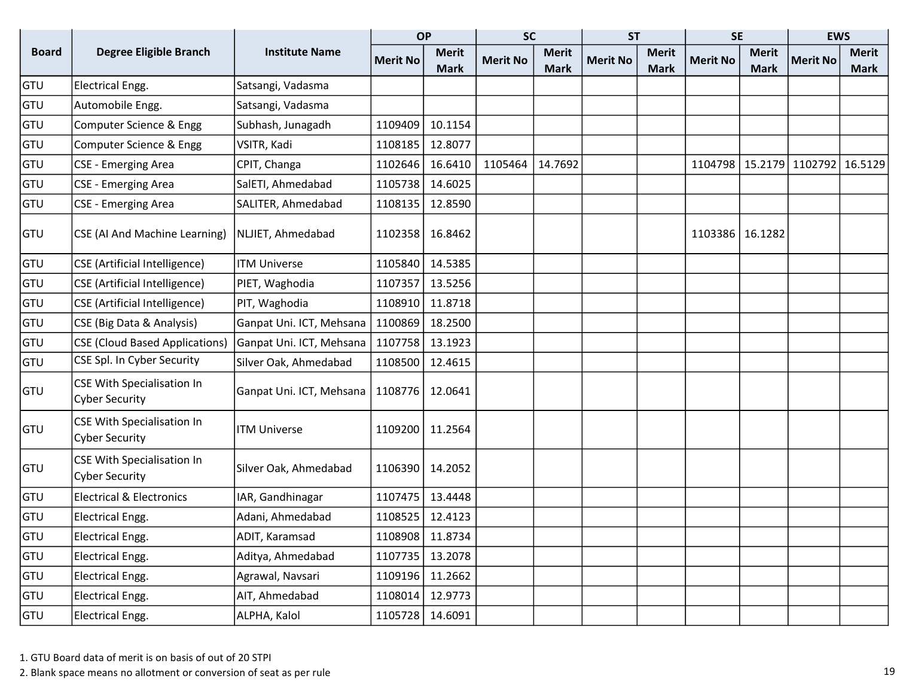|              |                                                            |                          | <b>OP</b>       |              | <b>SC</b>       |              | <b>ST</b>       |              | <b>SE</b>       |              | <b>EWS</b>              |              |
|--------------|------------------------------------------------------------|--------------------------|-----------------|--------------|-----------------|--------------|-----------------|--------------|-----------------|--------------|-------------------------|--------------|
| <b>Board</b> | <b>Degree Eligible Branch</b>                              | <b>Institute Name</b>    | <b>Merit No</b> | <b>Merit</b> | <b>Merit No</b> | <b>Merit</b> | <b>Merit No</b> | <b>Merit</b> | <b>Merit No</b> | <b>Merit</b> | <b>Merit No</b>         | <b>Merit</b> |
|              |                                                            |                          |                 | <b>Mark</b>  |                 | <b>Mark</b>  |                 | <b>Mark</b>  |                 | <b>Mark</b>  |                         | <b>Mark</b>  |
| GTU          | Electrical Engg.                                           | Satsangi, Vadasma        |                 |              |                 |              |                 |              |                 |              |                         |              |
| GTU          | Automobile Engg.                                           | Satsangi, Vadasma        |                 |              |                 |              |                 |              |                 |              |                         |              |
| GTU          | Computer Science & Engg                                    | Subhash, Junagadh        | 1109409         | 10.1154      |                 |              |                 |              |                 |              |                         |              |
| GTU          | Computer Science & Engg                                    | VSITR, Kadi              | 1108185         | 12.8077      |                 |              |                 |              |                 |              |                         |              |
| <b>GTU</b>   | <b>CSE - Emerging Area</b>                                 | CPIT, Changa             | 1102646         | 16.6410      | 1105464         | 14.7692      |                 |              | 1104798         |              | 15.2179 1102792 16.5129 |              |
| <b>GTU</b>   | CSE - Emerging Area                                        | SalETI, Ahmedabad        | 1105738         | 14.6025      |                 |              |                 |              |                 |              |                         |              |
| <b>GTU</b>   | <b>CSE - Emerging Area</b>                                 | SALITER, Ahmedabad       | 1108135         | 12.8590      |                 |              |                 |              |                 |              |                         |              |
| <b>GTU</b>   | CSE (AI And Machine Learning)                              | NLJIET, Ahmedabad        | 1102358         | 16.8462      |                 |              |                 |              | 1103386         | 16.1282      |                         |              |
| GTU          | <b>CSE</b> (Artificial Intelligence)                       | <b>ITM Universe</b>      | 1105840         | 14.5385      |                 |              |                 |              |                 |              |                         |              |
| GTU          | <b>CSE</b> (Artificial Intelligence)                       | PIET, Waghodia           | 1107357         | 13.5256      |                 |              |                 |              |                 |              |                         |              |
| GTU          | <b>CSE</b> (Artificial Intelligence)                       | PIT, Waghodia            | 1108910         | 11.8718      |                 |              |                 |              |                 |              |                         |              |
| GTU          | CSE (Big Data & Analysis)                                  | Ganpat Uni. ICT, Mehsana | 1100869         | 18.2500      |                 |              |                 |              |                 |              |                         |              |
| GTU          | <b>CSE (Cloud Based Applications)</b>                      | Ganpat Uni. ICT, Mehsana | 1107758         | 13.1923      |                 |              |                 |              |                 |              |                         |              |
| GTU          | CSE Spl. In Cyber Security                                 | Silver Oak, Ahmedabad    | 1108500         | 12.4615      |                 |              |                 |              |                 |              |                         |              |
| <b>GTU</b>   | <b>CSE With Specialisation In</b><br><b>Cyber Security</b> | Ganpat Uni. ICT, Mehsana | 1108776         | 12.0641      |                 |              |                 |              |                 |              |                         |              |
| <b>GTU</b>   | CSE With Specialisation In<br><b>Cyber Security</b>        | <b>ITM Universe</b>      | 1109200         | 11.2564      |                 |              |                 |              |                 |              |                         |              |
| <b>GTU</b>   | <b>CSE With Specialisation In</b><br><b>Cyber Security</b> | Silver Oak, Ahmedabad    | 1106390         | 14.2052      |                 |              |                 |              |                 |              |                         |              |
| <b>GTU</b>   | <b>Electrical &amp; Electronics</b>                        | IAR, Gandhinagar         | 1107475         | 13.4448      |                 |              |                 |              |                 |              |                         |              |
| <b>GTU</b>   | Electrical Engg.                                           | Adani, Ahmedabad         | 1108525         | 12.4123      |                 |              |                 |              |                 |              |                         |              |
| GTU          | Electrical Engg.                                           | ADIT, Karamsad           | 1108908         | 11.8734      |                 |              |                 |              |                 |              |                         |              |
| <b>GTU</b>   | Electrical Engg.                                           | Aditya, Ahmedabad        | 1107735         | 13.2078      |                 |              |                 |              |                 |              |                         |              |
| <b>GTU</b>   | Electrical Engg.                                           | Agrawal, Navsari         | 1109196         | 11.2662      |                 |              |                 |              |                 |              |                         |              |
| GTU          | Electrical Engg.                                           | AIT, Ahmedabad           | 1108014         | 12.9773      |                 |              |                 |              |                 |              |                         |              |
| GTU          | Electrical Engg.                                           | ALPHA, Kalol             | 1105728         | 14.6091      |                 |              |                 |              |                 |              |                         |              |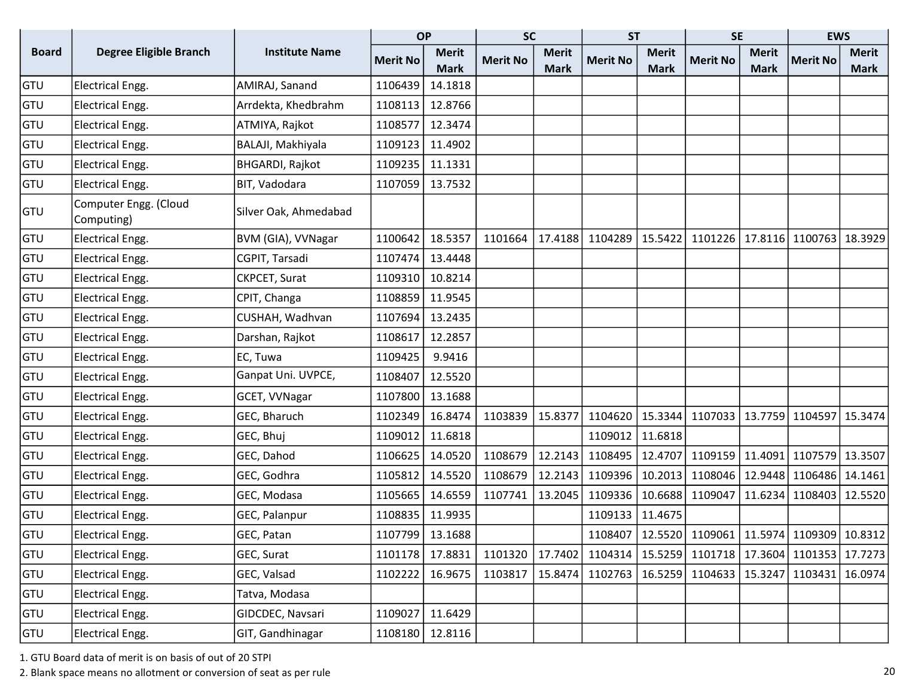|              |                                     |                        | <b>OP</b>       |                 | <b>SC</b>       |              | <b>ST</b>       |              | <b>SE</b>                                                 |              | <b>EWS</b>                  |              |
|--------------|-------------------------------------|------------------------|-----------------|-----------------|-----------------|--------------|-----------------|--------------|-----------------------------------------------------------|--------------|-----------------------------|--------------|
| <b>Board</b> | Degree Eligible Branch              | <b>Institute Name</b>  | <b>Merit No</b> | <b>Merit</b>    | <b>Merit No</b> | <b>Merit</b> | <b>Merit No</b> | <b>Merit</b> | <b>Merit No</b>                                           | <b>Merit</b> | <b>Merit No</b>             | <b>Merit</b> |
|              |                                     |                        |                 | <b>Mark</b>     |                 | <b>Mark</b>  |                 | <b>Mark</b>  |                                                           | <b>Mark</b>  |                             | <b>Mark</b>  |
| GTU          | <b>Electrical Engg.</b>             | AMIRAJ, Sanand         | 1106439         | 14.1818         |                 |              |                 |              |                                                           |              |                             |              |
| GTU          | <b>Electrical Engg.</b>             | Arrdekta, Khedbrahm    | 1108113         | 12.8766         |                 |              |                 |              |                                                           |              |                             |              |
| GTU          | <b>Electrical Engg.</b>             | ATMIYA, Rajkot         | 1108577         | 12.3474         |                 |              |                 |              |                                                           |              |                             |              |
| GTU          | <b>Electrical Engg.</b>             | BALAJI, Makhiyala      | 1109123         | 11.4902         |                 |              |                 |              |                                                           |              |                             |              |
| GTU          | <b>Electrical Engg.</b>             | <b>BHGARDI, Rajkot</b> | 1109235         | 11.1331         |                 |              |                 |              |                                                           |              |                             |              |
| GTU          | <b>Electrical Engg.</b>             | BIT, Vadodara          | 1107059         | 13.7532         |                 |              |                 |              |                                                           |              |                             |              |
| GTU          | Computer Engg. (Cloud<br>Computing) | Silver Oak, Ahmedabad  |                 |                 |                 |              |                 |              |                                                           |              |                             |              |
| GTU          | <b>Electrical Engg.</b>             | BVM (GIA), VVNagar     | 1100642         | 18.5357         | 1101664         | 17.4188      | 1104289         | 15.5422      |                                                           |              | 1101226   17.8116   1100763 | 18.3929      |
| GTU          | <b>Electrical Engg.</b>             | CGPIT, Tarsadi         | 1107474         | 13.4448         |                 |              |                 |              |                                                           |              |                             |              |
| GTU          | <b>Electrical Engg.</b>             | CKPCET, Surat          | 1109310         | 10.8214         |                 |              |                 |              |                                                           |              |                             |              |
| GTU          | <b>Electrical Engg.</b>             | CPIT, Changa           | 1108859         | 11.9545         |                 |              |                 |              |                                                           |              |                             |              |
| GTU          | <b>Electrical Engg.</b>             | CUSHAH, Wadhvan        | 1107694         | 13.2435         |                 |              |                 |              |                                                           |              |                             |              |
| GTU          | <b>Electrical Engg.</b>             | Darshan, Rajkot        | 1108617         | 12.2857         |                 |              |                 |              |                                                           |              |                             |              |
| GTU          | <b>Electrical Engg.</b>             | EC, Tuwa               | 1109425         | 9.9416          |                 |              |                 |              |                                                           |              |                             |              |
| GTU          | <b>Electrical Engg.</b>             | Ganpat Uni. UVPCE,     | 1108407         | 12.5520         |                 |              |                 |              |                                                           |              |                             |              |
| GTU          | <b>Electrical Engg.</b>             | GCET, VVNagar          | 1107800         | 13.1688         |                 |              |                 |              |                                                           |              |                             |              |
| GTU          | <b>Electrical Engg.</b>             | GEC, Bharuch           | 1102349         | 16.8474         | 1103839         | 15.8377      | 1104620         |              | 15.3344 1107033 13.7759 1104597 15.3474                   |              |                             |              |
| GTU          | <b>Electrical Engg.</b>             | GEC, Bhuj              | 1109012         | 11.6818         |                 |              | 1109012         | 11.6818      |                                                           |              |                             |              |
| GTU          | <b>Electrical Engg.</b>             | GEC, Dahod             | 1106625         | 14.0520         | 1108679         | 12.2143      | 1108495         | 12.4707      | 1109159                                                   | 11.4091      | 1107579                     | 13.3507      |
| GTU          | <b>Electrical Engg.</b>             | GEC, Godhra            | 1105812         | 14.5520         | 1108679         | 12.2143      | 1109396         | 10.2013      | 1108046                                                   |              | 12.9448 1106486             | 14.1461      |
| GTU          | <b>Electrical Engg.</b>             | GEC, Modasa            | 1105665         | 14.6559         | 1107741         | 13.2045      | 1109336         | 10.6688      | 1109047                                                   | 11.6234      | 1108403                     | 12.5520      |
| GTU          | <b>Electrical Engg.</b>             | GEC, Palanpur          | 1108835         | 11.9935         |                 |              | 1109133         | 11.4675      |                                                           |              |                             |              |
| GTU          | <b>Electrical Engg.</b>             | GEC, Patan             |                 | 1107799 13.1688 |                 |              |                 |              | 1108407   12.5520   1109061   11.5974   1109309   10.8312 |              |                             |              |
| GTU          | Electrical Engg.                    | GEC, Surat             | 1101178         | 17.8831         | 1101320         |              | 17.7402 1104314 |              | 15.5259 1101718 17.3604 1101353                           |              |                             | 17.7273      |
| GTU          | <b>Electrical Engg.</b>             | GEC, Valsad            | 1102222         | 16.9675         | 1103817         |              | 15.8474 1102763 |              | 16.5259 1104633 15.3247 1103431                           |              |                             | 16.0974      |
| <b>GTU</b>   | <b>Electrical Engg.</b>             | Tatva, Modasa          |                 |                 |                 |              |                 |              |                                                           |              |                             |              |
| <b>GTU</b>   | <b>Electrical Engg.</b>             | GIDCDEC, Navsari       | 1109027         | 11.6429         |                 |              |                 |              |                                                           |              |                             |              |
| <b>GTU</b>   | Electrical Engg.                    | GIT, Gandhinagar       | 1108180         | 12.8116         |                 |              |                 |              |                                                           |              |                             |              |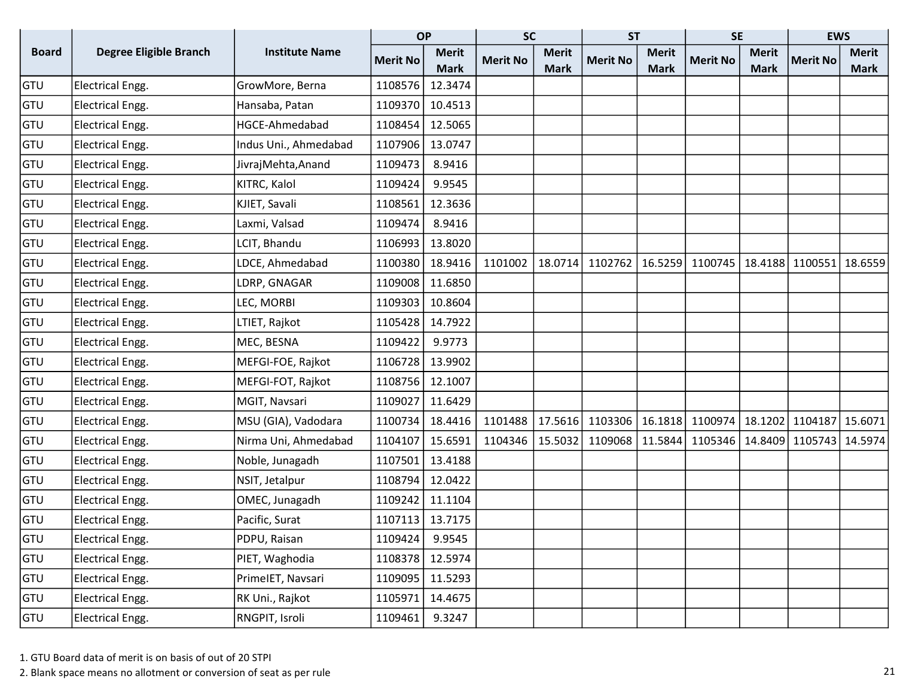|              |                               |                       | <b>OP</b>       |              | <b>SC</b>       |              | <b>ST</b>       |              | <b>SE</b>                 |              | <b>EWS</b>      |              |
|--------------|-------------------------------|-----------------------|-----------------|--------------|-----------------|--------------|-----------------|--------------|---------------------------|--------------|-----------------|--------------|
| <b>Board</b> | <b>Degree Eligible Branch</b> | <b>Institute Name</b> | <b>Merit No</b> | <b>Merit</b> | <b>Merit No</b> | <b>Merit</b> | <b>Merit No</b> | <b>Merit</b> | <b>Merit No</b>           | <b>Merit</b> | <b>Merit No</b> | <b>Merit</b> |
|              |                               |                       |                 | <b>Mark</b>  |                 | <b>Mark</b>  |                 | <b>Mark</b>  |                           | <b>Mark</b>  |                 | <b>Mark</b>  |
| GTU          | <b>Electrical Engg.</b>       | GrowMore, Berna       | 1108576         | 12.3474      |                 |              |                 |              |                           |              |                 |              |
| GTU          | <b>Electrical Engg.</b>       | Hansaba, Patan        | 1109370         | 10.4513      |                 |              |                 |              |                           |              |                 |              |
| GTU          | <b>Electrical Engg.</b>       | HGCE-Ahmedabad        | 1108454         | 12.5065      |                 |              |                 |              |                           |              |                 |              |
| <b>GTU</b>   | <b>Electrical Engg.</b>       | Indus Uni., Ahmedabad | 1107906         | 13.0747      |                 |              |                 |              |                           |              |                 |              |
| <b>GTU</b>   | <b>Electrical Engg.</b>       | JivrajMehta, Anand    | 1109473         | 8.9416       |                 |              |                 |              |                           |              |                 |              |
| <b>GTU</b>   | <b>Electrical Engg.</b>       | KITRC, Kalol          | 1109424         | 9.9545       |                 |              |                 |              |                           |              |                 |              |
| GTU          | <b>Electrical Engg.</b>       | KJIET, Savali         | 1108561         | 12.3636      |                 |              |                 |              |                           |              |                 |              |
| GTU          | <b>Electrical Engg.</b>       | Laxmi, Valsad         | 1109474         | 8.9416       |                 |              |                 |              |                           |              |                 |              |
| <b>GTU</b>   | <b>Electrical Engg.</b>       | LCIT, Bhandu          | 1106993         | 13.8020      |                 |              |                 |              |                           |              |                 |              |
| GTU          | <b>Electrical Engg.</b>       | LDCE, Ahmedabad       | 1100380         | 18.9416      | 1101002         | 18.0714      | 1102762         |              | 16.5259 1100745   18.4188 |              | 1100551 18.6559 |              |
| GTU          | <b>Electrical Engg.</b>       | LDRP, GNAGAR          | 1109008         | 11.6850      |                 |              |                 |              |                           |              |                 |              |
| GTU          | <b>Electrical Engg.</b>       | LEC, MORBI            | 1109303         | 10.8604      |                 |              |                 |              |                           |              |                 |              |
| GTU          | <b>Electrical Engg.</b>       | LTIET, Rajkot         | 1105428         | 14.7922      |                 |              |                 |              |                           |              |                 |              |
| <b>GTU</b>   | <b>Electrical Engg.</b>       | MEC, BESNA            | 1109422         | 9.9773       |                 |              |                 |              |                           |              |                 |              |
| <b>GTU</b>   | <b>Electrical Engg.</b>       | MEFGI-FOE, Rajkot     | 1106728         | 13.9902      |                 |              |                 |              |                           |              |                 |              |
| <b>GTU</b>   | <b>Electrical Engg.</b>       | MEFGI-FOT, Rajkot     | 1108756         | 12.1007      |                 |              |                 |              |                           |              |                 |              |
| GTU          | <b>Electrical Engg.</b>       | MGIT, Navsari         | 1109027         | 11.6429      |                 |              |                 |              |                           |              |                 |              |
| GTU          | <b>Electrical Engg.</b>       | MSU (GIA), Vadodara   | 1100734         | 18.4416      | 1101488         | 17.5616      | 1103306         | 16.1818      | 1100974   18.1202         |              | 1104187         | 15.6071      |
| <b>GTU</b>   | <b>Electrical Engg.</b>       | Nirma Uni, Ahmedabad  | 1104107         | 15.6591      | 1104346         | 15.5032      | 1109068         | 11.5844      | 1105346                   | 14.8409      | 1105743         | 14.5974      |
| GTU          | <b>Electrical Engg.</b>       | Noble, Junagadh       | 1107501         | 13.4188      |                 |              |                 |              |                           |              |                 |              |
| GTU          | <b>Electrical Engg.</b>       | NSIT, Jetalpur        | 1108794         | 12.0422      |                 |              |                 |              |                           |              |                 |              |
| GTU          | <b>Electrical Engg.</b>       | OMEC, Junagadh        | 1109242         | 11.1104      |                 |              |                 |              |                           |              |                 |              |
| GTU          | <b>Electrical Engg.</b>       | Pacific, Surat        | 1107113         | 13.7175      |                 |              |                 |              |                           |              |                 |              |
| GTU          | Electrical Engg.              | PDPU, Raisan          | 1109424         | 9.9545       |                 |              |                 |              |                           |              |                 |              |
| GTU          | <b>Electrical Engg.</b>       | PIET, Waghodia        | 1108378         | 12.5974      |                 |              |                 |              |                           |              |                 |              |
| GTU          | Electrical Engg.              | PrimeIET, Navsari     | 1109095         | 11.5293      |                 |              |                 |              |                           |              |                 |              |
| GTU          | Electrical Engg.              | RK Uni., Rajkot       | 1105971         | 14.4675      |                 |              |                 |              |                           |              |                 |              |
| GTU          | Electrical Engg.              | RNGPIT, Isroli        | 1109461         | 9.3247       |                 |              |                 |              |                           |              |                 |              |

2. Blank space means no allotment or conversion of seat as per rule 21 and 20 and 21 and 21 and 21 and 21 and 21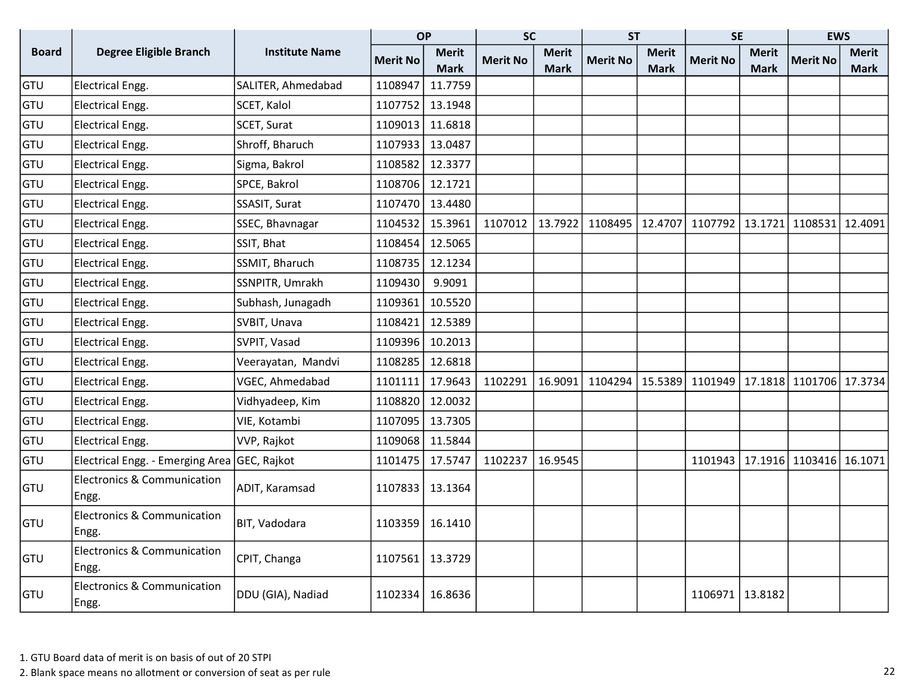|              |                                                 |                       | <b>OP</b>       |              | <b>SC</b>       |              | <b>ST</b>       |              | <b>SE</b>                                                 |              | <b>EWS</b>                            |              |
|--------------|-------------------------------------------------|-----------------------|-----------------|--------------|-----------------|--------------|-----------------|--------------|-----------------------------------------------------------|--------------|---------------------------------------|--------------|
| <b>Board</b> | <b>Degree Eligible Branch</b>                   | <b>Institute Name</b> | <b>Merit No</b> | <b>Merit</b> | <b>Merit No</b> | <b>Merit</b> | <b>Merit No</b> | <b>Merit</b> | <b>Merit No</b>                                           | <b>Merit</b> | <b>Merit No</b>                       | <b>Merit</b> |
|              |                                                 |                       |                 | <b>Mark</b>  |                 | <b>Mark</b>  |                 | <b>Mark</b>  |                                                           | <b>Mark</b>  |                                       | Mark         |
| GTU          | <b>Electrical Engg.</b>                         | SALITER, Ahmedabad    | 1108947         | 11.7759      |                 |              |                 |              |                                                           |              |                                       |              |
| GTU          | Electrical Engg.                                | SCET, Kalol           | 1107752         | 13.1948      |                 |              |                 |              |                                                           |              |                                       |              |
| GTU          | Electrical Engg.                                | SCET, Surat           | 1109013         | 11.6818      |                 |              |                 |              |                                                           |              |                                       |              |
| GTU          | Electrical Engg.                                | Shroff, Bharuch       | 1107933         | 13.0487      |                 |              |                 |              |                                                           |              |                                       |              |
| GTU          | Electrical Engg.                                | Sigma, Bakrol         | 1108582         | 12.3377      |                 |              |                 |              |                                                           |              |                                       |              |
| GTU          | Electrical Engg.                                | SPCE, Bakrol          | 1108706         | 12.1721      |                 |              |                 |              |                                                           |              |                                       |              |
| GTU          | Electrical Engg.                                | SSASIT, Surat         | 1107470         | 13.4480      |                 |              |                 |              |                                                           |              |                                       |              |
| GTU          | Electrical Engg.                                | SSEC, Bhavnagar       | 1104532         | 15.3961      | 1107012         | 13.7922      | 1108495         | 12.4707      | 1107792   13.1721   1108531   12.4091                     |              |                                       |              |
| GTU          | Electrical Engg.                                | SSIT, Bhat            | 1108454         | 12.5065      |                 |              |                 |              |                                                           |              |                                       |              |
| GTU          | Electrical Engg.                                | SSMIT, Bharuch        | 1108735         | 12.1234      |                 |              |                 |              |                                                           |              |                                       |              |
| GTU          | Electrical Engg.                                | SSNPITR, Umrakh       | 1109430         | 9.9091       |                 |              |                 |              |                                                           |              |                                       |              |
| GTU          | <b>Electrical Engg.</b>                         | Subhash, Junagadh     | 1109361         | 10.5520      |                 |              |                 |              |                                                           |              |                                       |              |
| GTU          | Electrical Engg.                                | SVBIT, Unava          | 1108421         | 12.5389      |                 |              |                 |              |                                                           |              |                                       |              |
| GTU          | Electrical Engg.                                | SVPIT, Vasad          | 1109396         | 10.2013      |                 |              |                 |              |                                                           |              |                                       |              |
| GTU          | Electrical Engg.                                | Veerayatan, Mandvi    | 1108285         | 12.6818      |                 |              |                 |              |                                                           |              |                                       |              |
| GTU          | Electrical Engg.                                | VGEC, Ahmedabad       | 1101111         | 17.9643      | 1102291         | 16.9091      |                 |              | 1104294   15.5389   1101949   17.1818   1101706   17.3734 |              |                                       |              |
| GTU          | Electrical Engg.                                | Vidhyadeep, Kim       | 1108820         | 12.0032      |                 |              |                 |              |                                                           |              |                                       |              |
| GTU          | Electrical Engg.                                | VIE, Kotambi          | 1107095         | 13.7305      |                 |              |                 |              |                                                           |              |                                       |              |
| GTU          | Electrical Engg.                                | VVP, Rajkot           | 1109068         | 11.5844      |                 |              |                 |              |                                                           |              |                                       |              |
| GTU          | Electrical Engg. - Emerging Area GEC, Rajkot    |                       | 1101475         | 17.5747      | 1102237         | 16.9545      |                 |              |                                                           |              | 1101943   17.1916   1103416   16.1071 |              |
| GTU          | Electronics & Communication<br>Engg.            | ADIT, Karamsad        | 1107833         | 13.1364      |                 |              |                 |              |                                                           |              |                                       |              |
| GTU          | <b>Electronics &amp; Communication</b><br>Engg. | BIT, Vadodara         | 1103359         | 16.1410      |                 |              |                 |              |                                                           |              |                                       |              |
| GTU          | <b>Electronics &amp; Communication</b><br>Engg. | CPIT, Changa          | 1107561         | 13.3729      |                 |              |                 |              |                                                           |              |                                       |              |
| GTU          | <b>Electronics &amp; Communication</b><br>Engg. | DDU (GIA), Nadiad     | 1102334         | 16.8636      |                 |              |                 |              | 1106971                                                   | 13.8182      |                                       |              |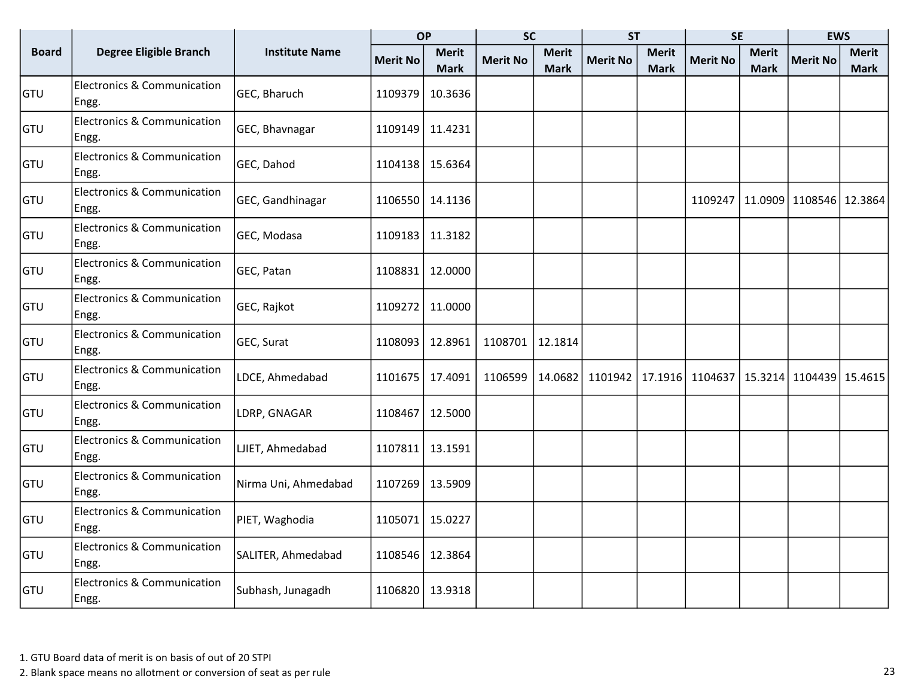|              |                                                 |                       | <b>OP</b>       |                             | <b>SC</b>       |                             | <b>ST</b>       |                             | <b>SE</b>                               |                             | <b>EWS</b>              |                      |
|--------------|-------------------------------------------------|-----------------------|-----------------|-----------------------------|-----------------|-----------------------------|-----------------|-----------------------------|-----------------------------------------|-----------------------------|-------------------------|----------------------|
| <b>Board</b> | Degree Eligible Branch                          | <b>Institute Name</b> | <b>Merit No</b> | <b>Merit</b><br><b>Mark</b> | <b>Merit No</b> | <b>Merit</b><br><b>Mark</b> | <b>Merit No</b> | <b>Merit</b><br><b>Mark</b> | <b>Merit No</b>                         | <b>Merit</b><br><b>Mark</b> | <b>Merit No</b>         | <b>Merit</b><br>Mark |
| lgtu.        | <b>Electronics &amp; Communication</b><br>Engg. | GEC, Bharuch          | 1109379         | 10.3636                     |                 |                             |                 |                             |                                         |                             |                         |                      |
| GTU          | <b>Electronics &amp; Communication</b><br>Engg. | GEC, Bhavnagar        | 1109149         | 11.4231                     |                 |                             |                 |                             |                                         |                             |                         |                      |
| GTU          | <b>Electronics &amp; Communication</b><br>Engg. | GEC, Dahod            | 1104138         | 15.6364                     |                 |                             |                 |                             |                                         |                             |                         |                      |
| lgtu.        | <b>Electronics &amp; Communication</b><br>Engg. | GEC, Gandhinagar      | 1106550         | 14.1136                     |                 |                             |                 |                             | 1109247                                 |                             | 11.0909 1108546 12.3864 |                      |
| <b>GTU</b>   | <b>Electronics &amp; Communication</b><br>Engg. | GEC, Modasa           | 1109183         | 11.3182                     |                 |                             |                 |                             |                                         |                             |                         |                      |
| GTU          | <b>Electronics &amp; Communication</b><br>Engg. | GEC, Patan            | 1108831         | 12.0000                     |                 |                             |                 |                             |                                         |                             |                         |                      |
| GTU          | <b>Electronics &amp; Communication</b><br>Engg. | GEC, Rajkot           | 1109272         | 11.0000                     |                 |                             |                 |                             |                                         |                             |                         |                      |
| <b>GTU</b>   | <b>Electronics &amp; Communication</b><br>Engg. | GEC, Surat            | 1108093         | 12.8961                     | 1108701         | 12.1814                     |                 |                             |                                         |                             |                         |                      |
| lgtu.        | <b>Electronics &amp; Communication</b><br>Engg. | LDCE, Ahmedabad       | 1101675         | 17.4091                     | 1106599         | 14.0682                     | 1101942         |                             | 17.1916 1104637 15.3214 1104439 15.4615 |                             |                         |                      |
| GTU          | <b>Electronics &amp; Communication</b><br>Engg. | LDRP, GNAGAR          | 1108467         | 12.5000                     |                 |                             |                 |                             |                                         |                             |                         |                      |
| GTU          | <b>Electronics &amp; Communication</b><br>Engg. | LJIET, Ahmedabad      | 1107811         | 13.1591                     |                 |                             |                 |                             |                                         |                             |                         |                      |
| lgtu.        | <b>Electronics &amp; Communication</b><br>Engg. | Nirma Uni, Ahmedabad  | 1107269         | 13.5909                     |                 |                             |                 |                             |                                         |                             |                         |                      |
| GTU          | <b>Electronics &amp; Communication</b><br>Engg. | PIET, Waghodia        | 1105071         | 15.0227                     |                 |                             |                 |                             |                                         |                             |                         |                      |
| lgtu.        | <b>Electronics &amp; Communication</b><br>Engg. | SALITER, Ahmedabad    | 1108546         | 12.3864                     |                 |                             |                 |                             |                                         |                             |                         |                      |
| <b>GTU</b>   | <b>Electronics &amp; Communication</b><br>Engg. | Subhash, Junagadh     | 1106820         | 13.9318                     |                 |                             |                 |                             |                                         |                             |                         |                      |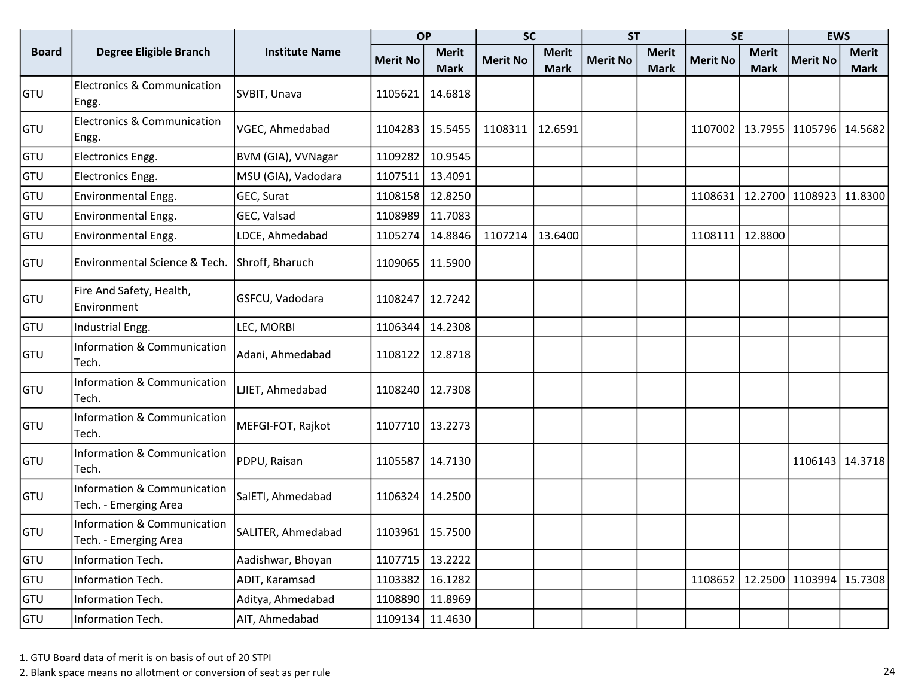|              |                                                      |                       | <b>OP</b>         |              | <b>SC</b>       |              | <b>ST</b>       |              | <b>SE</b>       |              | <b>EWS</b>                  |              |
|--------------|------------------------------------------------------|-----------------------|-------------------|--------------|-----------------|--------------|-----------------|--------------|-----------------|--------------|-----------------------------|--------------|
| <b>Board</b> | <b>Degree Eligible Branch</b>                        | <b>Institute Name</b> | <b>Merit No</b>   | <b>Merit</b> | <b>Merit No</b> | <b>Merit</b> | <b>Merit No</b> | <b>Merit</b> | <b>Merit No</b> | <b>Merit</b> | <b>Merit No</b>             | <b>Merit</b> |
|              |                                                      |                       |                   | <b>Mark</b>  |                 | <b>Mark</b>  |                 | <b>Mark</b>  |                 | <b>Mark</b>  |                             | <b>Mark</b>  |
| GTU          | <b>Electronics &amp; Communication</b><br>Engg.      | SVBIT, Unava          | 1105621           | 14.6818      |                 |              |                 |              |                 |              |                             |              |
| <b>GTU</b>   | <b>Electronics &amp; Communication</b><br>Engg.      | VGEC, Ahmedabad       | 1104283           | 15.5455      | 1108311         | 12.6591      |                 |              | 1107002         |              | 13.7955   1105796   14.5682 |              |
| GTU          | Electronics Engg.                                    | BVM (GIA), VVNagar    | 1109282           | 10.9545      |                 |              |                 |              |                 |              |                             |              |
| GTU          | Electronics Engg.                                    | MSU (GIA), Vadodara   | 1107511           | 13.4091      |                 |              |                 |              |                 |              |                             |              |
| GTU          | Environmental Engg.                                  | GEC, Surat            | 1108158           | 12.8250      |                 |              |                 |              | 1108631         |              | 12.2700 1108923 11.8300     |              |
| GTU          | Environmental Engg.                                  | GEC, Valsad           | 1108989           | 11.7083      |                 |              |                 |              |                 |              |                             |              |
| GTU          | Environmental Engg.                                  | LDCE, Ahmedabad       | 1105274           | 14.8846      | 1107214         | 13.6400      |                 |              | 1108111         | 12.8800      |                             |              |
| GTU          | Environmental Science & Tech.                        | Shroff, Bharuch       | 1109065           | 11.5900      |                 |              |                 |              |                 |              |                             |              |
| <b>GTU</b>   | Fire And Safety, Health,<br>Environment              | GSFCU, Vadodara       | 1108247           | 12.7242      |                 |              |                 |              |                 |              |                             |              |
| <b>GTU</b>   | Industrial Engg.                                     | LEC, MORBI            | 1106344           | 14.2308      |                 |              |                 |              |                 |              |                             |              |
| <b>GTU</b>   | Information & Communication<br> Tech.                | Adani, Ahmedabad      | 1108122           | 12.8718      |                 |              |                 |              |                 |              |                             |              |
| <b>GTU</b>   | <b>Information &amp; Communication</b><br>Tech.      | LJIET, Ahmedabad      | 1108240           | 12.7308      |                 |              |                 |              |                 |              |                             |              |
| <b>GTU</b>   | Information & Communication<br>Tech.                 | MEFGI-FOT, Rajkot     | 1107710           | 13.2273      |                 |              |                 |              |                 |              |                             |              |
| <b>GTU</b>   | <b>Information &amp; Communication</b><br>Tech.      | PDPU, Raisan          | 1105587           | 14.7130      |                 |              |                 |              |                 |              | 1106143 14.3718             |              |
| <b>GTU</b>   | Information & Communication<br>Tech. - Emerging Area | SalETI, Ahmedabad     | 1106324           | 14.2500      |                 |              |                 |              |                 |              |                             |              |
| GTU          | Information & Communication<br>Tech. - Emerging Area | SALITER, Ahmedabad    | 1103961   15.7500 |              |                 |              |                 |              |                 |              |                             |              |
| GTU          | Information Tech.                                    | Aadishwar, Bhoyan     | 1107715           | 13.2222      |                 |              |                 |              |                 |              |                             |              |
| GTU          | Information Tech.                                    | ADIT, Karamsad        | 1103382           | 16.1282      |                 |              |                 |              | 1108652         |              | 12.2500 1103994 15.7308     |              |
| <b>GTU</b>   | Information Tech.                                    | Aditya, Ahmedabad     | 1108890           | 11.8969      |                 |              |                 |              |                 |              |                             |              |
| <b>GTU</b>   | Information Tech.                                    | AIT, Ahmedabad        | 1109134           | 11.4630      |                 |              |                 |              |                 |              |                             |              |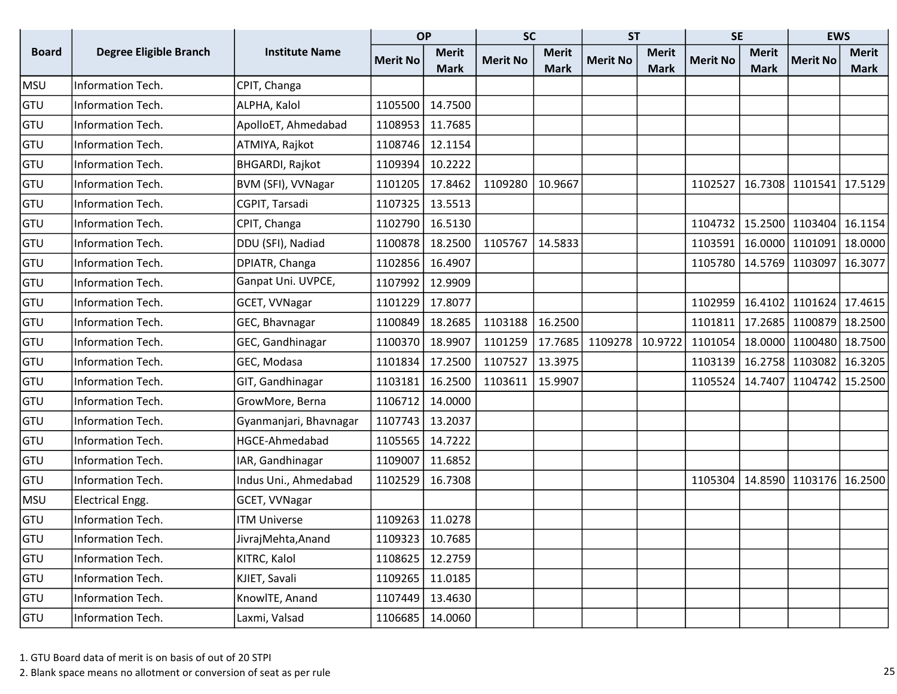|              |                               |                        | <b>OP</b>       |              | <b>SC</b>       |              | <b>ST</b>       |              | <b>SE</b>       |              | <b>EWS</b>                            |              |
|--------------|-------------------------------|------------------------|-----------------|--------------|-----------------|--------------|-----------------|--------------|-----------------|--------------|---------------------------------------|--------------|
| <b>Board</b> | <b>Degree Eligible Branch</b> | <b>Institute Name</b>  | <b>Merit No</b> | <b>Merit</b> | <b>Merit No</b> | <b>Merit</b> | <b>Merit No</b> | <b>Merit</b> | <b>Merit No</b> | <b>Merit</b> | <b>Merit No</b>                       | <b>Merit</b> |
|              |                               |                        |                 | <b>Mark</b>  |                 | <b>Mark</b>  |                 | <b>Mark</b>  |                 | <b>Mark</b>  |                                       | Mark         |
| <b>MSU</b>   | Information Tech.             | CPIT, Changa           |                 |              |                 |              |                 |              |                 |              |                                       |              |
| GTU          | Information Tech.             | ALPHA, Kalol           | 1105500         | 14.7500      |                 |              |                 |              |                 |              |                                       |              |
| GTU          | Information Tech.             | ApolloET, Ahmedabad    | 1108953         | 11.7685      |                 |              |                 |              |                 |              |                                       |              |
| GTU          | Information Tech.             | ATMIYA, Rajkot         | 1108746         | 12.1154      |                 |              |                 |              |                 |              |                                       |              |
| GTU          | Information Tech.             | <b>BHGARDI, Rajkot</b> | 1109394         | 10.2222      |                 |              |                 |              |                 |              |                                       |              |
| GTU          | Information Tech.             | BVM (SFI), VVNagar     | 1101205         | 17.8462      | 1109280         | 10.9667      |                 |              | 1102527         | 16.7308      | 1101541 17.5129                       |              |
| GTU          | Information Tech.             | CGPIT, Tarsadi         | 1107325         | 13.5513      |                 |              |                 |              |                 |              |                                       |              |
| GTU          | Information Tech.             | CPIT, Changa           | 1102790         | 16.5130      |                 |              |                 |              | 1104732         |              | 15.2500 1103404 16.1154               |              |
| GTU          | Information Tech.             | DDU (SFI), Nadiad      | 1100878         | 18.2500      | 1105767         | 14.5833      |                 |              | 1103591         |              | 16.0000 1101091 18.0000               |              |
| GTU          | Information Tech.             | DPIATR, Changa         | 1102856         | 16.4907      |                 |              |                 |              |                 |              | 1105780   14.5769   1103097   16.3077 |              |
| GTU          | Information Tech.             | Ganpat Uni. UVPCE,     | 1107992         | 12.9909      |                 |              |                 |              |                 |              |                                       |              |
| GTU          | Information Tech.             | GCET, VVNagar          | 1101229         | 17.8077      |                 |              |                 |              | 1102959         |              | 16.4102 1101624 17.4615               |              |
| GTU          | Information Tech.             | GEC, Bhavnagar         | 1100849         | 18.2685      | 1103188         | 16.2500      |                 |              | 1101811         |              | 17.2685   1100879   18.2500           |              |
| GTU          | Information Tech.             | GEC, Gandhinagar       | 1100370         | 18.9907      | 1101259         | 17.7685      | 1109278         | 10.9722      | 1101054         |              | 18.0000 1100480 18.7500               |              |
| GTU          | Information Tech.             | GEC, Modasa            | 1101834         | 17.2500      | 1107527         | 13.3975      |                 |              | 1103139         |              | 16.2758 1103082 16.3205               |              |
| GTU          | Information Tech.             | GIT, Gandhinagar       | 1103181         | 16.2500      | 1103611         | 15.9907      |                 |              | 1105524         | 14.7407      | 1104742 15.2500                       |              |
| GTU          | Information Tech.             | GrowMore, Berna        | 1106712         | 14.0000      |                 |              |                 |              |                 |              |                                       |              |
| GTU          | Information Tech.             | Gyanmanjari, Bhavnagar | 1107743         | 13.2037      |                 |              |                 |              |                 |              |                                       |              |
| GTU          | Information Tech.             | HGCE-Ahmedabad         | 1105565         | 14.7222      |                 |              |                 |              |                 |              |                                       |              |
| GTU          | Information Tech.             | IAR, Gandhinagar       | 1109007         | 11.6852      |                 |              |                 |              |                 |              |                                       |              |
| GTU          | Information Tech.             | Indus Uni., Ahmedabad  | 1102529         | 16.7308      |                 |              |                 |              | 1105304         |              | 14.8590 1103176 16.2500               |              |
| <b>MSU</b>   | Electrical Engg.              | GCET, VVNagar          |                 |              |                 |              |                 |              |                 |              |                                       |              |
| GTU          | Information Tech.             | <b>ITM Universe</b>    | 1109263         | 11.0278      |                 |              |                 |              |                 |              |                                       |              |
| GTU          | Information Tech.             | JivrajMehta, Anand     | 1109323         | 10.7685      |                 |              |                 |              |                 |              |                                       |              |
| GTU          | Information Tech.             | KITRC, Kalol           | 1108625         | 12.2759      |                 |              |                 |              |                 |              |                                       |              |
| GTU          | Information Tech.             | KJIET, Savali          | 1109265         | 11.0185      |                 |              |                 |              |                 |              |                                       |              |
| GTU          | Information Tech.             | KnowlTE, Anand         | 1107449         | 13.4630      |                 |              |                 |              |                 |              |                                       |              |
| GTU          | Information Tech.             | Laxmi, Valsad          | 1106685         | 14.0060      |                 |              |                 |              |                 |              |                                       |              |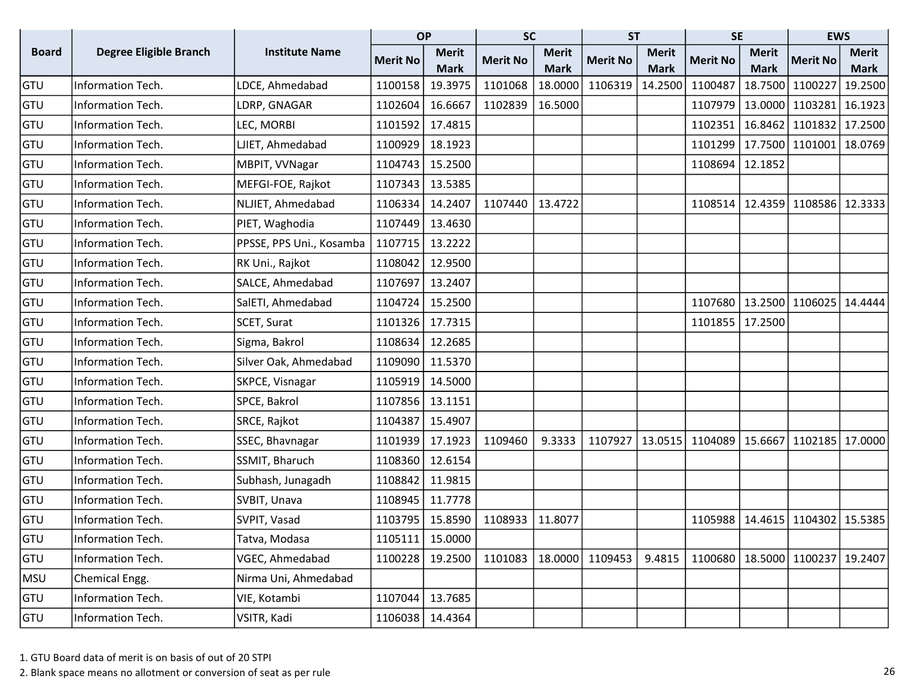|              |                               |                          | <b>OP</b>       |              | <b>SC</b>       |              | <b>ST</b>       |              | <b>SE</b>         |              | <b>EWS</b>                  |              |
|--------------|-------------------------------|--------------------------|-----------------|--------------|-----------------|--------------|-----------------|--------------|-------------------|--------------|-----------------------------|--------------|
| <b>Board</b> | <b>Degree Eligible Branch</b> | <b>Institute Name</b>    | <b>Merit No</b> | <b>Merit</b> | <b>Merit No</b> | <b>Merit</b> | <b>Merit No</b> | <b>Merit</b> | <b>Merit No</b>   | <b>Merit</b> | <b>Merit No</b>             | <b>Merit</b> |
|              |                               |                          |                 | <b>Mark</b>  |                 | <b>Mark</b>  |                 | <b>Mark</b>  |                   | <b>Mark</b>  |                             | Mark         |
| GTU          | Information Tech.             | LDCE, Ahmedabad          | 1100158         | 19.3975      | 1101068         | 18.0000      | 1106319         | 14.2500      | 1100487           | 18.7500      | 1100227                     | 19.2500      |
| GTU          | Information Tech.             | LDRP, GNAGAR             | 1102604         | 16.6667      | 1102839         | 16.5000      |                 |              | 1107979           | 13.0000      | 1103281 16.1923             |              |
| GTU          | Information Tech.             | LEC, MORBI               | 1101592         | 17.4815      |                 |              |                 |              | 1102351           | 16.8462      | 1101832                     | 17.2500      |
| GTU          | Information Tech.             | LJIET, Ahmedabad         | 1100929         | 18.1923      |                 |              |                 |              | 1101299           |              | 17.7500   1101001           | 18.0769      |
| GTU          | Information Tech.             | MBPIT, VVNagar           | 1104743         | 15.2500      |                 |              |                 |              | 1108694           | 12.1852      |                             |              |
| GTU          | Information Tech.             | MEFGI-FOE, Rajkot        | 1107343         | 13.5385      |                 |              |                 |              |                   |              |                             |              |
| GTU          | Information Tech.             | NLJIET, Ahmedabad        | 1106334         | 14.2407      | 1107440         | 13.4722      |                 |              | 1108514           | 12.4359      | 1108586 12.3333             |              |
| GTU          | Information Tech.             | PIET, Waghodia           | 1107449         | 13.4630      |                 |              |                 |              |                   |              |                             |              |
| GTU          | Information Tech.             | PPSSE, PPS Uni., Kosamba | 1107715         | 13.2222      |                 |              |                 |              |                   |              |                             |              |
| GTU          | Information Tech.             | RK Uni., Rajkot          | 1108042         | 12.9500      |                 |              |                 |              |                   |              |                             |              |
| GTU          | Information Tech.             | SALCE, Ahmedabad         | 1107697         | 13.2407      |                 |              |                 |              |                   |              |                             |              |
| GTU          | Information Tech.             | SalETI, Ahmedabad        | 1104724         | 15.2500      |                 |              |                 |              | 1107680           | 13.2500      | 1106025                     | 14.4444      |
| GTU          | Information Tech.             | SCET, Surat              | 1101326         | 17.7315      |                 |              |                 |              | 1101855   17.2500 |              |                             |              |
| GTU          | Information Tech.             | Sigma, Bakrol            | 1108634         | 12.2685      |                 |              |                 |              |                   |              |                             |              |
| GTU          | Information Tech.             | Silver Oak, Ahmedabad    | 1109090         | 11.5370      |                 |              |                 |              |                   |              |                             |              |
| GTU          | Information Tech.             | SKPCE, Visnagar          | 1105919         | 14.5000      |                 |              |                 |              |                   |              |                             |              |
| GTU          | Information Tech.             | SPCE, Bakrol             | 1107856         | 13.1151      |                 |              |                 |              |                   |              |                             |              |
| GTU          | Information Tech.             | SRCE, Rajkot             | 1104387         | 15.4907      |                 |              |                 |              |                   |              |                             |              |
| GTU          | Information Tech.             | SSEC, Bhavnagar          | 1101939         | 17.1923      | 1109460         | 9.3333       | 1107927         | 13.0515      | 1104089   15.6667 |              | 1102185                     | 17.0000      |
| GTU          | Information Tech.             | SSMIT, Bharuch           | 1108360         | 12.6154      |                 |              |                 |              |                   |              |                             |              |
| GTU          | Information Tech.             | Subhash, Junagadh        | 1108842         | 11.9815      |                 |              |                 |              |                   |              |                             |              |
| GTU          | Information Tech.             | SVBIT, Unava             | 1108945         | 11.7778      |                 |              |                 |              |                   |              |                             |              |
| GTU          | Information Tech.             | SVPIT, Vasad             | 1103795         | 15.8590      | 1108933         | 11.8077      |                 |              | 1105988           | 14.4615      | 1104302                     | 15.5385      |
| <b>GTU</b>   | Information Tech.             | Tatva, Modasa            | 1105111         | 15.0000      |                 |              |                 |              |                   |              |                             |              |
| GTU          | Information Tech.             | VGEC, Ahmedabad          | 1100228         | 19.2500      | 1101083         | 18.0000      | 1109453         | 9.4815       |                   |              | 1100680   18.5000   1100237 | 19.2407      |
| <b>MSU</b>   | Chemical Engg.                | Nirma Uni, Ahmedabad     |                 |              |                 |              |                 |              |                   |              |                             |              |
| GTU          | Information Tech.             | VIE, Kotambi             | 1107044         | 13.7685      |                 |              |                 |              |                   |              |                             |              |
| GTU          | Information Tech.             | VSITR, Kadi              | 1106038         | 14.4364      |                 |              |                 |              |                   |              |                             |              |

2. Blank space means no allotment or conversion of seat as per rule 26 and 20 and 26 and 26 and 26 and 26 and 26 and 26 and 26 and 26 and 26 and 26 and 26 and 26 and 26 and 26 and 26 and 20 and 26 and 20 and 20 and 20 and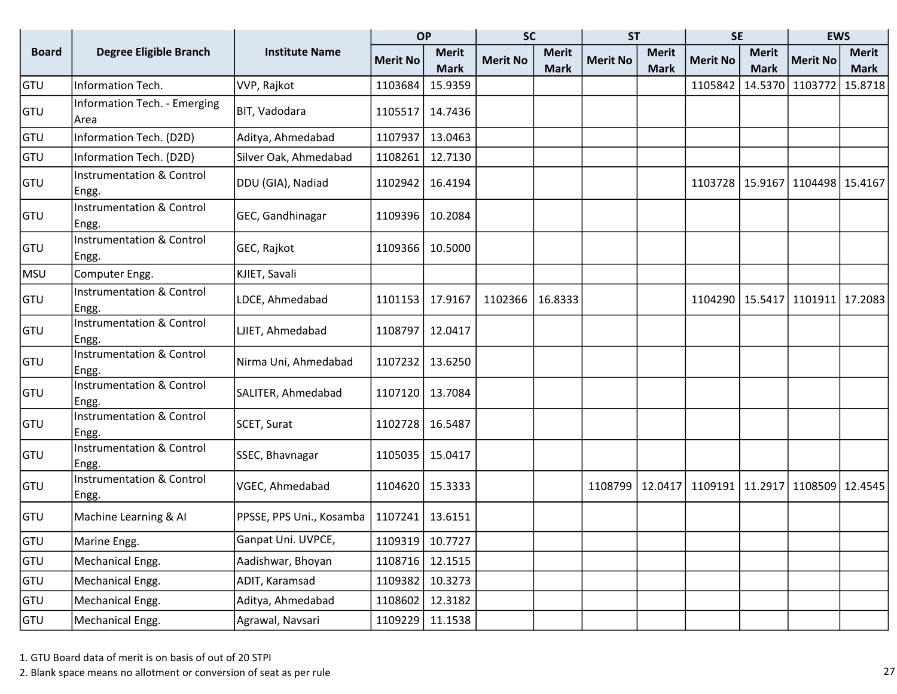|              |                                               |                          | <b>OP</b>       |              | <b>SC</b>       |              | <b>ST</b>       |              | <b>SE</b>         |              | <b>EWS</b>                            |              |
|--------------|-----------------------------------------------|--------------------------|-----------------|--------------|-----------------|--------------|-----------------|--------------|-------------------|--------------|---------------------------------------|--------------|
| <b>Board</b> | <b>Degree Eligible Branch</b>                 | <b>Institute Name</b>    | <b>Merit No</b> | <b>Merit</b> | <b>Merit No</b> | <b>Merit</b> | <b>Merit No</b> | <b>Merit</b> | <b>Merit No</b>   | <b>Merit</b> | <b>Merit No</b>                       | <b>Merit</b> |
|              |                                               |                          |                 | <b>Mark</b>  |                 | <b>Mark</b>  |                 | <b>Mark</b>  |                   | <b>Mark</b>  |                                       | <b>Mark</b>  |
| GTU          | Information Tech.                             | VVP, Rajkot              | 1103684         | 15.9359      |                 |              |                 |              | 1105842           | 14.5370      | 1103772                               | 15.8718      |
| GTU          | Information Tech. - Emerging<br>Area          | BIT, Vadodara            | 1105517         | 14.7436      |                 |              |                 |              |                   |              |                                       |              |
| GTU          | Information Tech. (D2D)                       | Aditya, Ahmedabad        | 1107937         | 13.0463      |                 |              |                 |              |                   |              |                                       |              |
| <b>GTU</b>   | Information Tech. (D2D)                       | Silver Oak, Ahmedabad    | 1108261         | 12.7130      |                 |              |                 |              |                   |              |                                       |              |
| <b>GTU</b>   | <b>Instrumentation &amp; Control</b><br>Engg. | DDU (GIA), Nadiad        | 1102942         | 16.4194      |                 |              |                 |              |                   |              | 1103728   15.9167   1104498   15.4167 |              |
| <b>GTU</b>   | <b>Instrumentation &amp; Control</b><br>Engg. | GEC, Gandhinagar         | 1109396         | 10.2084      |                 |              |                 |              |                   |              |                                       |              |
| GTU          | <b>Instrumentation &amp; Control</b><br>Engg. | GEC, Rajkot              | 1109366         | 10.5000      |                 |              |                 |              |                   |              |                                       |              |
| <b>MSU</b>   | Computer Engg.                                | KJIET, Savali            |                 |              |                 |              |                 |              |                   |              |                                       |              |
| <b>GTU</b>   | <b>Instrumentation &amp; Control</b><br>Engg. | LDCE, Ahmedabad          | 1101153         | 17.9167      | 1102366         | 16.8333      |                 |              |                   |              | 1104290   15.5417   1101911           | 17.2083      |
| GTU          | <b>Instrumentation &amp; Control</b><br>Engg. | LJIET, Ahmedabad         | 1108797         | 12.0417      |                 |              |                 |              |                   |              |                                       |              |
| <b>GTU</b>   | <b>Instrumentation &amp; Control</b><br>Engg. | Nirma Uni, Ahmedabad     | 1107232         | 13.6250      |                 |              |                 |              |                   |              |                                       |              |
| <b>GTU</b>   | <b>Instrumentation &amp; Control</b><br>Engg. | SALITER, Ahmedabad       | 1107120         | 13.7084      |                 |              |                 |              |                   |              |                                       |              |
| GTU          | <b>Instrumentation &amp; Control</b><br>Engg  | SCET, Surat              | 1102728         | 16.5487      |                 |              |                 |              |                   |              |                                       |              |
| GTU          | <b>Instrumentation &amp; Control</b><br>Engg. | SSEC, Bhavnagar          | 1105035         | 15.0417      |                 |              |                 |              |                   |              |                                       |              |
| GTU          | <b>Instrumentation &amp; Control</b><br>Engg. | VGEC, Ahmedabad          | 1104620         | 15.3333      |                 |              | 1108799         | 12.0417      | 1109191   11.2917 |              | 1108509                               | 12.4545      |
| GTU          | Machine Learning & Al                         | PPSSE, PPS Uni., Kosamba | 1107241         | 13.6151      |                 |              |                 |              |                   |              |                                       |              |
| <b>GTU</b>   | Marine Engg.                                  | Ganpat Uni. UVPCE,       | 1109319         | 10.7727      |                 |              |                 |              |                   |              |                                       |              |
| GTU          | Mechanical Engg.                              | Aadishwar, Bhoyan        | 1108716         | 12.1515      |                 |              |                 |              |                   |              |                                       |              |
| GTU          | Mechanical Engg.                              | ADIT, Karamsad           | 1109382         | 10.3273      |                 |              |                 |              |                   |              |                                       |              |
| <b>GTU</b>   | Mechanical Engg.                              | Aditya, Ahmedabad        | 1108602         | 12.3182      |                 |              |                 |              |                   |              |                                       |              |
| <b>GTU</b>   | Mechanical Engg.                              | Agrawal, Navsari         | 1109229         | 11.1538      |                 |              |                 |              |                   |              |                                       |              |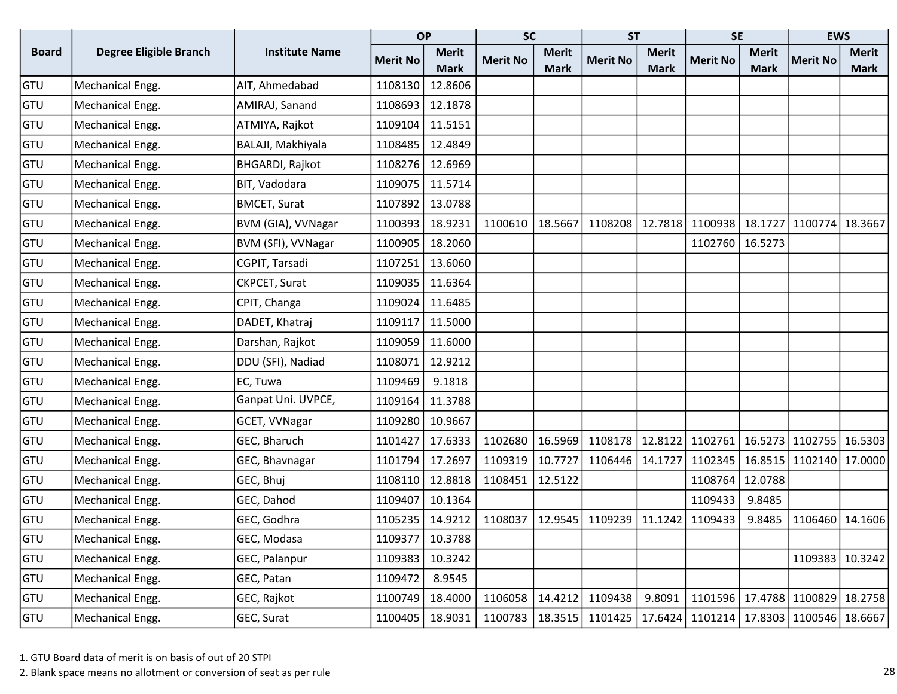|              |                               |                        | <b>OP</b>       |              | <b>SC</b>       |              | <b>ST</b>       |              | <b>SE</b>         |              | <b>EWS</b>      |              |
|--------------|-------------------------------|------------------------|-----------------|--------------|-----------------|--------------|-----------------|--------------|-------------------|--------------|-----------------|--------------|
| <b>Board</b> | <b>Degree Eligible Branch</b> | <b>Institute Name</b>  | <b>Merit No</b> | <b>Merit</b> | <b>Merit No</b> | <b>Merit</b> | <b>Merit No</b> | <b>Merit</b> | <b>Merit No</b>   | <b>Merit</b> | <b>Merit No</b> | <b>Merit</b> |
|              |                               |                        |                 | <b>Mark</b>  |                 | <b>Mark</b>  |                 | <b>Mark</b>  |                   | <b>Mark</b>  |                 | <b>Mark</b>  |
| GTU          | Mechanical Engg.              | AIT, Ahmedabad         | 1108130         | 12.8606      |                 |              |                 |              |                   |              |                 |              |
| GTU          | Mechanical Engg.              | AMIRAJ, Sanand         | 1108693         | 12.1878      |                 |              |                 |              |                   |              |                 |              |
| GTU          | Mechanical Engg.              | ATMIYA, Rajkot         | 1109104         | 11.5151      |                 |              |                 |              |                   |              |                 |              |
| GTU          | Mechanical Engg.              | BALAJI, Makhiyala      | 1108485         | 12.4849      |                 |              |                 |              |                   |              |                 |              |
| GTU          | Mechanical Engg.              | <b>BHGARDI, Rajkot</b> | 1108276         | 12.6969      |                 |              |                 |              |                   |              |                 |              |
| GTU          | Mechanical Engg.              | BIT, Vadodara          | 1109075         | 11.5714      |                 |              |                 |              |                   |              |                 |              |
| GTU          | Mechanical Engg.              | <b>BMCET, Surat</b>    | 1107892         | 13.0788      |                 |              |                 |              |                   |              |                 |              |
| GTU          | Mechanical Engg.              | BVM (GIA), VVNagar     | 1100393         | 18.9231      | 1100610         | 18.5667      | 1108208         | 12.7818      | 1100938           | 18.1727      | 1100774         | 18.3667      |
| GTU          | Mechanical Engg.              | BVM (SFI), VVNagar     | 1100905         | 18.2060      |                 |              |                 |              | 1102760   16.5273 |              |                 |              |
| GTU          | Mechanical Engg.              | CGPIT, Tarsadi         | 1107251         | 13.6060      |                 |              |                 |              |                   |              |                 |              |
| GTU          | Mechanical Engg.              | CKPCET, Surat          | 1109035         | 11.6364      |                 |              |                 |              |                   |              |                 |              |
| GTU          | Mechanical Engg.              | CPIT, Changa           | 1109024         | 11.6485      |                 |              |                 |              |                   |              |                 |              |
| GTU          | Mechanical Engg.              | DADET, Khatraj         | 1109117         | 11.5000      |                 |              |                 |              |                   |              |                 |              |
| GTU          | Mechanical Engg.              | Darshan, Rajkot        | 1109059         | 11.6000      |                 |              |                 |              |                   |              |                 |              |
| GTU          | Mechanical Engg.              | DDU (SFI), Nadiad      | 1108071         | 12.9212      |                 |              |                 |              |                   |              |                 |              |
| GTU          | Mechanical Engg.              | EC, Tuwa               | 1109469         | 9.1818       |                 |              |                 |              |                   |              |                 |              |
| GTU          | Mechanical Engg.              | Ganpat Uni. UVPCE,     | 1109164         | 11.3788      |                 |              |                 |              |                   |              |                 |              |
| GTU          | Mechanical Engg.              | GCET, VVNagar          | 1109280         | 10.9667      |                 |              |                 |              |                   |              |                 |              |
| GTU          | Mechanical Engg.              | GEC, Bharuch           | 1101427         | 17.6333      | 1102680         | 16.5969      | 1108178         | 12.8122      | 1102761           | 16.5273      | 1102755         | 16.5303      |
| GTU          | Mechanical Engg.              | GEC, Bhavnagar         | 1101794         | 17.2697      | 1109319         | 10.7727      | 1106446         | 14.1727      | 1102345           | 16.8515      | 1102140 17.0000 |              |
| GTU          | Mechanical Engg.              | GEC, Bhuj              | 1108110         | 12.8818      | 1108451         | 12.5122      |                 |              | 1108764           | 12.0788      |                 |              |
| GTU          | Mechanical Engg.              | GEC, Dahod             | 1109407         | 10.1364      |                 |              |                 |              | 1109433           | 9.8485       |                 |              |
| GTU          | Mechanical Engg.              | GEC, Godhra            | 1105235         | 14.9212      | 1108037         | 12.9545      | 1109239         | 11.1242      | 1109433           | 9.8485       | 1106460         | 14.1606      |
| GTU          | Mechanical Engg.              | GEC, Modasa            | 1109377         | 10.3788      |                 |              |                 |              |                   |              |                 |              |
| GTU          | Mechanical Engg.              | GEC, Palanpur          | 1109383         | 10.3242      |                 |              |                 |              |                   |              | 1109383 10.3242 |              |
| GTU          | Mechanical Engg.              | GEC, Patan             | 1109472         | 8.9545       |                 |              |                 |              |                   |              |                 |              |
| GTU          | Mechanical Engg.              | GEC, Rajkot            | 1100749         | 18.4000      | 1106058         | 14.4212      | 1109438         | 9.8091       | 1101596   17.4788 |              | 1100829         | 18.2758      |
| <b>GTU</b>   | Mechanical Engg.              | GEC, Surat             | 1100405         | 18.9031      | 1100783         | 18.3515      | 1101425         | 17.6424      | 1101214   17.8303 |              | 1100546 18.6667 |              |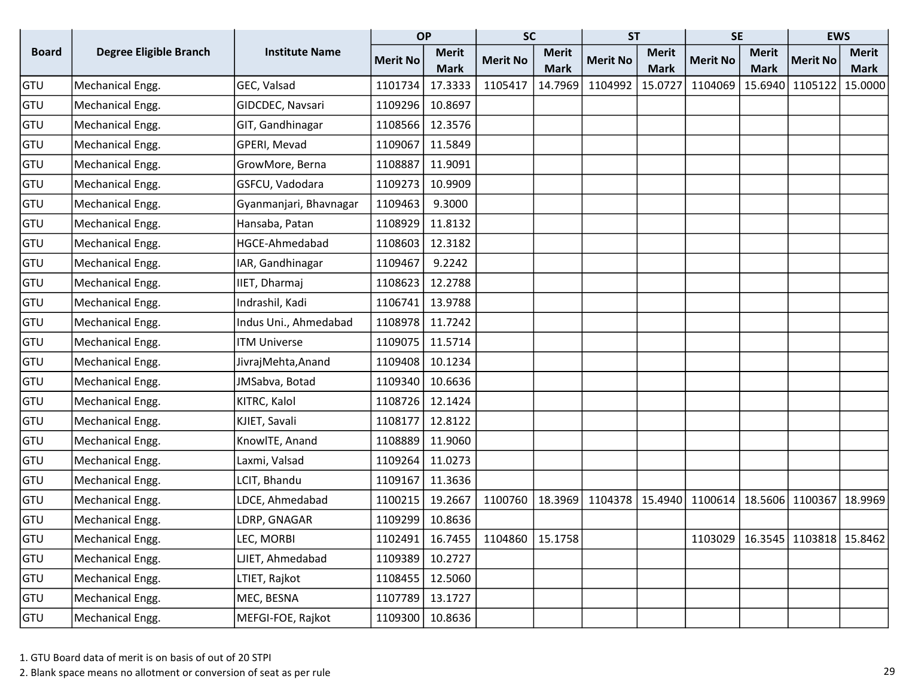|              |                               |                        | <b>OP</b>       |              | <b>SC</b>                             |              | <b>ST</b>       |              | <b>SE</b>         |              | <b>EWS</b>                            |              |
|--------------|-------------------------------|------------------------|-----------------|--------------|---------------------------------------|--------------|-----------------|--------------|-------------------|--------------|---------------------------------------|--------------|
| <b>Board</b> | <b>Degree Eligible Branch</b> | <b>Institute Name</b>  | <b>Merit No</b> | <b>Merit</b> | <b>Merit No</b>                       | <b>Merit</b> | <b>Merit No</b> | <b>Merit</b> | <b>Merit No</b>   | <b>Merit</b> | <b>Merit No</b>                       | <b>Merit</b> |
|              |                               |                        |                 | <b>Mark</b>  |                                       | <b>Mark</b>  |                 | <b>Mark</b>  |                   | <b>Mark</b>  |                                       | <b>Mark</b>  |
| <b>GTU</b>   | Mechanical Engg.              | GEC, Valsad            | 1101734         | 17.3333      | 1105417                               | 14.7969      | 1104992         | 15.0727      | 1104069           | 15.6940      | 1105122                               | 15.0000      |
| GTU          | Mechanical Engg.              | GIDCDEC, Navsari       | 1109296         | 10.8697      |                                       |              |                 |              |                   |              |                                       |              |
| <b>GTU</b>   | Mechanical Engg.              | GIT, Gandhinagar       | 1108566         | 12.3576      |                                       |              |                 |              |                   |              |                                       |              |
| GTU          | Mechanical Engg.              | GPERI, Mevad           | 1109067         | 11.5849      |                                       |              |                 |              |                   |              |                                       |              |
| <b>GTU</b>   | Mechanical Engg.              | GrowMore, Berna        | 1108887         | 11.9091      |                                       |              |                 |              |                   |              |                                       |              |
| GTU          | Mechanical Engg.              | GSFCU, Vadodara        | 1109273         | 10.9909      |                                       |              |                 |              |                   |              |                                       |              |
| <b>GTU</b>   | Mechanical Engg.              | Gyanmanjari, Bhavnagar | 1109463         | 9.3000       |                                       |              |                 |              |                   |              |                                       |              |
| <b>GTU</b>   | Mechanical Engg.              | Hansaba, Patan         | 1108929         | 11.8132      |                                       |              |                 |              |                   |              |                                       |              |
| GTU          | Mechanical Engg.              | HGCE-Ahmedabad         | 1108603         | 12.3182      |                                       |              |                 |              |                   |              |                                       |              |
| <b>GTU</b>   | Mechanical Engg.              | IAR, Gandhinagar       | 1109467         | 9.2242       |                                       |              |                 |              |                   |              |                                       |              |
| GTU          | Mechanical Engg.              | IIET, Dharmaj          | 1108623         | 12.2788      |                                       |              |                 |              |                   |              |                                       |              |
| GTU          | Mechanical Engg.              | Indrashil, Kadi        | 1106741         | 13.9788      |                                       |              |                 |              |                   |              |                                       |              |
| GTU          | Mechanical Engg.              | Indus Uni., Ahmedabad  | 1108978         | 11.7242      |                                       |              |                 |              |                   |              |                                       |              |
| GTU          | Mechanical Engg.              | <b>ITM Universe</b>    | 1109075         | 11.5714      |                                       |              |                 |              |                   |              |                                       |              |
| <b>GTU</b>   | Mechanical Engg.              | JivrajMehta, Anand     | 1109408         | 10.1234      |                                       |              |                 |              |                   |              |                                       |              |
| GTU          | Mechanical Engg.              | JMSabva, Botad         | 1109340         | 10.6636      |                                       |              |                 |              |                   |              |                                       |              |
| <b>GTU</b>   | Mechanical Engg.              | KITRC, Kalol           | 1108726         | 12.1424      |                                       |              |                 |              |                   |              |                                       |              |
| GTU          | Mechanical Engg.              | KJIET, Savali          | 1108177         | 12.8122      |                                       |              |                 |              |                   |              |                                       |              |
| GTU          | Mechanical Engg.              | KnowlTE, Anand         | 1108889         | 11.9060      |                                       |              |                 |              |                   |              |                                       |              |
| <b>GTU</b>   | Mechanical Engg.              | Laxmi, Valsad          | 1109264         | 11.0273      |                                       |              |                 |              |                   |              |                                       |              |
| <b>GTU</b>   | Mechanical Engg.              | LCIT, Bhandu           | 1109167         | 11.3636      |                                       |              |                 |              |                   |              |                                       |              |
| GTU          | Mechanical Engg.              | LDCE, Ahmedabad        | 1100215         | 19.2667      | 1100760                               | 18.3969      | 1104378         | 15.4940      | 1100614   18.5606 |              | 1100367                               | 18.9969      |
| <b>GTU</b>   | Mechanical Engg.              | LDRP, GNAGAR           | 1109299         | 10.8636      |                                       |              |                 |              |                   |              |                                       |              |
| GTU          | Mechanical Engg.              | LEC, MORBI             |                 |              | 1102491   16.7455   1104860   15.1758 |              |                 |              |                   |              | 1103029   16.3545   1103818   15.8462 |              |
| GTU          | Mechanical Engg.              | LJIET, Ahmedabad       | 1109389         | 10.2727      |                                       |              |                 |              |                   |              |                                       |              |
| GTU          | Mechanical Engg.              | LTIET, Rajkot          | 1108455         | 12.5060      |                                       |              |                 |              |                   |              |                                       |              |
| GTU          | Mechanical Engg.              | MEC, BESNA             | 1107789         | 13.1727      |                                       |              |                 |              |                   |              |                                       |              |
| <b>GTU</b>   | Mechanical Engg.              | MEFGI-FOE, Rajkot      | 1109300         | 10.8636      |                                       |              |                 |              |                   |              |                                       |              |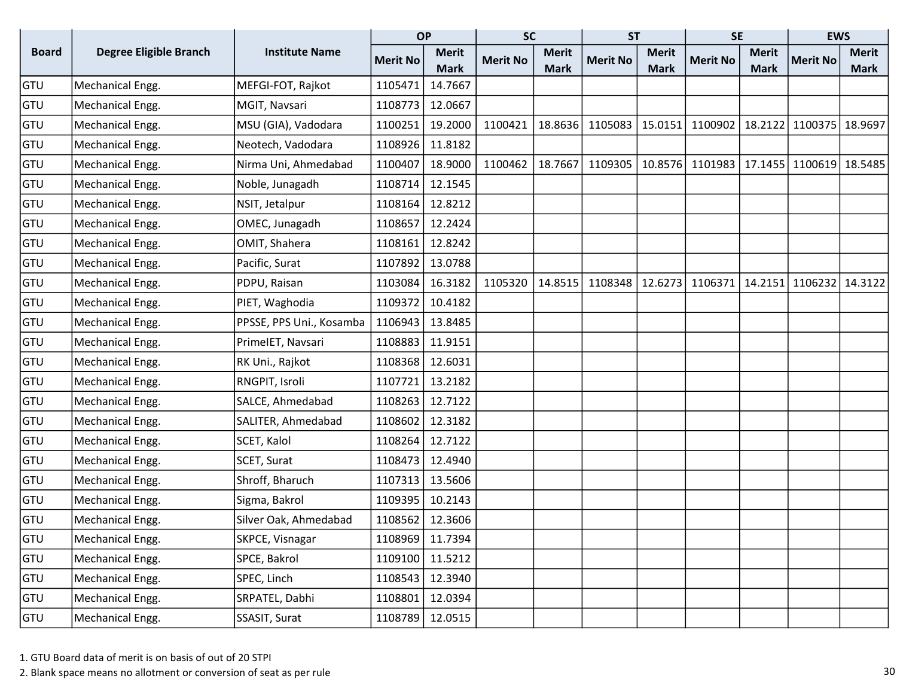|              |                               |                          | <b>OP</b>       |              | <b>SC</b>       |              | <b>ST</b>       |              | <b>SE</b>       |              | <b>EWS</b>                  |              |
|--------------|-------------------------------|--------------------------|-----------------|--------------|-----------------|--------------|-----------------|--------------|-----------------|--------------|-----------------------------|--------------|
| <b>Board</b> | <b>Degree Eligible Branch</b> | <b>Institute Name</b>    | <b>Merit No</b> | <b>Merit</b> | <b>Merit No</b> | <b>Merit</b> | <b>Merit No</b> | <b>Merit</b> | <b>Merit No</b> | <b>Merit</b> | <b>Merit No</b>             | <b>Merit</b> |
|              |                               |                          |                 | <b>Mark</b>  |                 | <b>Mark</b>  |                 | <b>Mark</b>  |                 | <b>Mark</b>  |                             | <b>Mark</b>  |
| GTU          | Mechanical Engg.              | MEFGI-FOT, Rajkot        | 1105471         | 14.7667      |                 |              |                 |              |                 |              |                             |              |
| GTU          | Mechanical Engg.              | MGIT, Navsari            | 1108773         | 12.0667      |                 |              |                 |              |                 |              |                             |              |
| GTU          | Mechanical Engg.              | MSU (GIA), Vadodara      | 1100251         | 19.2000      | 1100421         | 18.8636      | 1105083         | 15.0151      | 1100902         |              | 18.2122 1100375             | 18.9697      |
| GTU          | Mechanical Engg.              | Neotech, Vadodara        | 1108926         | 11.8182      |                 |              |                 |              |                 |              |                             |              |
| GTU          | Mechanical Engg.              | Nirma Uni, Ahmedabad     | 1100407         | 18.9000      | 1100462         | 18.7667      | 1109305         | 10.8576      |                 |              | 1101983   17.1455   1100619 | 18.5485      |
| GTU          | Mechanical Engg.              | Noble, Junagadh          | 1108714         | 12.1545      |                 |              |                 |              |                 |              |                             |              |
| GTU          | Mechanical Engg.              | NSIT, Jetalpur           | 1108164         | 12.8212      |                 |              |                 |              |                 |              |                             |              |
| GTU          | Mechanical Engg.              | OMEC, Junagadh           | 1108657         | 12.2424      |                 |              |                 |              |                 |              |                             |              |
| GTU          | Mechanical Engg.              | OMIT, Shahera            | 1108161         | 12.8242      |                 |              |                 |              |                 |              |                             |              |
| GTU          | Mechanical Engg.              | Pacific, Surat           | 1107892         | 13.0788      |                 |              |                 |              |                 |              |                             |              |
| GTU          | Mechanical Engg.              | PDPU, Raisan             | 1103084         | 16.3182      | 1105320         | 14.8515      | 1108348         | 12.6273      | 1106371         | 14.2151      | 1106232                     | 14.3122      |
| GTU          | Mechanical Engg.              | PIET, Waghodia           | 1109372         | 10.4182      |                 |              |                 |              |                 |              |                             |              |
| GTU          | Mechanical Engg.              | PPSSE, PPS Uni., Kosamba | 1106943         | 13.8485      |                 |              |                 |              |                 |              |                             |              |
| GTU          | Mechanical Engg.              | PrimeIET, Navsari        | 1108883         | 11.9151      |                 |              |                 |              |                 |              |                             |              |
| GTU          | Mechanical Engg.              | RK Uni., Rajkot          | 1108368         | 12.6031      |                 |              |                 |              |                 |              |                             |              |
| GTU          | Mechanical Engg.              | RNGPIT, Isroli           | 1107721         | 13.2182      |                 |              |                 |              |                 |              |                             |              |
| GTU          | Mechanical Engg.              | SALCE, Ahmedabad         | 1108263         | 12.7122      |                 |              |                 |              |                 |              |                             |              |
| GTU          | Mechanical Engg.              | SALITER, Ahmedabad       | 1108602         | 12.3182      |                 |              |                 |              |                 |              |                             |              |
| GTU          | Mechanical Engg.              | SCET, Kalol              | 1108264         | 12.7122      |                 |              |                 |              |                 |              |                             |              |
| GTU          | Mechanical Engg.              | SCET, Surat              | 1108473         | 12.4940      |                 |              |                 |              |                 |              |                             |              |
| GTU          | Mechanical Engg.              | Shroff, Bharuch          | 1107313         | 13.5606      |                 |              |                 |              |                 |              |                             |              |
| GTU          | Mechanical Engg.              | Sigma, Bakrol            | 1109395         | 10.2143      |                 |              |                 |              |                 |              |                             |              |
| GTU          | Mechanical Engg.              | Silver Oak, Ahmedabad    | 1108562         | 12.3606      |                 |              |                 |              |                 |              |                             |              |
| GTU          | Mechanical Engg.              | SKPCE, Visnagar          | 1108969         | 11.7394      |                 |              |                 |              |                 |              |                             |              |
| GTU          | Mechanical Engg.              | SPCE, Bakrol             | 1109100         | 11.5212      |                 |              |                 |              |                 |              |                             |              |
| GTU          | Mechanical Engg.              | SPEC, Linch              | 1108543         | 12.3940      |                 |              |                 |              |                 |              |                             |              |
| GTU          | Mechanical Engg.              | SRPATEL, Dabhi           | 1108801         | 12.0394      |                 |              |                 |              |                 |              |                             |              |
| <b>GTU</b>   | Mechanical Engg.              | SSASIT, Surat            | 1108789         | 12.0515      |                 |              |                 |              |                 |              |                             |              |

2. Blank space means no allotment or conversion of seat as per rule 30 and 30 and 30 and 30 and 30 and 30 and 30 and 30 and 30 and 30 and 30 and 30 and 30 and 30 and 30 and 30 and 30 and 30 and 30 and 30 and 30 and 30 and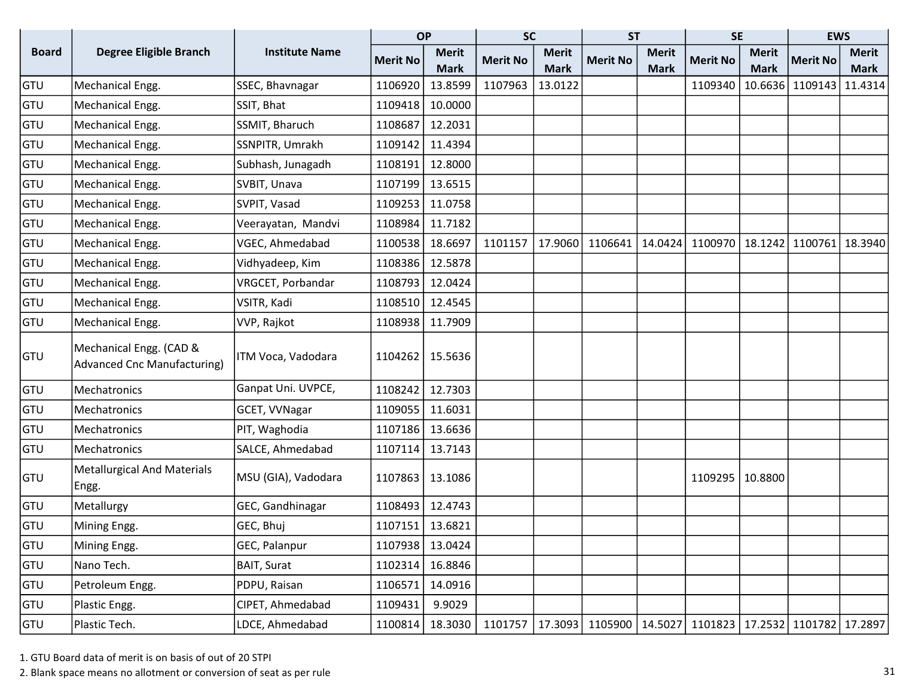|              |                                                               |                       | <b>OP</b>       |              | <b>SC</b>       |              | <b>ST</b>       |              | <b>SE</b>                                                           |              | <b>EWS</b>      |              |
|--------------|---------------------------------------------------------------|-----------------------|-----------------|--------------|-----------------|--------------|-----------------|--------------|---------------------------------------------------------------------|--------------|-----------------|--------------|
| <b>Board</b> | <b>Degree Eligible Branch</b>                                 | <b>Institute Name</b> | <b>Merit No</b> | <b>Merit</b> | <b>Merit No</b> | <b>Merit</b> | <b>Merit No</b> | <b>Merit</b> | <b>Merit No</b>                                                     | <b>Merit</b> | <b>Merit No</b> | <b>Merit</b> |
|              |                                                               |                       |                 | <b>Mark</b>  |                 | <b>Mark</b>  |                 | <b>Mark</b>  |                                                                     | <b>Mark</b>  |                 | <b>Mark</b>  |
| GTU          | Mechanical Engg.                                              | SSEC, Bhavnagar       | 1106920         | 13.8599      | 1107963         | 13.0122      |                 |              | 1109340                                                             | 10.6636      | 1109143         | 11.4314      |
| GTU          | Mechanical Engg.                                              | SSIT, Bhat            | 1109418         | 10.0000      |                 |              |                 |              |                                                                     |              |                 |              |
| GTU          | Mechanical Engg.                                              | SSMIT, Bharuch        | 1108687         | 12.2031      |                 |              |                 |              |                                                                     |              |                 |              |
| GTU          | Mechanical Engg.                                              | SSNPITR, Umrakh       | 1109142         | 11.4394      |                 |              |                 |              |                                                                     |              |                 |              |
| GTU          | Mechanical Engg.                                              | Subhash, Junagadh     | 1108191         | 12.8000      |                 |              |                 |              |                                                                     |              |                 |              |
| GTU          | Mechanical Engg.                                              | SVBIT, Unava          | 1107199         | 13.6515      |                 |              |                 |              |                                                                     |              |                 |              |
| GTU          | Mechanical Engg.                                              | SVPIT, Vasad          | 1109253         | 11.0758      |                 |              |                 |              |                                                                     |              |                 |              |
| GTU          | Mechanical Engg.                                              | Veerayatan, Mandvi    | 1108984         | 11.7182      |                 |              |                 |              |                                                                     |              |                 |              |
| GTU          | Mechanical Engg.                                              | VGEC, Ahmedabad       | 1100538         | 18.6697      | 1101157         | 17.9060      | 1106641         | 14.0424      | 1100970                                                             | 18.1242      | 1100761         | 18.3940      |
| GTU          | Mechanical Engg.                                              | Vidhyadeep, Kim       | 1108386         | 12.5878      |                 |              |                 |              |                                                                     |              |                 |              |
| GTU          | Mechanical Engg.                                              | VRGCET, Porbandar     | 1108793         | 12.0424      |                 |              |                 |              |                                                                     |              |                 |              |
| GTU          | Mechanical Engg.                                              | VSITR, Kadi           | 1108510         | 12.4545      |                 |              |                 |              |                                                                     |              |                 |              |
| GTU          | Mechanical Engg.                                              | VVP, Rajkot           | 1108938         | 11.7909      |                 |              |                 |              |                                                                     |              |                 |              |
| <b>GTU</b>   | Mechanical Engg. (CAD &<br><b>Advanced Cnc Manufacturing)</b> | ITM Voca, Vadodara    | 1104262         | 15.5636      |                 |              |                 |              |                                                                     |              |                 |              |
| GTU          | Mechatronics                                                  | Ganpat Uni. UVPCE,    | 1108242         | 12.7303      |                 |              |                 |              |                                                                     |              |                 |              |
| GTU          | Mechatronics                                                  | GCET, VVNagar         | 1109055         | 11.6031      |                 |              |                 |              |                                                                     |              |                 |              |
| GTU          | Mechatronics                                                  | PIT, Waghodia         | 1107186         | 13.6636      |                 |              |                 |              |                                                                     |              |                 |              |
| GTU          | Mechatronics                                                  | SALCE, Ahmedabad      | 1107114         | 13.7143      |                 |              |                 |              |                                                                     |              |                 |              |
| GTU          | <b>Metallurgical And Materials</b><br>Engg.                   | MSU (GIA), Vadodara   | 1107863         | 13.1086      |                 |              |                 |              | 1109295                                                             | 10.8800      |                 |              |
| GTU          | Metallurgy                                                    | GEC, Gandhinagar      | 1108493         | 12.4743      |                 |              |                 |              |                                                                     |              |                 |              |
| GTU          | Mining Engg.                                                  | GEC, Bhuj             | 1107151         | 13.6821      |                 |              |                 |              |                                                                     |              |                 |              |
| GTU          | Mining Engg.                                                  | GEC, Palanpur         | 1107938 13.0424 |              |                 |              |                 |              |                                                                     |              |                 |              |
| GTU          | Nano Tech.                                                    | BAIT, Surat           | 1102314         | 16.8846      |                 |              |                 |              |                                                                     |              |                 |              |
| GTU          | Petroleum Engg.                                               | PDPU, Raisan          | 1106571         | 14.0916      |                 |              |                 |              |                                                                     |              |                 |              |
| GTU          | Plastic Engg.                                                 | CIPET, Ahmedabad      | 1109431         | 9.9029       |                 |              |                 |              |                                                                     |              |                 |              |
| GTU          | Plastic Tech.                                                 | LDCE, Ahmedabad       | 1100814         | 18.3030      | 1101757         |              |                 |              | 17.3093   1105900   14.5027   1101823   17.2532   1101782   17.2897 |              |                 |              |

2. Blank space means no allotment or conversion of seat as per rule 31 and 32 seats of seat as per rule 31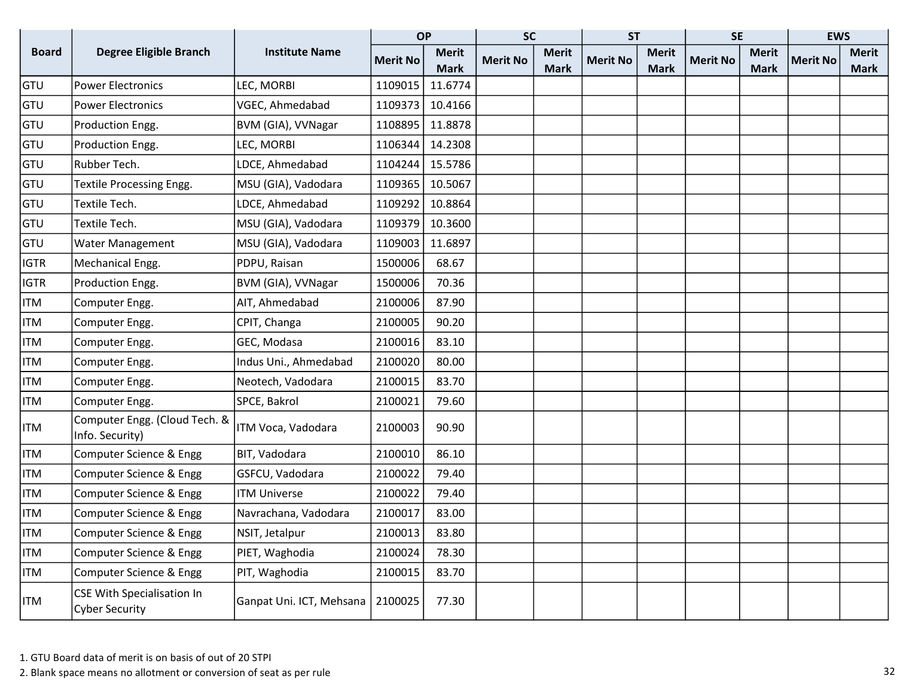|              |                                                            |                          | <b>OP</b>       |              | <b>SC</b>       |              | <b>ST</b>       |             | <b>SE</b>       |              | <b>EWS</b>      |              |
|--------------|------------------------------------------------------------|--------------------------|-----------------|--------------|-----------------|--------------|-----------------|-------------|-----------------|--------------|-----------------|--------------|
| <b>Board</b> | <b>Degree Eligible Branch</b>                              | <b>Institute Name</b>    | <b>Merit No</b> | <b>Merit</b> | <b>Merit No</b> | <b>Merit</b> | <b>Merit No</b> | Merit       | <b>Merit No</b> | <b>Merit</b> | <b>Merit No</b> | <b>Merit</b> |
|              |                                                            |                          |                 | <b>Mark</b>  |                 | <b>Mark</b>  |                 | <b>Mark</b> |                 | <b>Mark</b>  |                 | Mark         |
| GTU          | <b>Power Electronics</b>                                   | LEC, MORBI               | 1109015         | 11.6774      |                 |              |                 |             |                 |              |                 |              |
| GTU          | <b>Power Electronics</b>                                   | VGEC, Ahmedabad          | 1109373         | 10.4166      |                 |              |                 |             |                 |              |                 |              |
| GTU          | Production Engg.                                           | BVM (GIA), VVNagar       | 1108895         | 11.8878      |                 |              |                 |             |                 |              |                 |              |
| GTU          | Production Engg.                                           | LEC, MORBI               | 1106344         | 14.2308      |                 |              |                 |             |                 |              |                 |              |
| GTU          | Rubber Tech.                                               | LDCE, Ahmedabad          | 1104244         | 15.5786      |                 |              |                 |             |                 |              |                 |              |
| GTU          | Textile Processing Engg.                                   | MSU (GIA), Vadodara      | 1109365         | 10.5067      |                 |              |                 |             |                 |              |                 |              |
| GTU          | Textile Tech.                                              | LDCE, Ahmedabad          | 1109292         | 10.8864      |                 |              |                 |             |                 |              |                 |              |
| GTU          | Textile Tech.                                              | MSU (GIA), Vadodara      | 1109379         | 10.3600      |                 |              |                 |             |                 |              |                 |              |
| GTU          | Water Management                                           | MSU (GIA), Vadodara      | 1109003         | 11.6897      |                 |              |                 |             |                 |              |                 |              |
| <b>IGTR</b>  | Mechanical Engg.                                           | PDPU, Raisan             | 1500006         | 68.67        |                 |              |                 |             |                 |              |                 |              |
| <b>IGTR</b>  | Production Engg.                                           | BVM (GIA), VVNagar       | 1500006         | 70.36        |                 |              |                 |             |                 |              |                 |              |
| <b>ITM</b>   | Computer Engg.                                             | AIT, Ahmedabad           | 2100006         | 87.90        |                 |              |                 |             |                 |              |                 |              |
| <b>ITM</b>   | Computer Engg.                                             | CPIT, Changa             | 2100005         | 90.20        |                 |              |                 |             |                 |              |                 |              |
| <b>ITM</b>   | Computer Engg.                                             | GEC, Modasa              | 2100016         | 83.10        |                 |              |                 |             |                 |              |                 |              |
| <b>ITM</b>   | Computer Engg.                                             | Indus Uni., Ahmedabad    | 2100020         | 80.00        |                 |              |                 |             |                 |              |                 |              |
| <b>ITM</b>   | Computer Engg.                                             | Neotech, Vadodara        | 2100015         | 83.70        |                 |              |                 |             |                 |              |                 |              |
| <b>ITM</b>   | Computer Engg.                                             | SPCE, Bakrol             | 2100021         | 79.60        |                 |              |                 |             |                 |              |                 |              |
| <b>ITM</b>   | Computer Engg. (Cloud Tech. &<br>Info. Security)           | ITM Voca, Vadodara       | 2100003         | 90.90        |                 |              |                 |             |                 |              |                 |              |
| <b>ITM</b>   | Computer Science & Engg                                    | BIT, Vadodara            | 2100010         | 86.10        |                 |              |                 |             |                 |              |                 |              |
| <b>ITM</b>   | Computer Science & Engg                                    | GSFCU, Vadodara          | 2100022         | 79.40        |                 |              |                 |             |                 |              |                 |              |
| <b>ITM</b>   | Computer Science & Engg                                    | <b>ITM Universe</b>      | 2100022         | 79.40        |                 |              |                 |             |                 |              |                 |              |
| <b>ITM</b>   | Computer Science & Engg                                    | Navrachana, Vadodara     | 2100017         | 83.00        |                 |              |                 |             |                 |              |                 |              |
| <b>ITM</b>   | Computer Science & Engg                                    | NSIT, Jetalpur           | 2100013         | 83.80        |                 |              |                 |             |                 |              |                 |              |
| <b>ITM</b>   | Computer Science & Engg                                    | PIET, Waghodia           | 2100024         | 78.30        |                 |              |                 |             |                 |              |                 |              |
| <b>ITM</b>   | Computer Science & Engg                                    | PIT, Waghodia            | 2100015         | 83.70        |                 |              |                 |             |                 |              |                 |              |
| ITM          | <b>CSE With Specialisation In</b><br><b>Cyber Security</b> | Ganpat Uni. ICT, Mehsana | 2100025         | 77.30        |                 |              |                 |             |                 |              |                 |              |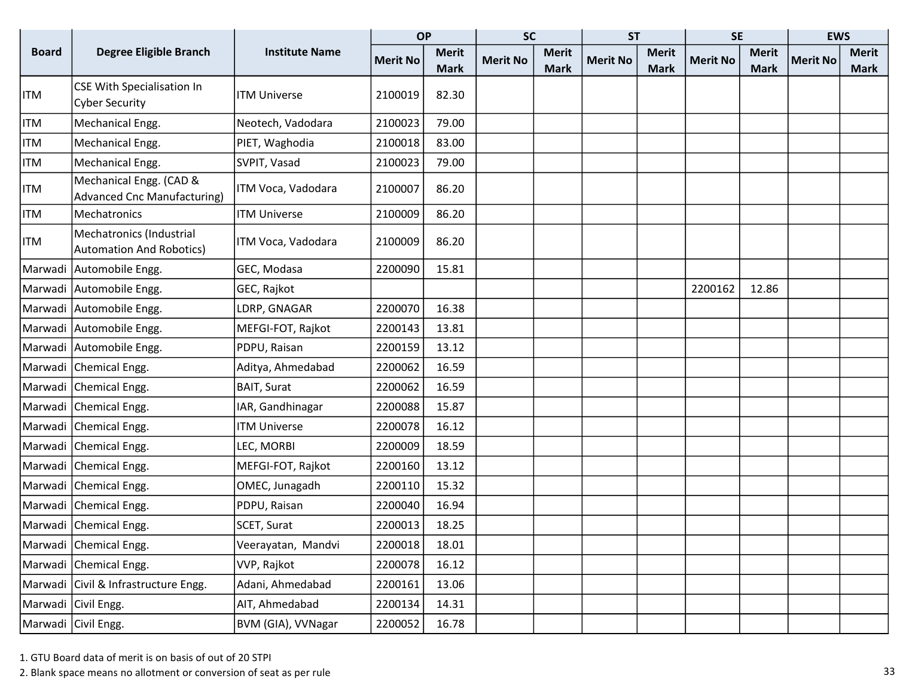|              |                                                               |                       | <b>OP</b>       |              | <b>SC</b>       |              | <b>ST</b>       |              | <b>SE</b>       |              | <b>EWS</b>      |              |
|--------------|---------------------------------------------------------------|-----------------------|-----------------|--------------|-----------------|--------------|-----------------|--------------|-----------------|--------------|-----------------|--------------|
| <b>Board</b> | <b>Degree Eligible Branch</b>                                 | <b>Institute Name</b> | <b>Merit No</b> | <b>Merit</b> | <b>Merit No</b> | <b>Merit</b> | <b>Merit No</b> | <b>Merit</b> | <b>Merit No</b> | <b>Merit</b> | <b>Merit No</b> | <b>Merit</b> |
|              |                                                               |                       |                 | <b>Mark</b>  |                 | <b>Mark</b>  |                 | <b>Mark</b>  |                 | <b>Mark</b>  |                 | <b>Mark</b>  |
| <b>ITM</b>   | CSE With Specialisation In<br><b>Cyber Security</b>           | <b>ITM Universe</b>   | 2100019         | 82.30        |                 |              |                 |              |                 |              |                 |              |
| <b>ITM</b>   | Mechanical Engg.                                              | Neotech, Vadodara     | 2100023         | 79.00        |                 |              |                 |              |                 |              |                 |              |
| <b>ITM</b>   | Mechanical Engg.                                              | PIET, Waghodia        | 2100018         | 83.00        |                 |              |                 |              |                 |              |                 |              |
| ITM          | Mechanical Engg.                                              | SVPIT, Vasad          | 2100023         | 79.00        |                 |              |                 |              |                 |              |                 |              |
| ITM          | Mechanical Engg. (CAD &<br><b>Advanced Cnc Manufacturing)</b> | ITM Voca, Vadodara    | 2100007         | 86.20        |                 |              |                 |              |                 |              |                 |              |
| <b>ITM</b>   | Mechatronics                                                  | <b>ITM Universe</b>   | 2100009         | 86.20        |                 |              |                 |              |                 |              |                 |              |
| ITM          | Mechatronics (Industrial<br><b>Automation And Robotics)</b>   | ITM Voca, Vadodara    | 2100009         | 86.20        |                 |              |                 |              |                 |              |                 |              |
|              | Marwadi Automobile Engg.                                      | GEC, Modasa           | 2200090         | 15.81        |                 |              |                 |              |                 |              |                 |              |
|              | Marwadi Automobile Engg.                                      | GEC, Rajkot           |                 |              |                 |              |                 |              | 2200162         | 12.86        |                 |              |
|              | Marwadi Automobile Engg.                                      | LDRP, GNAGAR          | 2200070         | 16.38        |                 |              |                 |              |                 |              |                 |              |
|              | Marwadi Automobile Engg.                                      | MEFGI-FOT, Rajkot     | 2200143         | 13.81        |                 |              |                 |              |                 |              |                 |              |
|              | Marwadi Automobile Engg.                                      | PDPU, Raisan          | 2200159         | 13.12        |                 |              |                 |              |                 |              |                 |              |
|              | Marwadi Chemical Engg.                                        | Aditya, Ahmedabad     | 2200062         | 16.59        |                 |              |                 |              |                 |              |                 |              |
|              | Marwadi Chemical Engg.                                        | <b>BAIT, Surat</b>    | 2200062         | 16.59        |                 |              |                 |              |                 |              |                 |              |
|              | Marwadi Chemical Engg.                                        | IAR, Gandhinagar      | 2200088         | 15.87        |                 |              |                 |              |                 |              |                 |              |
|              | Marwadi Chemical Engg.                                        | <b>ITM Universe</b>   | 2200078         | 16.12        |                 |              |                 |              |                 |              |                 |              |
|              | Marwadi Chemical Engg.                                        | LEC, MORBI            | 2200009         | 18.59        |                 |              |                 |              |                 |              |                 |              |
|              | Marwadi Chemical Engg.                                        | MEFGI-FOT, Rajkot     | 2200160         | 13.12        |                 |              |                 |              |                 |              |                 |              |
|              | Marwadi Chemical Engg.                                        | OMEC, Junagadh        | 2200110         | 15.32        |                 |              |                 |              |                 |              |                 |              |
|              | Marwadi Chemical Engg.                                        | PDPU, Raisan          | 2200040         | 16.94        |                 |              |                 |              |                 |              |                 |              |
|              | Marwadi Chemical Engg.                                        | SCET, Surat           | 2200013         | 18.25        |                 |              |                 |              |                 |              |                 |              |
|              | Marwadi Chemical Engg.                                        | Veerayatan, Mandvi    | 2200018         | 18.01        |                 |              |                 |              |                 |              |                 |              |
|              | Marwadi Chemical Engg.                                        | VVP, Rajkot           | 2200078         | 16.12        |                 |              |                 |              |                 |              |                 |              |
|              | Marwadi Civil & Infrastructure Engg.                          | Adani, Ahmedabad      | 2200161         | 13.06        |                 |              |                 |              |                 |              |                 |              |
|              | Marwadi Civil Engg.                                           | AIT, Ahmedabad        | 2200134         | 14.31        |                 |              |                 |              |                 |              |                 |              |
|              | Marwadi Civil Engg.                                           | BVM (GIA), VVNagar    | 2200052         | 16.78        |                 |              |                 |              |                 |              |                 |              |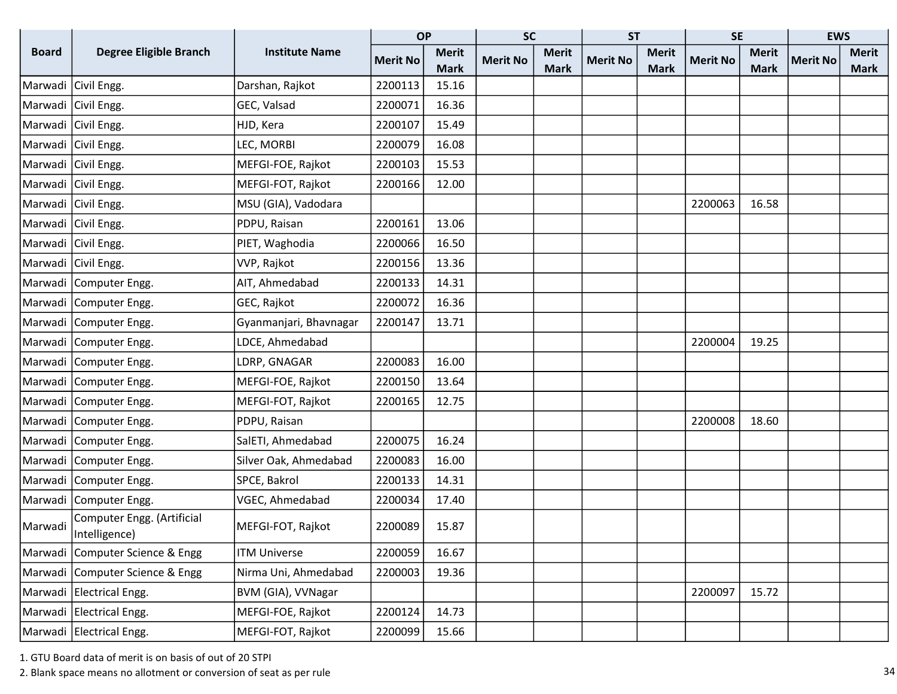|              |                                             |                        | <b>OP</b>       |              | <b>SC</b>       |              | <b>ST</b>       |              | <b>SE</b>       |              | <b>EWS</b>      |              |
|--------------|---------------------------------------------|------------------------|-----------------|--------------|-----------------|--------------|-----------------|--------------|-----------------|--------------|-----------------|--------------|
| <b>Board</b> | <b>Degree Eligible Branch</b>               | <b>Institute Name</b>  | <b>Merit No</b> | <b>Merit</b> | <b>Merit No</b> | <b>Merit</b> | <b>Merit No</b> | <b>Merit</b> | <b>Merit No</b> | <b>Merit</b> | <b>Merit No</b> | <b>Merit</b> |
|              |                                             |                        |                 | <b>Mark</b>  |                 | <b>Mark</b>  |                 | <b>Mark</b>  |                 | <b>Mark</b>  |                 | <b>Mark</b>  |
|              | Marwadi Civil Engg.                         | Darshan, Rajkot        | 2200113         | 15.16        |                 |              |                 |              |                 |              |                 |              |
|              | Marwadi Civil Engg.                         | GEC, Valsad            | 2200071         | 16.36        |                 |              |                 |              |                 |              |                 |              |
|              | Marwadi Ciivil Engg.                        | HJD, Kera              | 2200107         | 15.49        |                 |              |                 |              |                 |              |                 |              |
|              | Marwadi Civil Engg.                         | LEC, MORBI             | 2200079         | 16.08        |                 |              |                 |              |                 |              |                 |              |
|              | Marwadi Civil Engg.                         | MEFGI-FOE, Rajkot      | 2200103         | 15.53        |                 |              |                 |              |                 |              |                 |              |
|              | Marwadi Civil Engg.                         | MEFGI-FOT, Rajkot      | 2200166         | 12.00        |                 |              |                 |              |                 |              |                 |              |
|              | Marwadi Civil Engg.                         | MSU (GIA), Vadodara    |                 |              |                 |              |                 |              | 2200063         | 16.58        |                 |              |
|              | Marwadi Civil Engg.                         | PDPU, Raisan           | 2200161         | 13.06        |                 |              |                 |              |                 |              |                 |              |
|              | Marwadi Civil Engg.                         | PIET, Waghodia         | 2200066         | 16.50        |                 |              |                 |              |                 |              |                 |              |
|              | Marwadi Civil Engg.                         | VVP, Rajkot            | 2200156         | 13.36        |                 |              |                 |              |                 |              |                 |              |
|              | Marwadi   Computer Engg.                    | AIT, Ahmedabad         | 2200133         | 14.31        |                 |              |                 |              |                 |              |                 |              |
|              | Marwadi   Computer Engg.                    | GEC, Rajkot            | 2200072         | 16.36        |                 |              |                 |              |                 |              |                 |              |
|              | Marwadi   Computer Engg.                    | Gyanmanjari, Bhavnagar | 2200147         | 13.71        |                 |              |                 |              |                 |              |                 |              |
|              | Marwadi   Computer Engg.                    | LDCE, Ahmedabad        |                 |              |                 |              |                 |              | 2200004         | 19.25        |                 |              |
|              | Marwadi   Computer Engg.                    | LDRP, GNAGAR           | 2200083         | 16.00        |                 |              |                 |              |                 |              |                 |              |
|              | Marwadi   Computer Engg.                    | MEFGI-FOE, Rajkot      | 2200150         | 13.64        |                 |              |                 |              |                 |              |                 |              |
|              | Marwadi   Computer Engg.                    | MEFGI-FOT, Rajkot      | 2200165         | 12.75        |                 |              |                 |              |                 |              |                 |              |
|              | Marwadi   Computer Engg.                    | PDPU, Raisan           |                 |              |                 |              |                 |              | 2200008         | 18.60        |                 |              |
|              | Marwadi   Computer Engg.                    | SalETI, Ahmedabad      | 2200075         | 16.24        |                 |              |                 |              |                 |              |                 |              |
|              | Marwadi   Computer Engg.                    | Silver Oak, Ahmedabad  | 2200083         | 16.00        |                 |              |                 |              |                 |              |                 |              |
|              | Marwadi   Computer Engg.                    | SPCE, Bakrol           | 2200133         | 14.31        |                 |              |                 |              |                 |              |                 |              |
|              | Marwadi   Computer Engg.                    | VGEC, Ahmedabad        | 2200034         | 17.40        |                 |              |                 |              |                 |              |                 |              |
| Marwadi      | Computer Engg. (Artificial<br>Intelligence) | MEFGI-FOT, Rajkot      | 2200089         | 15.87        |                 |              |                 |              |                 |              |                 |              |
|              | Marwadi Computer Science & Engg             | <b>ITM Universe</b>    | 2200059         | 16.67        |                 |              |                 |              |                 |              |                 |              |
|              | Marwadi Computer Science & Engg             | Nirma Uni, Ahmedabad   | 2200003         | 19.36        |                 |              |                 |              |                 |              |                 |              |
|              | Marwadi Electrical Engg.                    | BVM (GIA), VVNagar     |                 |              |                 |              |                 |              | 2200097         | 15.72        |                 |              |
|              | Marwadi Electrical Engg.                    | MEFGI-FOE, Rajkot      | 2200124         | 14.73        |                 |              |                 |              |                 |              |                 |              |
|              | Marwadi   Electrical Engg.                  | MEFGI-FOT, Rajkot      | 2200099         | 15.66        |                 |              |                 |              |                 |              |                 |              |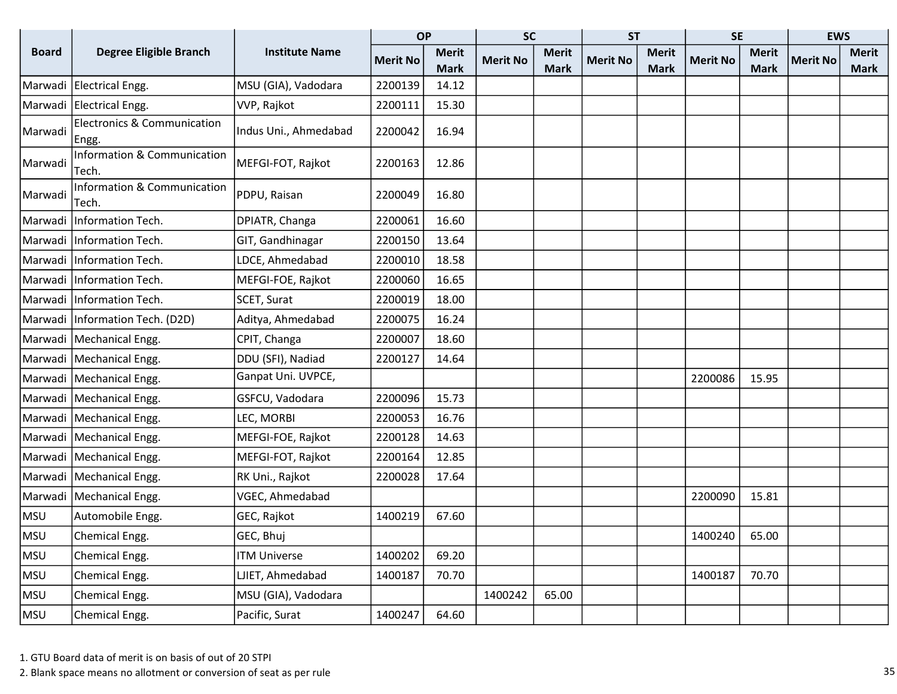|              |                                                  |                       | <b>OP</b>       |                             | <b>SC</b>       |                             | <b>ST</b>       |                             | <b>SE</b>       |                             | <b>EWS</b>      |                             |
|--------------|--------------------------------------------------|-----------------------|-----------------|-----------------------------|-----------------|-----------------------------|-----------------|-----------------------------|-----------------|-----------------------------|-----------------|-----------------------------|
| <b>Board</b> | <b>Degree Eligible Branch</b>                    | <b>Institute Name</b> | <b>Merit No</b> | <b>Merit</b><br><b>Mark</b> | <b>Merit No</b> | <b>Merit</b><br><b>Mark</b> | <b>Merit No</b> | <b>Merit</b><br><b>Mark</b> | <b>Merit No</b> | <b>Merit</b><br><b>Mark</b> | <b>Merit No</b> | <b>Merit</b><br><b>Mark</b> |
| Marwadi      | Electrical Engg.                                 | MSU (GIA), Vadodara   | 2200139         | 14.12                       |                 |                             |                 |                             |                 |                             |                 |                             |
| Marwadi      | Electrical Engg.                                 | VVP, Rajkot           | 2200111         | 15.30                       |                 |                             |                 |                             |                 |                             |                 |                             |
| Marwadi      | <b>Electronics &amp; Communication</b><br>∣Engg. | Indus Uni., Ahmedabad | 2200042         | 16.94                       |                 |                             |                 |                             |                 |                             |                 |                             |
| Marwadi      | Information & Communication<br>Tech.             | MEFGI-FOT, Rajkot     | 2200163         | 12.86                       |                 |                             |                 |                             |                 |                             |                 |                             |
| Marwadi      | Information & Communication<br>Tech.             | PDPU, Raisan          | 2200049         | 16.80                       |                 |                             |                 |                             |                 |                             |                 |                             |
| Marwadi      | Information Tech.                                | DPIATR, Changa        | 2200061         | 16.60                       |                 |                             |                 |                             |                 |                             |                 |                             |
| Marwadi      | Information Tech.                                | GIT, Gandhinagar      | 2200150         | 13.64                       |                 |                             |                 |                             |                 |                             |                 |                             |
| Marwadi      | Information Tech.                                | LDCE, Ahmedabad       | 2200010         | 18.58                       |                 |                             |                 |                             |                 |                             |                 |                             |
| Marwadi      | Information Tech.                                | MEFGI-FOE, Rajkot     | 2200060         | 16.65                       |                 |                             |                 |                             |                 |                             |                 |                             |
| Marwadi      | Information Tech.                                | SCET, Surat           | 2200019         | 18.00                       |                 |                             |                 |                             |                 |                             |                 |                             |
| Marwadi      | Information Tech. (D2D)                          | Aditya, Ahmedabad     | 2200075         | 16.24                       |                 |                             |                 |                             |                 |                             |                 |                             |
| Marwadi      | Mechanical Engg.                                 | CPIT, Changa          | 2200007         | 18.60                       |                 |                             |                 |                             |                 |                             |                 |                             |
|              | Marwadi   Mechanical Engg.                       | DDU (SFI), Nadiad     | 2200127         | 14.64                       |                 |                             |                 |                             |                 |                             |                 |                             |
|              | Marwadi   Mechanical Engg.                       | Ganpat Uni. UVPCE,    |                 |                             |                 |                             |                 |                             | 2200086         | 15.95                       |                 |                             |
| Marwadi      | Mechanical Engg.                                 | GSFCU, Vadodara       | 2200096         | 15.73                       |                 |                             |                 |                             |                 |                             |                 |                             |
| Marwadi      | Mechanical Engg.                                 | LEC, MORBI            | 2200053         | 16.76                       |                 |                             |                 |                             |                 |                             |                 |                             |
| Marwadi      | Mechanical Engg.                                 | MEFGI-FOE, Rajkot     | 2200128         | 14.63                       |                 |                             |                 |                             |                 |                             |                 |                             |
| Marwadi      | Mechanical Engg.                                 | MEFGI-FOT, Rajkot     | 2200164         | 12.85                       |                 |                             |                 |                             |                 |                             |                 |                             |
| Marwadi      | Mechanical Engg.                                 | RK Uni., Rajkot       | 2200028         | 17.64                       |                 |                             |                 |                             |                 |                             |                 |                             |
| Marwadi      | Mechanical Engg.                                 | VGEC, Ahmedabad       |                 |                             |                 |                             |                 |                             | 2200090         | 15.81                       |                 |                             |
| MSU          | Automobile Engg.                                 | GEC, Rajkot           | 1400219         | 67.60                       |                 |                             |                 |                             |                 |                             |                 |                             |
| MSU          | Chemical Engg.                                   | GEC, Bhuj             |                 |                             |                 |                             |                 |                             | 1400240         | 65.00                       |                 |                             |
| MSU          | Chemical Engg.                                   | <b>ITM Universe</b>   | 1400202         | 69.20                       |                 |                             |                 |                             |                 |                             |                 |                             |
| MSU          | Chemical Engg.                                   | LJIET, Ahmedabad      | 1400187         | 70.70                       |                 |                             |                 |                             | 1400187         | 70.70                       |                 |                             |
| MSU          | Chemical Engg.                                   | MSU (GIA), Vadodara   |                 |                             | 1400242         | 65.00                       |                 |                             |                 |                             |                 |                             |
| MSU          | Chemical Engg.                                   | Pacific, Surat        | 1400247         | 64.60                       |                 |                             |                 |                             |                 |                             |                 |                             |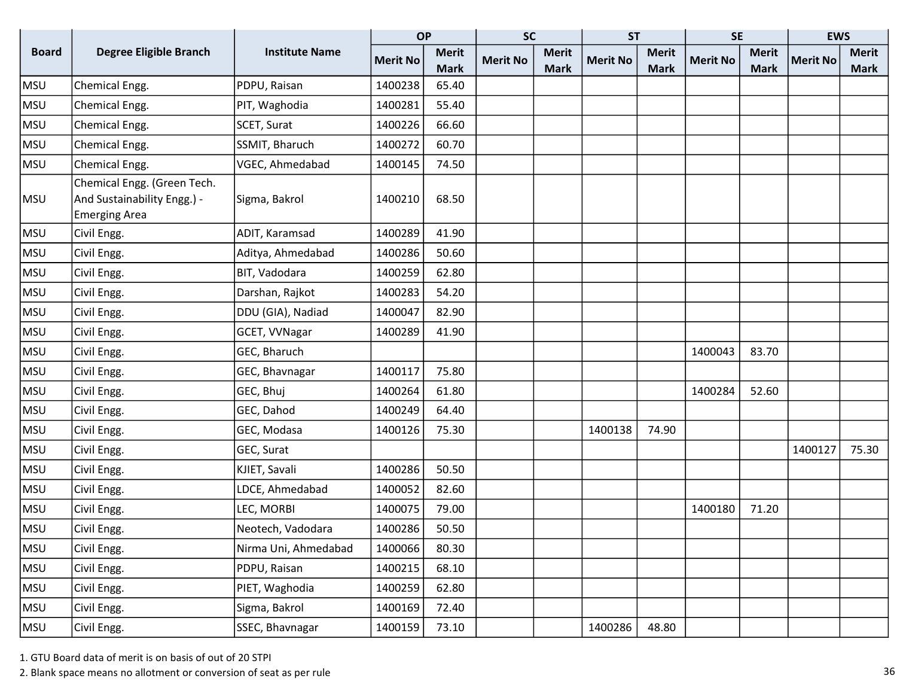|              |                                                                                    |                       | <b>OP</b>       |              | <b>SC</b>       |              | <b>ST</b>       |              | <b>SE</b>       |              | <b>EWS</b>      |              |
|--------------|------------------------------------------------------------------------------------|-----------------------|-----------------|--------------|-----------------|--------------|-----------------|--------------|-----------------|--------------|-----------------|--------------|
| <b>Board</b> | <b>Degree Eligible Branch</b>                                                      | <b>Institute Name</b> | <b>Merit No</b> | <b>Merit</b> | <b>Merit No</b> | <b>Merit</b> | <b>Merit No</b> | <b>Merit</b> | <b>Merit No</b> | <b>Merit</b> | <b>Merit No</b> | <b>Merit</b> |
|              |                                                                                    |                       |                 | <b>Mark</b>  |                 | <b>Mark</b>  |                 | <b>Mark</b>  |                 | <b>Mark</b>  |                 | <b>Mark</b>  |
| <b>MSU</b>   | Chemical Engg.                                                                     | PDPU, Raisan          | 1400238         | 65.40        |                 |              |                 |              |                 |              |                 |              |
| <b>MSU</b>   | Chemical Engg.                                                                     | PIT, Waghodia         | 1400281         | 55.40        |                 |              |                 |              |                 |              |                 |              |
| <b>MSU</b>   | Chemical Engg.                                                                     | SCET, Surat           | 1400226         | 66.60        |                 |              |                 |              |                 |              |                 |              |
| <b>MSU</b>   | Chemical Engg.                                                                     | SSMIT, Bharuch        | 1400272         | 60.70        |                 |              |                 |              |                 |              |                 |              |
| <b>MSU</b>   | Chemical Engg.                                                                     | VGEC, Ahmedabad       | 1400145         | 74.50        |                 |              |                 |              |                 |              |                 |              |
| <b>MSU</b>   | Chemical Engg. (Green Tech.<br>And Sustainability Engg.) -<br><b>Emerging Area</b> | Sigma, Bakrol         | 1400210         | 68.50        |                 |              |                 |              |                 |              |                 |              |
| <b>MSU</b>   | Civil Engg.                                                                        | ADIT, Karamsad        | 1400289         | 41.90        |                 |              |                 |              |                 |              |                 |              |
| MSU          | Civil Engg.                                                                        | Aditya, Ahmedabad     | 1400286         | 50.60        |                 |              |                 |              |                 |              |                 |              |
| <b>MSU</b>   | Civil Engg.                                                                        | BIT, Vadodara         | 1400259         | 62.80        |                 |              |                 |              |                 |              |                 |              |
| <b>MSU</b>   | Civil Engg.                                                                        | Darshan, Rajkot       | 1400283         | 54.20        |                 |              |                 |              |                 |              |                 |              |
| MSU          | Civil Engg.                                                                        | DDU (GIA), Nadiad     | 1400047         | 82.90        |                 |              |                 |              |                 |              |                 |              |
| <b>MSU</b>   | Civil Engg.                                                                        | GCET, VVNagar         | 1400289         | 41.90        |                 |              |                 |              |                 |              |                 |              |
| <b>MSU</b>   | Civil Engg.                                                                        | GEC, Bharuch          |                 |              |                 |              |                 |              | 1400043         | 83.70        |                 |              |
| <b>MSU</b>   | Civil Engg.                                                                        | GEC, Bhavnagar        | 1400117         | 75.80        |                 |              |                 |              |                 |              |                 |              |
| <b>MSU</b>   | Civil Engg.                                                                        | GEC, Bhuj             | 1400264         | 61.80        |                 |              |                 |              | 1400284         | 52.60        |                 |              |
| <b>MSU</b>   | Civil Engg.                                                                        | GEC, Dahod            | 1400249         | 64.40        |                 |              |                 |              |                 |              |                 |              |
| <b>MSU</b>   | Civil Engg.                                                                        | GEC, Modasa           | 1400126         | 75.30        |                 |              | 1400138         | 74.90        |                 |              |                 |              |
| MSU          | Civil Engg.                                                                        | GEC, Surat            |                 |              |                 |              |                 |              |                 |              | 1400127         | 75.30        |
| <b>MSU</b>   | Civil Engg.                                                                        | KJIET, Savali         | 1400286         | 50.50        |                 |              |                 |              |                 |              |                 |              |
| <b>MSU</b>   | Civil Engg.                                                                        | LDCE, Ahmedabad       | 1400052         | 82.60        |                 |              |                 |              |                 |              |                 |              |
| <b>MSU</b>   | Civil Engg.                                                                        | LEC, MORBI            | 1400075         | 79.00        |                 |              |                 |              | 1400180         | 71.20        |                 |              |
| <b>MSU</b>   | Civil Engg.                                                                        | Neotech, Vadodara     | 1400286         | 50.50        |                 |              |                 |              |                 |              |                 |              |
| <b>MSU</b>   | Civil Engg.                                                                        | Nirma Uni, Ahmedabad  | 1400066         | 80.30        |                 |              |                 |              |                 |              |                 |              |
| <b>MSU</b>   | Civil Engg.                                                                        | PDPU, Raisan          | 1400215         | 68.10        |                 |              |                 |              |                 |              |                 |              |
| <b>MSU</b>   | Civil Engg.                                                                        | PIET, Waghodia        | 1400259         | 62.80        |                 |              |                 |              |                 |              |                 |              |
| <b>MSU</b>   | Civil Engg.                                                                        | Sigma, Bakrol         | 1400169         | 72.40        |                 |              |                 |              |                 |              |                 |              |
| MSU          | Civil Engg.                                                                        | SSEC, Bhavnagar       | 1400159         | 73.10        |                 |              | 1400286         | 48.80        |                 |              |                 |              |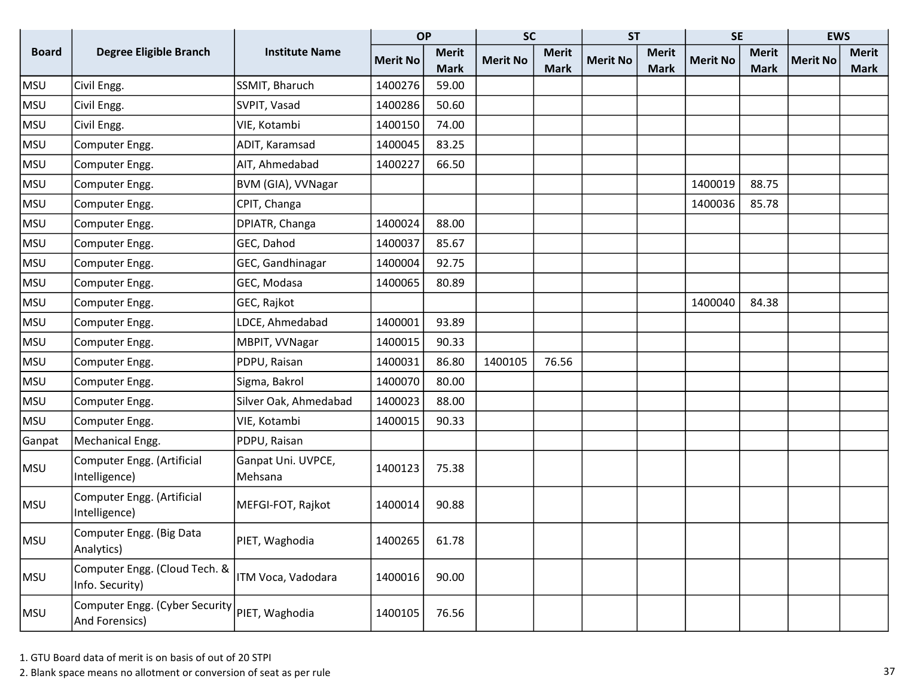|              |                                                                   |                               | <b>OP</b>       |              | <b>SC</b>       |              | <b>ST</b>       |              | <b>SE</b>       |              | <b>EWS</b>      |              |
|--------------|-------------------------------------------------------------------|-------------------------------|-----------------|--------------|-----------------|--------------|-----------------|--------------|-----------------|--------------|-----------------|--------------|
| <b>Board</b> | Degree Eligible Branch                                            | <b>Institute Name</b>         | <b>Merit No</b> | <b>Merit</b> | <b>Merit No</b> | <b>Merit</b> | <b>Merit No</b> | <b>Merit</b> | <b>Merit No</b> | <b>Merit</b> | <b>Merit No</b> | <b>Merit</b> |
|              |                                                                   |                               |                 | <b>Mark</b>  |                 | <b>Mark</b>  |                 | <b>Mark</b>  |                 | <b>Mark</b>  |                 | <b>Mark</b>  |
| <b>MSU</b>   | Civil Engg.                                                       | SSMIT, Bharuch                | 1400276         | 59.00        |                 |              |                 |              |                 |              |                 |              |
| <b>MSU</b>   | Civil Engg.                                                       | SVPIT, Vasad                  | 1400286         | 50.60        |                 |              |                 |              |                 |              |                 |              |
| <b>MSU</b>   | Civil Engg.                                                       | VIE, Kotambi                  | 1400150         | 74.00        |                 |              |                 |              |                 |              |                 |              |
| <b>MSU</b>   | Computer Engg.                                                    | ADIT, Karamsad                | 1400045         | 83.25        |                 |              |                 |              |                 |              |                 |              |
| <b>MSU</b>   | Computer Engg.                                                    | AIT, Ahmedabad                | 1400227         | 66.50        |                 |              |                 |              |                 |              |                 |              |
| <b>MSU</b>   | Computer Engg.                                                    | BVM (GIA), VVNagar            |                 |              |                 |              |                 |              | 1400019         | 88.75        |                 |              |
| <b>MSU</b>   | Computer Engg.                                                    | CPIT, Changa                  |                 |              |                 |              |                 |              | 1400036         | 85.78        |                 |              |
| <b>MSU</b>   | Computer Engg.                                                    | DPIATR, Changa                | 1400024         | 88.00        |                 |              |                 |              |                 |              |                 |              |
| <b>MSU</b>   | Computer Engg.                                                    | GEC, Dahod                    | 1400037         | 85.67        |                 |              |                 |              |                 |              |                 |              |
| MSU          | Computer Engg.                                                    | GEC, Gandhinagar              | 1400004         | 92.75        |                 |              |                 |              |                 |              |                 |              |
| <b>MSU</b>   | Computer Engg.                                                    | GEC, Modasa                   | 1400065         | 80.89        |                 |              |                 |              |                 |              |                 |              |
| <b>MSU</b>   | Computer Engg.                                                    | GEC, Rajkot                   |                 |              |                 |              |                 |              | 1400040         | 84.38        |                 |              |
| <b>MSU</b>   | Computer Engg.                                                    | LDCE, Ahmedabad               | 1400001         | 93.89        |                 |              |                 |              |                 |              |                 |              |
| <b>MSU</b>   | Computer Engg.                                                    | MBPIT, VVNagar                | 1400015         | 90.33        |                 |              |                 |              |                 |              |                 |              |
| MSU          | Computer Engg.                                                    | PDPU, Raisan                  | 1400031         | 86.80        | 1400105         | 76.56        |                 |              |                 |              |                 |              |
| <b>MSU</b>   | Computer Engg.                                                    | Sigma, Bakrol                 | 1400070         | 80.00        |                 |              |                 |              |                 |              |                 |              |
| <b>MSU</b>   | Computer Engg.                                                    | Silver Oak, Ahmedabad         | 1400023         | 88.00        |                 |              |                 |              |                 |              |                 |              |
| <b>MSU</b>   | Computer Engg.                                                    | VIE, Kotambi                  | 1400015         | 90.33        |                 |              |                 |              |                 |              |                 |              |
| Ganpat       | Mechanical Engg.                                                  | PDPU, Raisan                  |                 |              |                 |              |                 |              |                 |              |                 |              |
| MSU          | Computer Engg. (Artificial<br>Intelligence)                       | Ganpat Uni. UVPCE,<br>Mehsana | 1400123         | 75.38        |                 |              |                 |              |                 |              |                 |              |
| <b>MSU</b>   | Computer Engg. (Artificial<br>Intelligence)                       | MEFGI-FOT, Rajkot             | 1400014         | 90.88        |                 |              |                 |              |                 |              |                 |              |
| MSU          | Computer Engg. (Big Data<br>Analytics)                            | PIET, Waghodia                | 1400265         | 61.78        |                 |              |                 |              |                 |              |                 |              |
| MSU          | Computer Engg. (Cloud Tech. &<br>Info. Security)                  | ITM Voca, Vadodara            | 1400016         | 90.00        |                 |              |                 |              |                 |              |                 |              |
| MSU          | Computer Engg. (Cyber Security   PIET, Waghodia<br>And Forensics) |                               | 1400105         | 76.56        |                 |              |                 |              |                 |              |                 |              |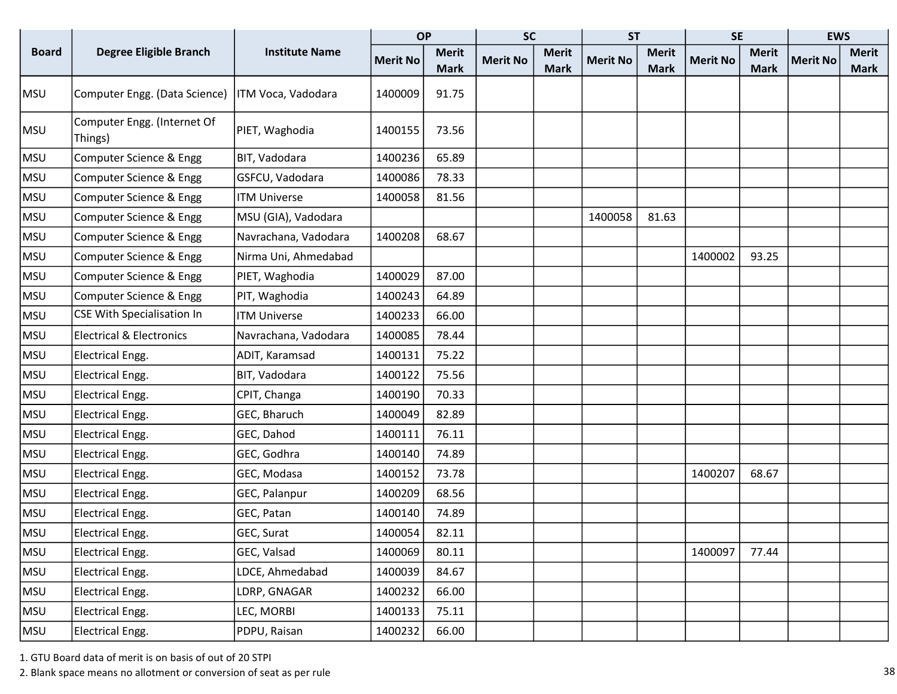|              |                                        |                       | <b>OP</b>       |                             | <b>SC</b>       |                             | <b>ST</b>       |                             | <b>SE</b>       |                             | <b>EWS</b>      |                             |
|--------------|----------------------------------------|-----------------------|-----------------|-----------------------------|-----------------|-----------------------------|-----------------|-----------------------------|-----------------|-----------------------------|-----------------|-----------------------------|
| <b>Board</b> | <b>Degree Eligible Branch</b>          | <b>Institute Name</b> | <b>Merit No</b> | <b>Merit</b><br><b>Mark</b> | <b>Merit No</b> | <b>Merit</b><br><b>Mark</b> | <b>Merit No</b> | <b>Merit</b><br><b>Mark</b> | <b>Merit No</b> | <b>Merit</b><br><b>Mark</b> | <b>Merit No</b> | <b>Merit</b><br><b>Mark</b> |
| MSU          | Computer Engg. (Data Science)          | ITM Voca, Vadodara    | 1400009         | 91.75                       |                 |                             |                 |                             |                 |                             |                 |                             |
| MSU          | Computer Engg. (Internet Of<br>Things) | PIET, Waghodia        | 1400155         | 73.56                       |                 |                             |                 |                             |                 |                             |                 |                             |
| MSU          | Computer Science & Engg                | BIT, Vadodara         | 1400236         | 65.89                       |                 |                             |                 |                             |                 |                             |                 |                             |
| MSU          | Computer Science & Engg                | GSFCU, Vadodara       | 1400086         | 78.33                       |                 |                             |                 |                             |                 |                             |                 |                             |
| MSU          | Computer Science & Engg                | <b>ITM Universe</b>   | 1400058         | 81.56                       |                 |                             |                 |                             |                 |                             |                 |                             |
| MSU          | Computer Science & Engg                | MSU (GIA), Vadodara   |                 |                             |                 |                             | 1400058         | 81.63                       |                 |                             |                 |                             |
| MSU          | Computer Science & Engg                | Navrachana, Vadodara  | 1400208         | 68.67                       |                 |                             |                 |                             |                 |                             |                 |                             |
| MSU          | Computer Science & Engg                | Nirma Uni, Ahmedabad  |                 |                             |                 |                             |                 |                             | 1400002         | 93.25                       |                 |                             |
| MSU          | Computer Science & Engg                | PIET, Waghodia        | 1400029         | 87.00                       |                 |                             |                 |                             |                 |                             |                 |                             |
| MSU          | Computer Science & Engg                | PIT, Waghodia         | 1400243         | 64.89                       |                 |                             |                 |                             |                 |                             |                 |                             |
| MSU          | CSE With Specialisation In             | <b>ITM Universe</b>   | 1400233         | 66.00                       |                 |                             |                 |                             |                 |                             |                 |                             |
| MSU          | <b>Electrical &amp; Electronics</b>    | Navrachana, Vadodara  | 1400085         | 78.44                       |                 |                             |                 |                             |                 |                             |                 |                             |
| MSU          | <b>Electrical Engg.</b>                | ADIT, Karamsad        | 1400131         | 75.22                       |                 |                             |                 |                             |                 |                             |                 |                             |
| MSU          | <b>Electrical Engg.</b>                | BIT, Vadodara         | 1400122         | 75.56                       |                 |                             |                 |                             |                 |                             |                 |                             |
| MSU          | Electrical Engg.                       | CPIT, Changa          | 1400190         | 70.33                       |                 |                             |                 |                             |                 |                             |                 |                             |
| MSU          | <b>Electrical Engg.</b>                | GEC, Bharuch          | 1400049         | 82.89                       |                 |                             |                 |                             |                 |                             |                 |                             |
| MSU          | <b>Electrical Engg.</b>                | GEC, Dahod            | 1400111         | 76.11                       |                 |                             |                 |                             |                 |                             |                 |                             |
| MSU          | Electrical Engg.                       | GEC, Godhra           | 1400140         | 74.89                       |                 |                             |                 |                             |                 |                             |                 |                             |
| MSU          | <b>Electrical Engg.</b>                | GEC, Modasa           | 1400152         | 73.78                       |                 |                             |                 |                             | 1400207         | 68.67                       |                 |                             |
| MSU          | Electrical Engg.                       | GEC, Palanpur         | 1400209         | 68.56                       |                 |                             |                 |                             |                 |                             |                 |                             |
| MSU          | Electrical Engg.                       | GEC, Patan            | 1400140         | 74.89                       |                 |                             |                 |                             |                 |                             |                 |                             |
| MSU          | Electrical Engg.                       | GEC, Surat            | 1400054         | 82.11                       |                 |                             |                 |                             |                 |                             |                 |                             |
| MSU          | <b>Electrical Engg.</b>                | GEC, Valsad           | 1400069         | 80.11                       |                 |                             |                 |                             | 1400097         | 77.44                       |                 |                             |
| MSU          | <b>Electrical Engg.</b>                | LDCE, Ahmedabad       | 1400039         | 84.67                       |                 |                             |                 |                             |                 |                             |                 |                             |
| MSU          | Electrical Engg.                       | LDRP, GNAGAR          | 1400232         | 66.00                       |                 |                             |                 |                             |                 |                             |                 |                             |
| MSU          | Electrical Engg.                       | LEC, MORBI            | 1400133         | 75.11                       |                 |                             |                 |                             |                 |                             |                 |                             |
| MSU          | <b>Electrical Engg.</b>                | PDPU, Raisan          | 1400232         | 66.00                       |                 |                             |                 |                             |                 |                             |                 |                             |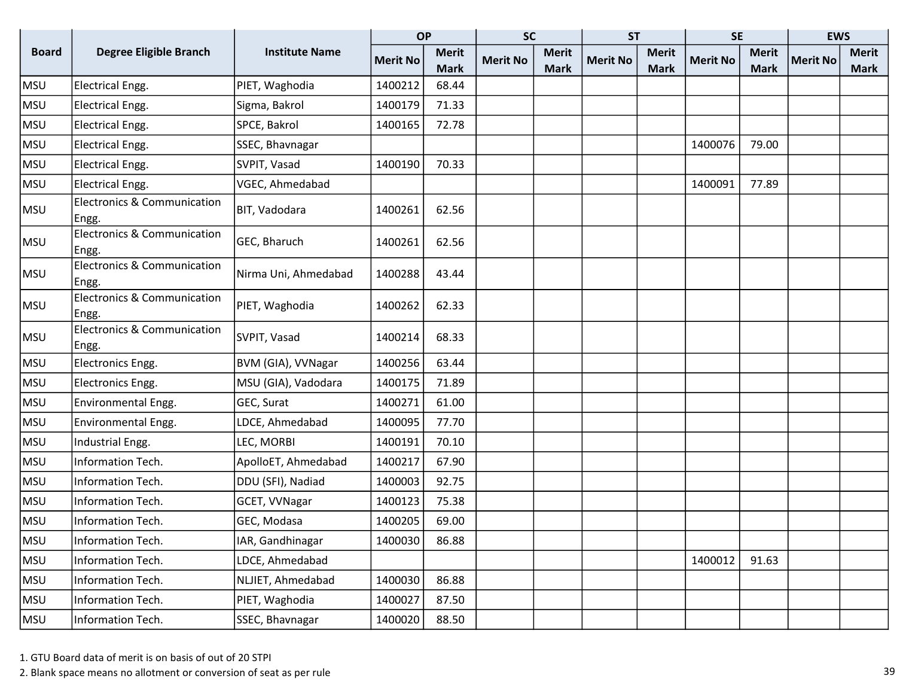|              |                                                 |                       | <b>OP</b>       |              | <b>SC</b>       |              | <b>ST</b>       |              | <b>SE</b>       |              | <b>EWS</b>      |              |
|--------------|-------------------------------------------------|-----------------------|-----------------|--------------|-----------------|--------------|-----------------|--------------|-----------------|--------------|-----------------|--------------|
| <b>Board</b> | <b>Degree Eligible Branch</b>                   | <b>Institute Name</b> | <b>Merit No</b> | <b>Merit</b> | <b>Merit No</b> | <b>Merit</b> | <b>Merit No</b> | <b>Merit</b> | <b>Merit No</b> | <b>Merit</b> | <b>Merit No</b> | <b>Merit</b> |
|              |                                                 |                       |                 | <b>Mark</b>  |                 | <b>Mark</b>  |                 | <b>Mark</b>  |                 | <b>Mark</b>  |                 | <b>Mark</b>  |
| <b>MSU</b>   | Electrical Engg.                                | PIET, Waghodia        | 1400212         | 68.44        |                 |              |                 |              |                 |              |                 |              |
| <b>MSU</b>   | Electrical Engg.                                | Sigma, Bakrol         | 1400179         | 71.33        |                 |              |                 |              |                 |              |                 |              |
| <b>MSU</b>   | Electrical Engg.                                | SPCE, Bakrol          | 1400165         | 72.78        |                 |              |                 |              |                 |              |                 |              |
| <b>MSU</b>   | Electrical Engg.                                | SSEC, Bhavnagar       |                 |              |                 |              |                 |              | 1400076         | 79.00        |                 |              |
| <b>MSU</b>   | Electrical Engg.                                | SVPIT, Vasad          | 1400190         | 70.33        |                 |              |                 |              |                 |              |                 |              |
| <b>MSU</b>   | Electrical Engg.                                | VGEC, Ahmedabad       |                 |              |                 |              |                 |              | 1400091         | 77.89        |                 |              |
| <b>MSU</b>   | <b>Electronics &amp; Communication</b><br>Engg. | BIT, Vadodara         | 1400261         | 62.56        |                 |              |                 |              |                 |              |                 |              |
| <b>MSU</b>   | <b>Electronics &amp; Communication</b><br>Engg. | GEC, Bharuch          | 1400261         | 62.56        |                 |              |                 |              |                 |              |                 |              |
| <b>MSU</b>   | <b>Electronics &amp; Communication</b><br>Engg. | Nirma Uni, Ahmedabad  | 1400288         | 43.44        |                 |              |                 |              |                 |              |                 |              |
| <b>MSU</b>   | <b>Electronics &amp; Communication</b><br>Engg. | PIET, Waghodia        | 1400262         | 62.33        |                 |              |                 |              |                 |              |                 |              |
| <b>MSU</b>   | <b>Electronics &amp; Communication</b><br>Engg. | SVPIT, Vasad          | 1400214         | 68.33        |                 |              |                 |              |                 |              |                 |              |
| <b>MSU</b>   | Electronics Engg.                               | BVM (GIA), VVNagar    | 1400256         | 63.44        |                 |              |                 |              |                 |              |                 |              |
| <b>MSU</b>   | Electronics Engg.                               | MSU (GIA), Vadodara   | 1400175         | 71.89        |                 |              |                 |              |                 |              |                 |              |
| <b>MSU</b>   | Environmental Engg.                             | GEC, Surat            | 1400271         | 61.00        |                 |              |                 |              |                 |              |                 |              |
| <b>MSU</b>   | Environmental Engg.                             | LDCE, Ahmedabad       | 1400095         | 77.70        |                 |              |                 |              |                 |              |                 |              |
| <b>MSU</b>   | Industrial Engg.                                | LEC, MORBI            | 1400191         | 70.10        |                 |              |                 |              |                 |              |                 |              |
| <b>MSU</b>   | Information Tech.                               | ApolloET, Ahmedabad   | 1400217         | 67.90        |                 |              |                 |              |                 |              |                 |              |
| <b>MSU</b>   | Information Tech.                               | DDU (SFI), Nadiad     | 1400003         | 92.75        |                 |              |                 |              |                 |              |                 |              |
| <b>MSU</b>   | Information Tech.                               | GCET, VVNagar         | 1400123         | 75.38        |                 |              |                 |              |                 |              |                 |              |
| <b>MSU</b>   | Information Tech.                               | GEC, Modasa           | 1400205         | 69.00        |                 |              |                 |              |                 |              |                 |              |
| <b>MSU</b>   | Information Tech.                               | IAR, Gandhinagar      | 1400030         | 86.88        |                 |              |                 |              |                 |              |                 |              |
| <b>MSU</b>   | Information Tech.                               | LDCE, Ahmedabad       |                 |              |                 |              |                 |              | 1400012         | 91.63        |                 |              |
| <b>MSU</b>   | Information Tech.                               | NLJIET, Ahmedabad     | 1400030         | 86.88        |                 |              |                 |              |                 |              |                 |              |
| MSU          | Information Tech.                               | PIET, Waghodia        | 1400027         | 87.50        |                 |              |                 |              |                 |              |                 |              |
| MSU          | Information Tech.                               | SSEC, Bhavnagar       | 1400020         | 88.50        |                 |              |                 |              |                 |              |                 |              |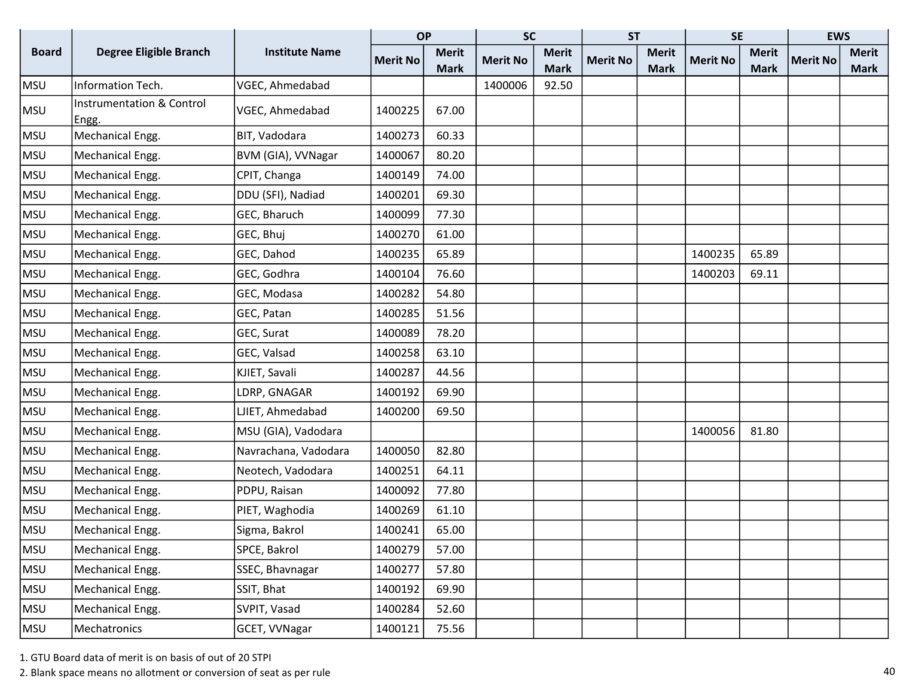|              |                                               |                       | <b>OP</b>       |              | <b>SC</b>       |              | <b>ST</b>       |              | <b>SE</b>       |              | <b>EWS</b>      |              |
|--------------|-----------------------------------------------|-----------------------|-----------------|--------------|-----------------|--------------|-----------------|--------------|-----------------|--------------|-----------------|--------------|
| <b>Board</b> | <b>Degree Eligible Branch</b>                 | <b>Institute Name</b> | <b>Merit No</b> | <b>Merit</b> | <b>Merit No</b> | <b>Merit</b> | <b>Merit No</b> | <b>Merit</b> | <b>Merit No</b> | <b>Merit</b> | <b>Merit No</b> | <b>Merit</b> |
|              |                                               |                       |                 | <b>Mark</b>  |                 | <b>Mark</b>  |                 | <b>Mark</b>  |                 | <b>Mark</b>  |                 | <b>Mark</b>  |
| <b>MSU</b>   | Information Tech.                             | VGEC, Ahmedabad       |                 |              | 1400006         | 92.50        |                 |              |                 |              |                 |              |
| MSU          | <b>Instrumentation &amp; Control</b><br>Engg. | VGEC, Ahmedabad       | 1400225         | 67.00        |                 |              |                 |              |                 |              |                 |              |
| <b>MSU</b>   | Mechanical Engg.                              | BIT, Vadodara         | 1400273         | 60.33        |                 |              |                 |              |                 |              |                 |              |
| MSU          | Mechanical Engg.                              | BVM (GIA), VVNagar    | 1400067         | 80.20        |                 |              |                 |              |                 |              |                 |              |
| <b>MSU</b>   | Mechanical Engg.                              | CPIT, Changa          | 1400149         | 74.00        |                 |              |                 |              |                 |              |                 |              |
| <b>MSU</b>   | Mechanical Engg.                              | DDU (SFI), Nadiad     | 1400201         | 69.30        |                 |              |                 |              |                 |              |                 |              |
| <b>MSU</b>   | Mechanical Engg.                              | GEC, Bharuch          | 1400099         | 77.30        |                 |              |                 |              |                 |              |                 |              |
| MSU          | Mechanical Engg.                              | GEC, Bhuj             | 1400270         | 61.00        |                 |              |                 |              |                 |              |                 |              |
| MSU          | Mechanical Engg.                              | GEC, Dahod            | 1400235         | 65.89        |                 |              |                 |              | 1400235         | 65.89        |                 |              |
| <b>MSU</b>   | Mechanical Engg.                              | GEC, Godhra           | 1400104         | 76.60        |                 |              |                 |              | 1400203         | 69.11        |                 |              |
| <b>MSU</b>   | Mechanical Engg.                              | GEC, Modasa           | 1400282         | 54.80        |                 |              |                 |              |                 |              |                 |              |
| <b>MSU</b>   | Mechanical Engg.                              | GEC, Patan            | 1400285         | 51.56        |                 |              |                 |              |                 |              |                 |              |
| <b>MSU</b>   | Mechanical Engg.                              | GEC, Surat            | 1400089         | 78.20        |                 |              |                 |              |                 |              |                 |              |
| <b>MSU</b>   | Mechanical Engg.                              | GEC, Valsad           | 1400258         | 63.10        |                 |              |                 |              |                 |              |                 |              |
| <b>MSU</b>   | Mechanical Engg.                              | KJIET, Savali         | 1400287         | 44.56        |                 |              |                 |              |                 |              |                 |              |
| <b>MSU</b>   | Mechanical Engg.                              | LDRP, GNAGAR          | 1400192         | 69.90        |                 |              |                 |              |                 |              |                 |              |
| <b>MSU</b>   | Mechanical Engg.                              | LJIET, Ahmedabad      | 1400200         | 69.50        |                 |              |                 |              |                 |              |                 |              |
| MSU          | Mechanical Engg.                              | MSU (GIA), Vadodara   |                 |              |                 |              |                 |              | 1400056         | 81.80        |                 |              |
| MSU          | Mechanical Engg.                              | Navrachana, Vadodara  | 1400050         | 82.80        |                 |              |                 |              |                 |              |                 |              |
| <b>MSU</b>   | Mechanical Engg.                              | Neotech, Vadodara     | 1400251         | 64.11        |                 |              |                 |              |                 |              |                 |              |
| <b>MSU</b>   | Mechanical Engg.                              | PDPU, Raisan          | 1400092         | 77.80        |                 |              |                 |              |                 |              |                 |              |
| <b>MSU</b>   | Mechanical Engg.                              | PIET, Waghodia        | 1400269         | 61.10        |                 |              |                 |              |                 |              |                 |              |
| <b>MSU</b>   | Mechanical Engg.                              | Sigma, Bakrol         | 1400241         | 65.00        |                 |              |                 |              |                 |              |                 |              |
| <b>MSU</b>   | Mechanical Engg.                              | SPCE, Bakrol          | 1400279         | 57.00        |                 |              |                 |              |                 |              |                 |              |
| <b>MSU</b>   | Mechanical Engg.                              | SSEC, Bhavnagar       | 1400277         | 57.80        |                 |              |                 |              |                 |              |                 |              |
| <b>MSU</b>   | Mechanical Engg.                              | SSIT, Bhat            | 1400192         | 69.90        |                 |              |                 |              |                 |              |                 |              |
| <b>MSU</b>   | Mechanical Engg.                              | SVPIT, Vasad          | 1400284         | 52.60        |                 |              |                 |              |                 |              |                 |              |
| MSU          | Mechatronics                                  | GCET, VVNagar         | 1400121         | 75.56        |                 |              |                 |              |                 |              |                 |              |

2. Blank space means no allotment or conversion of seat as per rule 40 and 30 and 30 and 30 and 30 and 40 and 40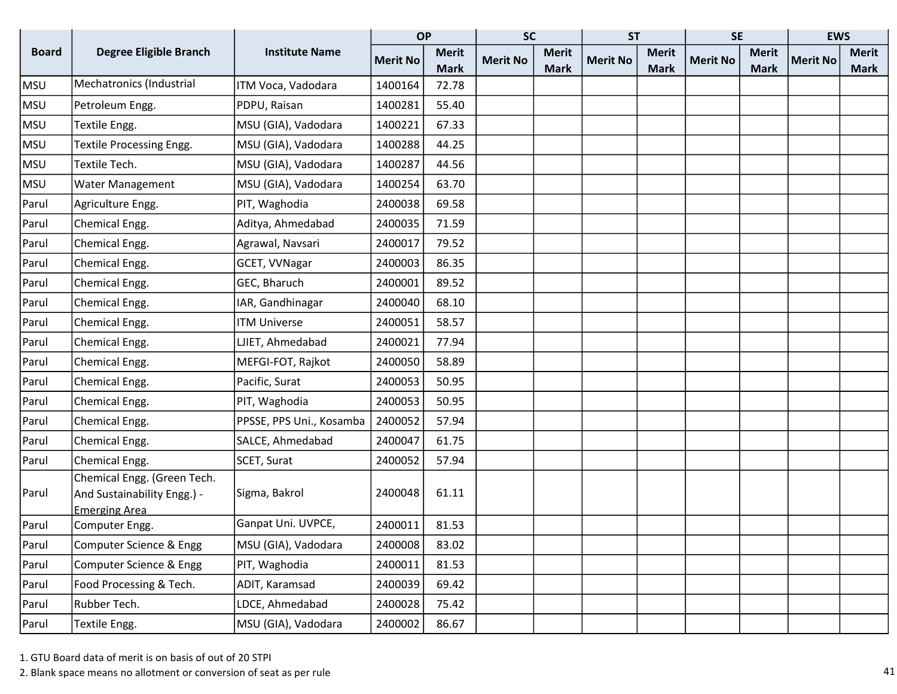|              |                                        |                          | <b>OP</b>       |              | <b>SC</b>       |              | <b>ST</b>       |              | <b>SE</b>       |              | <b>EWS</b>      |              |
|--------------|----------------------------------------|--------------------------|-----------------|--------------|-----------------|--------------|-----------------|--------------|-----------------|--------------|-----------------|--------------|
| <b>Board</b> | <b>Degree Eligible Branch</b>          | <b>Institute Name</b>    | <b>Merit No</b> | <b>Merit</b> | <b>Merit No</b> | <b>Merit</b> | <b>Merit No</b> | <b>Merit</b> | <b>Merit No</b> | <b>Merit</b> | <b>Merit No</b> | <b>Merit</b> |
|              |                                        |                          |                 | <b>Mark</b>  |                 | <b>Mark</b>  |                 | <b>Mark</b>  |                 | <b>Mark</b>  |                 | <b>Mark</b>  |
| <b>MSU</b>   | Mechatronics (Industrial               | ITM Voca, Vadodara       | 1400164         | 72.78        |                 |              |                 |              |                 |              |                 |              |
| <b>MSU</b>   | Petroleum Engg.                        | PDPU, Raisan             | 1400281         | 55.40        |                 |              |                 |              |                 |              |                 |              |
| <b>MSU</b>   | Textile Engg.                          | MSU (GIA), Vadodara      | 1400221         | 67.33        |                 |              |                 |              |                 |              |                 |              |
| <b>MSU</b>   | Textile Processing Engg.               | MSU (GIA), Vadodara      | 1400288         | 44.25        |                 |              |                 |              |                 |              |                 |              |
| <b>MSU</b>   | Textile Tech.                          | MSU (GIA), Vadodara      | 1400287         | 44.56        |                 |              |                 |              |                 |              |                 |              |
| <b>MSU</b>   | Water Management                       | MSU (GIA), Vadodara      | 1400254         | 63.70        |                 |              |                 |              |                 |              |                 |              |
| Parul        | Agriculture Engg.                      | PIT, Waghodia            | 2400038         | 69.58        |                 |              |                 |              |                 |              |                 |              |
| Parul        | Chemical Engg.                         | Aditya, Ahmedabad        | 2400035         | 71.59        |                 |              |                 |              |                 |              |                 |              |
| Parul        | Chemical Engg.                         | Agrawal, Navsari         | 2400017         | 79.52        |                 |              |                 |              |                 |              |                 |              |
| Parul        | Chemical Engg.                         | GCET, VVNagar            | 2400003         | 86.35        |                 |              |                 |              |                 |              |                 |              |
| Parul        | Chemical Engg.                         | GEC, Bharuch             | 2400001         | 89.52        |                 |              |                 |              |                 |              |                 |              |
| Parul        | Chemical Engg.                         | IAR, Gandhinagar         | 2400040         | 68.10        |                 |              |                 |              |                 |              |                 |              |
| Parul        | Chemical Engg.                         | <b>ITM Universe</b>      | 2400051         | 58.57        |                 |              |                 |              |                 |              |                 |              |
| Parul        | Chemical Engg.                         | LJIET, Ahmedabad         | 2400021         | 77.94        |                 |              |                 |              |                 |              |                 |              |
| Parul        | Chemical Engg.                         | MEFGI-FOT, Rajkot        | 2400050         | 58.89        |                 |              |                 |              |                 |              |                 |              |
| Parul        | Chemical Engg.                         | Pacific, Surat           | 2400053         | 50.95        |                 |              |                 |              |                 |              |                 |              |
| Parul        | Chemical Engg.                         | PIT, Waghodia            | 2400053         | 50.95        |                 |              |                 |              |                 |              |                 |              |
| Parul        | Chemical Engg.                         | PPSSE, PPS Uni., Kosamba | 2400052         | 57.94        |                 |              |                 |              |                 |              |                 |              |
| Parul        | Chemical Engg.                         | SALCE, Ahmedabad         | 2400047         | 61.75        |                 |              |                 |              |                 |              |                 |              |
| Parul        | Chemical Engg.                         | SCET, Surat              | 2400052         | 57.94        |                 |              |                 |              |                 |              |                 |              |
|              | Chemical Engg. (Green Tech.            |                          |                 |              |                 |              |                 |              |                 |              |                 |              |
| Parul        | And Sustainability Engg.) -            | Sigma, Bakrol            | 2400048         | 61.11        |                 |              |                 |              |                 |              |                 |              |
| Parul        | <b>Emerging Area</b><br>Computer Engg. | Ganpat Uni. UVPCE,       | 2400011         | 81.53        |                 |              |                 |              |                 |              |                 |              |
| Parul        | Computer Science & Engg                | MSU (GIA), Vadodara      | 2400008         | 83.02        |                 |              |                 |              |                 |              |                 |              |
| Parul        | Computer Science & Engg                | PIT, Waghodia            | 2400011         | 81.53        |                 |              |                 |              |                 |              |                 |              |
|              |                                        |                          |                 |              |                 |              |                 |              |                 |              |                 |              |
| Parul        | Food Processing & Tech.                | ADIT, Karamsad           | 2400039         | 69.42        |                 |              |                 |              |                 |              |                 |              |
| Parul        | Rubber Tech.                           | LDCE, Ahmedabad          | 2400028         | 75.42        |                 |              |                 |              |                 |              |                 |              |
| Parul        | Textile Engg.                          | MSU (GIA), Vadodara      | 2400002         | 86.67        |                 |              |                 |              |                 |              |                 |              |

2. Blank space means no allotment or conversion of seat as per rule 41 and 32 and 32 and 32 and 33 and 42 and 42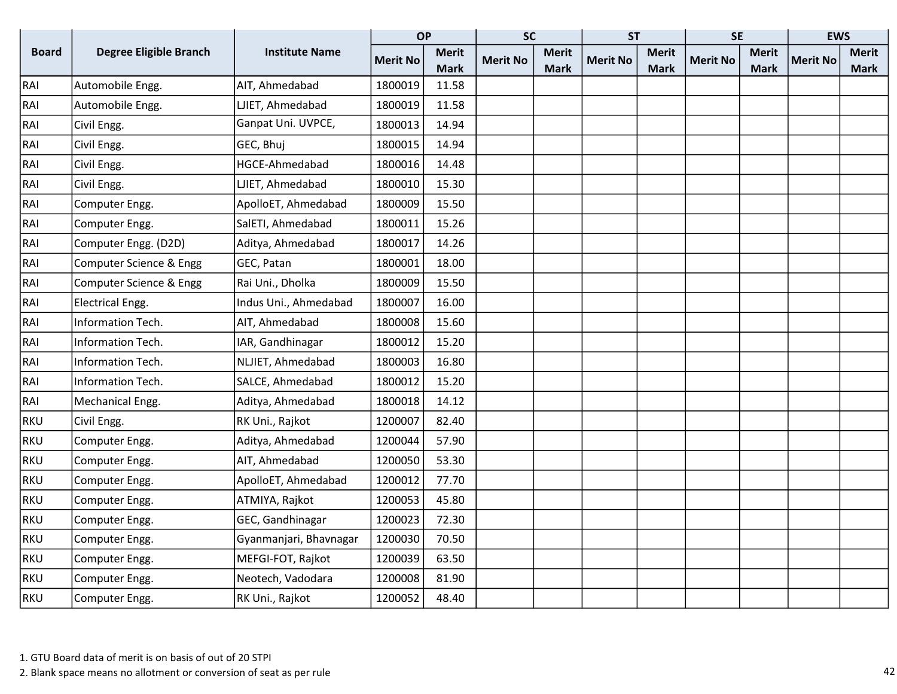|              |                               |                        | <b>OP</b>       |              | <b>SC</b>       |              | <b>ST</b>       |              | <b>SE</b>       |              | <b>EWS</b>      |              |
|--------------|-------------------------------|------------------------|-----------------|--------------|-----------------|--------------|-----------------|--------------|-----------------|--------------|-----------------|--------------|
| <b>Board</b> | <b>Degree Eligible Branch</b> | <b>Institute Name</b>  | <b>Merit No</b> | <b>Merit</b> | <b>Merit No</b> | <b>Merit</b> | <b>Merit No</b> | <b>Merit</b> | <b>Merit No</b> | <b>Merit</b> | <b>Merit No</b> | <b>Merit</b> |
|              |                               |                        |                 | <b>Mark</b>  |                 | <b>Mark</b>  |                 | <b>Mark</b>  |                 | <b>Mark</b>  |                 | <b>Mark</b>  |
| RAI          | Automobile Engg.              | AIT, Ahmedabad         | 1800019         | 11.58        |                 |              |                 |              |                 |              |                 |              |
| RAI          | Automobile Engg.              | LJIET, Ahmedabad       | 1800019         | 11.58        |                 |              |                 |              |                 |              |                 |              |
| RAI          | Civil Engg.                   | Ganpat Uni. UVPCE,     | 1800013         | 14.94        |                 |              |                 |              |                 |              |                 |              |
| RAI          | Civil Engg.                   | GEC, Bhuj              | 1800015         | 14.94        |                 |              |                 |              |                 |              |                 |              |
| RAI          | Civil Engg.                   | HGCE-Ahmedabad         | 1800016         | 14.48        |                 |              |                 |              |                 |              |                 |              |
| RAI          | Civil Engg.                   | LJIET, Ahmedabad       | 1800010         | 15.30        |                 |              |                 |              |                 |              |                 |              |
| RAI          | Computer Engg.                | ApolloET, Ahmedabad    | 1800009         | 15.50        |                 |              |                 |              |                 |              |                 |              |
| RAI          | Computer Engg.                | SalETI, Ahmedabad      | 1800011         | 15.26        |                 |              |                 |              |                 |              |                 |              |
| RAI          | Computer Engg. (D2D)          | Aditya, Ahmedabad      | 1800017         | 14.26        |                 |              |                 |              |                 |              |                 |              |
| RAI          | Computer Science & Engg       | GEC, Patan             | 1800001         | 18.00        |                 |              |                 |              |                 |              |                 |              |
| RAI          | Computer Science & Engg       | Rai Uni., Dholka       | 1800009         | 15.50        |                 |              |                 |              |                 |              |                 |              |
| RAI          | <b>Electrical Engg.</b>       | Indus Uni., Ahmedabad  | 1800007         | 16.00        |                 |              |                 |              |                 |              |                 |              |
| RAI          | Information Tech.             | AIT, Ahmedabad         | 1800008         | 15.60        |                 |              |                 |              |                 |              |                 |              |
| RAI          | Information Tech.             | IAR, Gandhinagar       | 1800012         | 15.20        |                 |              |                 |              |                 |              |                 |              |
| RAI          | Information Tech.             | NLJIET, Ahmedabad      | 1800003         | 16.80        |                 |              |                 |              |                 |              |                 |              |
| RAI          | Information Tech.             | SALCE, Ahmedabad       | 1800012         | 15.20        |                 |              |                 |              |                 |              |                 |              |
| RAI          | Mechanical Engg.              | Aditya, Ahmedabad      | 1800018         | 14.12        |                 |              |                 |              |                 |              |                 |              |
| <b>RKU</b>   | Civil Engg.                   | RK Uni., Rajkot        | 1200007         | 82.40        |                 |              |                 |              |                 |              |                 |              |
| <b>RKU</b>   | Computer Engg.                | Aditya, Ahmedabad      | 1200044         | 57.90        |                 |              |                 |              |                 |              |                 |              |
| <b>RKU</b>   | Computer Engg.                | AIT, Ahmedabad         | 1200050         | 53.30        |                 |              |                 |              |                 |              |                 |              |
| <b>RKU</b>   | Computer Engg.                | ApolloET, Ahmedabad    | 1200012         | 77.70        |                 |              |                 |              |                 |              |                 |              |
| <b>RKU</b>   | Computer Engg.                | ATMIYA, Rajkot         | 1200053         | 45.80        |                 |              |                 |              |                 |              |                 |              |
| <b>RKU</b>   | Computer Engg.                | GEC, Gandhinagar       | 1200023         | 72.30        |                 |              |                 |              |                 |              |                 |              |
| <b>RKU</b>   | Computer Engg.                | Gyanmanjari, Bhavnagar | 1200030         | 70.50        |                 |              |                 |              |                 |              |                 |              |
| <b>RKU</b>   | Computer Engg.                | MEFGI-FOT, Rajkot      | 1200039         | 63.50        |                 |              |                 |              |                 |              |                 |              |
| <b>RKU</b>   | Computer Engg.                | Neotech, Vadodara      | 1200008         | 81.90        |                 |              |                 |              |                 |              |                 |              |
| <b>RKU</b>   | Computer Engg.                | RK Uni., Rajkot        | 1200052         | 48.40        |                 |              |                 |              |                 |              |                 |              |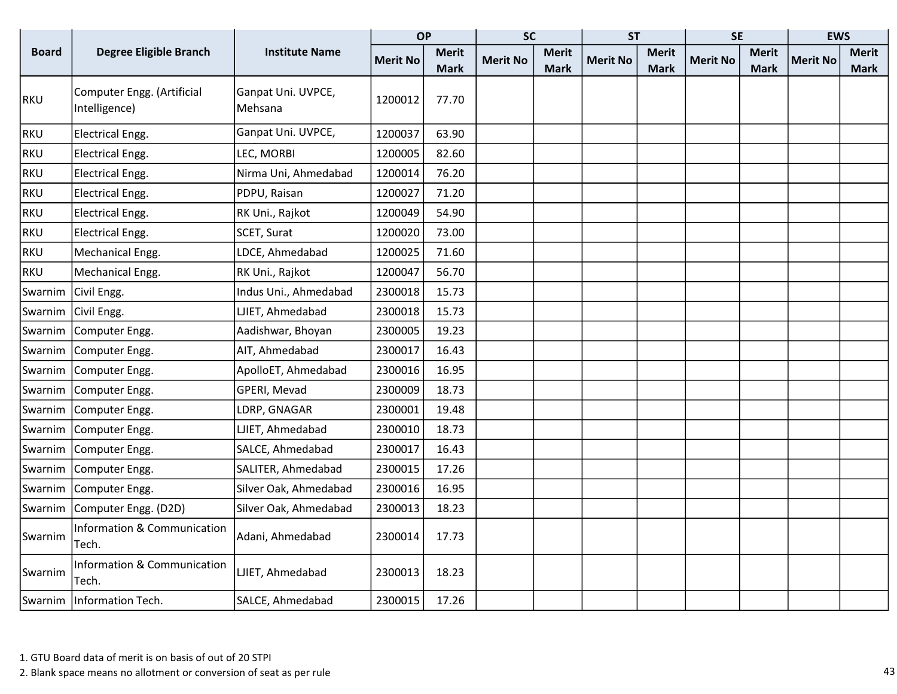|              |                                                 |                               | <b>OP</b>       |              | <b>SC</b>       |              | <b>ST</b>       |              | <b>SE</b>       |              | <b>EWS</b>      |              |
|--------------|-------------------------------------------------|-------------------------------|-----------------|--------------|-----------------|--------------|-----------------|--------------|-----------------|--------------|-----------------|--------------|
| <b>Board</b> | <b>Degree Eligible Branch</b>                   | <b>Institute Name</b>         | <b>Merit No</b> | <b>Merit</b> | <b>Merit No</b> | <b>Merit</b> | <b>Merit No</b> | <b>Merit</b> | <b>Merit No</b> | <b>Merit</b> | <b>Merit No</b> | <b>Merit</b> |
|              |                                                 |                               |                 | <b>Mark</b>  |                 | <b>Mark</b>  |                 | <b>Mark</b>  |                 | <b>Mark</b>  |                 | Mark         |
| RKU          | Computer Engg. (Artificial<br>Intelligence)     | Ganpat Uni. UVPCE,<br>Mehsana | 1200012         | 77.70        |                 |              |                 |              |                 |              |                 |              |
| <b>RKU</b>   | <b>Electrical Engg.</b>                         | Ganpat Uni. UVPCE,            | 1200037         | 63.90        |                 |              |                 |              |                 |              |                 |              |
| <b>RKU</b>   | Electrical Engg.                                | LEC, MORBI                    | 1200005         | 82.60        |                 |              |                 |              |                 |              |                 |              |
| <b>RKU</b>   | Electrical Engg.                                | Nirma Uni, Ahmedabad          | 1200014         | 76.20        |                 |              |                 |              |                 |              |                 |              |
| <b>RKU</b>   | <b>Electrical Engg.</b>                         | PDPU, Raisan                  | 1200027         | 71.20        |                 |              |                 |              |                 |              |                 |              |
| <b>RKU</b>   | <b>Electrical Engg.</b>                         | RK Uni., Rajkot               | 1200049         | 54.90        |                 |              |                 |              |                 |              |                 |              |
| <b>RKU</b>   | <b>Electrical Engg.</b>                         | SCET, Surat                   | 1200020         | 73.00        |                 |              |                 |              |                 |              |                 |              |
| <b>RKU</b>   | Mechanical Engg.                                | LDCE, Ahmedabad               | 1200025         | 71.60        |                 |              |                 |              |                 |              |                 |              |
| <b>RKU</b>   | Mechanical Engg.                                | RK Uni., Rajkot               | 1200047         | 56.70        |                 |              |                 |              |                 |              |                 |              |
| Swarnim      | Civil Engg.                                     | Indus Uni., Ahmedabad         | 2300018         | 15.73        |                 |              |                 |              |                 |              |                 |              |
| Swarnim      | Civil Engg.                                     | LJIET, Ahmedabad              | 2300018         | 15.73        |                 |              |                 |              |                 |              |                 |              |
| Swarnim      | Computer Engg.                                  | Aadishwar, Bhoyan             | 2300005         | 19.23        |                 |              |                 |              |                 |              |                 |              |
| Swarnim      | Computer Engg.                                  | AIT, Ahmedabad                | 2300017         | 16.43        |                 |              |                 |              |                 |              |                 |              |
| Swarnim      | Computer Engg.                                  | ApolloET, Ahmedabad           | 2300016         | 16.95        |                 |              |                 |              |                 |              |                 |              |
| Swarnim      | Computer Engg.                                  | GPERI, Mevad                  | 2300009         | 18.73        |                 |              |                 |              |                 |              |                 |              |
| Swarnim      | Computer Engg.                                  | LDRP, GNAGAR                  | 2300001         | 19.48        |                 |              |                 |              |                 |              |                 |              |
| Swarnim      | Computer Engg.                                  | LJIET, Ahmedabad              | 2300010         | 18.73        |                 |              |                 |              |                 |              |                 |              |
| Swarnim      | Computer Engg.                                  | SALCE, Ahmedabad              | 2300017         | 16.43        |                 |              |                 |              |                 |              |                 |              |
| Swarnim      | Computer Engg.                                  | SALITER, Ahmedabad            | 2300015         | 17.26        |                 |              |                 |              |                 |              |                 |              |
| Swarnim      | Computer Engg.                                  | Silver Oak, Ahmedabad         | 2300016         | 16.95        |                 |              |                 |              |                 |              |                 |              |
| Swarnim      | Computer Engg. (D2D)                            | Silver Oak, Ahmedabad         | 2300013         | 18.23        |                 |              |                 |              |                 |              |                 |              |
| Swarnim      | <b>Information &amp; Communication</b><br>Tech. | Adani, Ahmedabad              | 2300014         | 17.73        |                 |              |                 |              |                 |              |                 |              |
| Swarnim      | <b>Information &amp; Communication</b><br>Tech. | LJIET, Ahmedabad              | 2300013         | 18.23        |                 |              |                 |              |                 |              |                 |              |
|              | Swarnim   Information Tech.                     | SALCE, Ahmedabad              | 2300015         | 17.26        |                 |              |                 |              |                 |              |                 |              |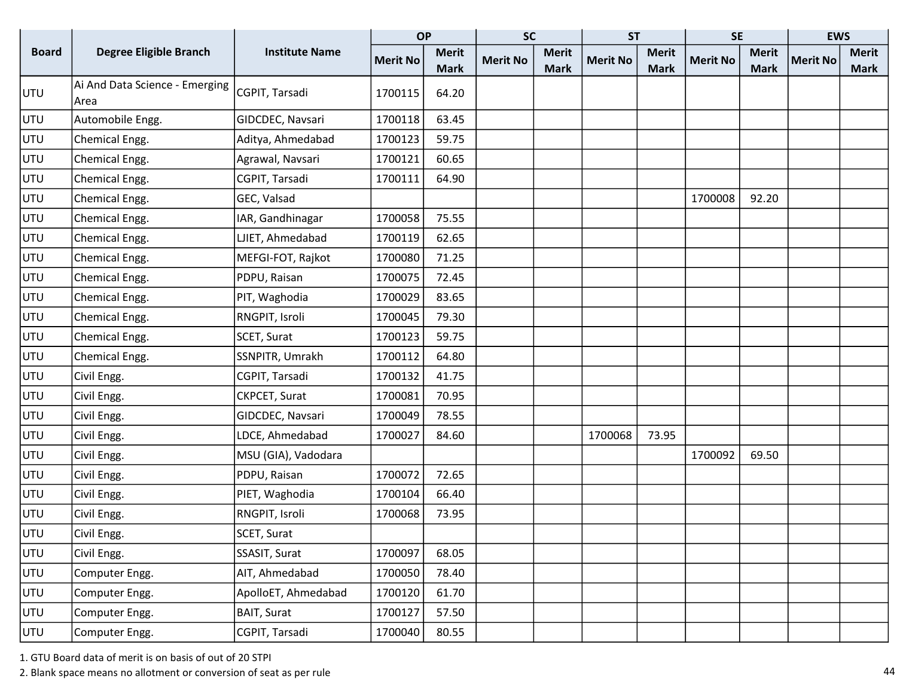|              |                                        |                       | <b>OP</b>       |              | <b>SC</b>       |              | <b>ST</b>       |              | <b>SE</b>       |              | <b>EWS</b>      |              |
|--------------|----------------------------------------|-----------------------|-----------------|--------------|-----------------|--------------|-----------------|--------------|-----------------|--------------|-----------------|--------------|
| <b>Board</b> | <b>Degree Eligible Branch</b>          | <b>Institute Name</b> | <b>Merit No</b> | <b>Merit</b> | <b>Merit No</b> | <b>Merit</b> | <b>Merit No</b> | <b>Merit</b> | <b>Merit No</b> | <b>Merit</b> | <b>Merit No</b> | <b>Merit</b> |
|              |                                        |                       |                 | <b>Mark</b>  |                 | <b>Mark</b>  |                 | <b>Mark</b>  |                 | <b>Mark</b>  |                 | <b>Mark</b>  |
| UTU          | Ai And Data Science - Emerging<br>Area | CGPIT, Tarsadi        | 1700115         | 64.20        |                 |              |                 |              |                 |              |                 |              |
| UTU          | Automobile Engg.                       | GIDCDEC, Navsari      | 1700118         | 63.45        |                 |              |                 |              |                 |              |                 |              |
| UTU          | Chemical Engg.                         | Aditya, Ahmedabad     | 1700123         | 59.75        |                 |              |                 |              |                 |              |                 |              |
| UTU          | Chemical Engg.                         | Agrawal, Navsari      | 1700121         | 60.65        |                 |              |                 |              |                 |              |                 |              |
| UTU          | Chemical Engg.                         | CGPIT, Tarsadi        | 1700111         | 64.90        |                 |              |                 |              |                 |              |                 |              |
| UTU          | Chemical Engg.                         | GEC, Valsad           |                 |              |                 |              |                 |              | 1700008         | 92.20        |                 |              |
| UTU          | Chemical Engg.                         | IAR, Gandhinagar      | 1700058         | 75.55        |                 |              |                 |              |                 |              |                 |              |
| UTU          | Chemical Engg.                         | LJIET, Ahmedabad      | 1700119         | 62.65        |                 |              |                 |              |                 |              |                 |              |
| UTU          | Chemical Engg.                         | MEFGI-FOT, Rajkot     | 1700080         | 71.25        |                 |              |                 |              |                 |              |                 |              |
| UTU          | Chemical Engg.                         | PDPU, Raisan          | 1700075         | 72.45        |                 |              |                 |              |                 |              |                 |              |
| UTU          | Chemical Engg.                         | PIT, Waghodia         | 1700029         | 83.65        |                 |              |                 |              |                 |              |                 |              |
| UTU          | Chemical Engg.                         | RNGPIT, Isroli        | 1700045         | 79.30        |                 |              |                 |              |                 |              |                 |              |
| UTU          | Chemical Engg.                         | SCET, Surat           | 1700123         | 59.75        |                 |              |                 |              |                 |              |                 |              |
| UTU          | Chemical Engg.                         | SSNPITR, Umrakh       | 1700112         | 64.80        |                 |              |                 |              |                 |              |                 |              |
| UTU          | Civil Engg.                            | CGPIT, Tarsadi        | 1700132         | 41.75        |                 |              |                 |              |                 |              |                 |              |
| UTU          | Civil Engg.                            | CKPCET, Surat         | 1700081         | 70.95        |                 |              |                 |              |                 |              |                 |              |
| UTU          | Civil Engg.                            | GIDCDEC, Navsari      | 1700049         | 78.55        |                 |              |                 |              |                 |              |                 |              |
| UTU          | Civil Engg.                            | LDCE, Ahmedabad       | 1700027         | 84.60        |                 |              | 1700068         | 73.95        |                 |              |                 |              |
| UTU          | Civil Engg.                            | MSU (GIA), Vadodara   |                 |              |                 |              |                 |              | 1700092         | 69.50        |                 |              |
| UTU          | Civil Engg.                            | PDPU, Raisan          | 1700072         | 72.65        |                 |              |                 |              |                 |              |                 |              |
| UTU          | Civil Engg.                            | PIET, Waghodia        | 1700104         | 66.40        |                 |              |                 |              |                 |              |                 |              |
| UTU          | Civil Engg.                            | RNGPIT, Isroli        | 1700068         | 73.95        |                 |              |                 |              |                 |              |                 |              |
| UTU          | Civil Engg.                            | SCET, Surat           |                 |              |                 |              |                 |              |                 |              |                 |              |
| UTU          | Civil Engg.                            | SSASIT, Surat         | 1700097         | 68.05        |                 |              |                 |              |                 |              |                 |              |
| UTU          | Computer Engg.                         | AIT, Ahmedabad        | 1700050         | 78.40        |                 |              |                 |              |                 |              |                 |              |
| UTU          | Computer Engg.                         | ApolloET, Ahmedabad   | 1700120         | 61.70        |                 |              |                 |              |                 |              |                 |              |
| UTU          | Computer Engg.                         | <b>BAIT, Surat</b>    | 1700127         | 57.50        |                 |              |                 |              |                 |              |                 |              |
| UTU          | Computer Engg.                         | CGPIT, Tarsadi        | 1700040         | 80.55        |                 |              |                 |              |                 |              |                 |              |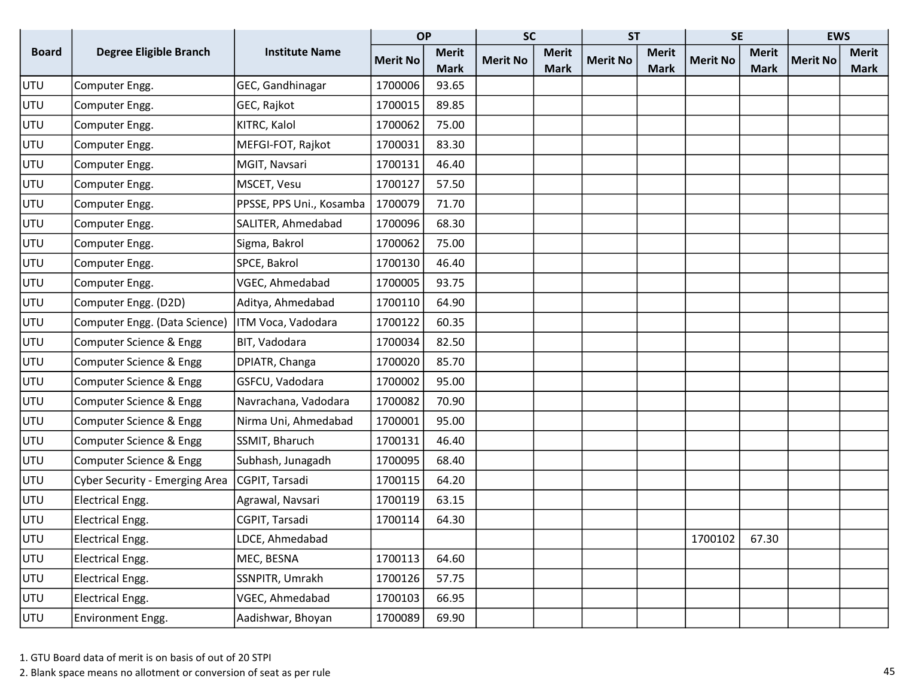|              |                                       |                          | <b>OP</b>       |              | <b>SC</b>       |              | <b>ST</b>       |              | <b>SE</b>       |              | <b>EWS</b>      |              |
|--------------|---------------------------------------|--------------------------|-----------------|--------------|-----------------|--------------|-----------------|--------------|-----------------|--------------|-----------------|--------------|
| <b>Board</b> | Degree Eligible Branch                | <b>Institute Name</b>    | <b>Merit No</b> | <b>Merit</b> | <b>Merit No</b> | <b>Merit</b> | <b>Merit No</b> | <b>Merit</b> | <b>Merit No</b> | <b>Merit</b> | <b>Merit No</b> | <b>Merit</b> |
|              |                                       |                          |                 | <b>Mark</b>  |                 | <b>Mark</b>  |                 | <b>Mark</b>  |                 | <b>Mark</b>  |                 | <b>Mark</b>  |
| UTU          | Computer Engg.                        | GEC, Gandhinagar         | 1700006         | 93.65        |                 |              |                 |              |                 |              |                 |              |
| UTU          | Computer Engg.                        | GEC, Rajkot              | 1700015         | 89.85        |                 |              |                 |              |                 |              |                 |              |
| UTU          | Computer Engg.                        | KITRC, Kalol             | 1700062         | 75.00        |                 |              |                 |              |                 |              |                 |              |
| UTU          | Computer Engg.                        | MEFGI-FOT, Rajkot        | 1700031         | 83.30        |                 |              |                 |              |                 |              |                 |              |
| UTU          | Computer Engg.                        | MGIT, Navsari            | 1700131         | 46.40        |                 |              |                 |              |                 |              |                 |              |
| UTU          | Computer Engg.                        | MSCET, Vesu              | 1700127         | 57.50        |                 |              |                 |              |                 |              |                 |              |
| UTU          | Computer Engg.                        | PPSSE, PPS Uni., Kosamba | 1700079         | 71.70        |                 |              |                 |              |                 |              |                 |              |
| UTU          | Computer Engg.                        | SALITER, Ahmedabad       | 1700096         | 68.30        |                 |              |                 |              |                 |              |                 |              |
| UTU          | Computer Engg.                        | Sigma, Bakrol            | 1700062         | 75.00        |                 |              |                 |              |                 |              |                 |              |
| UTU          | Computer Engg.                        | SPCE, Bakrol             | 1700130         | 46.40        |                 |              |                 |              |                 |              |                 |              |
| UTU          | Computer Engg.                        | VGEC, Ahmedabad          | 1700005         | 93.75        |                 |              |                 |              |                 |              |                 |              |
| UTU          | Computer Engg. (D2D)                  | Aditya, Ahmedabad        | 1700110         | 64.90        |                 |              |                 |              |                 |              |                 |              |
| UTU          | Computer Engg. (Data Science)         | ITM Voca, Vadodara       | 1700122         | 60.35        |                 |              |                 |              |                 |              |                 |              |
| UTU          | Computer Science & Engg               | BIT, Vadodara            | 1700034         | 82.50        |                 |              |                 |              |                 |              |                 |              |
| UTU          | Computer Science & Engg               | DPIATR, Changa           | 1700020         | 85.70        |                 |              |                 |              |                 |              |                 |              |
| UTU          | Computer Science & Engg               | GSFCU, Vadodara          | 1700002         | 95.00        |                 |              |                 |              |                 |              |                 |              |
| UTU          | Computer Science & Engg               | Navrachana, Vadodara     | 1700082         | 70.90        |                 |              |                 |              |                 |              |                 |              |
| UTU          | Computer Science & Engg               | Nirma Uni, Ahmedabad     | 1700001         | 95.00        |                 |              |                 |              |                 |              |                 |              |
| UTU          | Computer Science & Engg               | SSMIT, Bharuch           | 1700131         | 46.40        |                 |              |                 |              |                 |              |                 |              |
| UTU          | Computer Science & Engg               | Subhash, Junagadh        | 1700095         | 68.40        |                 |              |                 |              |                 |              |                 |              |
| UTU          | <b>Cyber Security - Emerging Area</b> | CGPIT, Tarsadi           | 1700115         | 64.20        |                 |              |                 |              |                 |              |                 |              |
| UTU          | Electrical Engg.                      | Agrawal, Navsari         | 1700119         | 63.15        |                 |              |                 |              |                 |              |                 |              |
| UTU          | Electrical Engg.                      | CGPIT, Tarsadi           | 1700114         | 64.30        |                 |              |                 |              |                 |              |                 |              |
| UTU          | Electrical Engg.                      | LDCE, Ahmedabad          |                 |              |                 |              |                 |              | 1700102         | 67.30        |                 |              |
| UTU          | Electrical Engg.                      | MEC, BESNA               | 1700113         | 64.60        |                 |              |                 |              |                 |              |                 |              |
| UTU          | Electrical Engg.                      | SSNPITR, Umrakh          | 1700126         | 57.75        |                 |              |                 |              |                 |              |                 |              |
| <b>UTU</b>   | Electrical Engg.                      | VGEC, Ahmedabad          | 1700103         | 66.95        |                 |              |                 |              |                 |              |                 |              |
| UTU          | Environment Engg.                     | Aadishwar, Bhoyan        | 1700089         | 69.90        |                 |              |                 |              |                 |              |                 |              |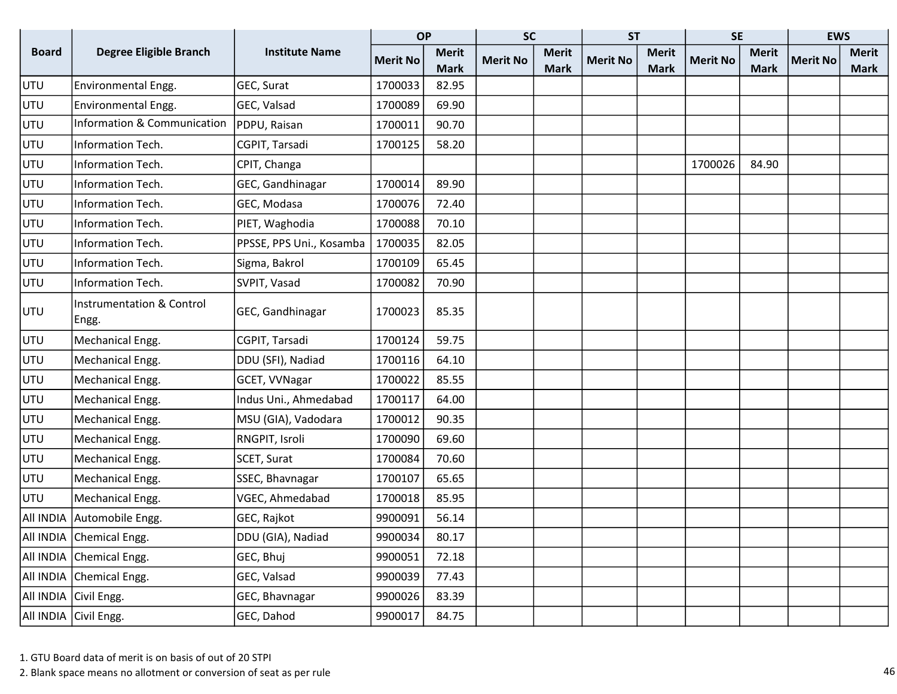|              |                                               |                          | <b>OP</b>       |              | <b>SC</b>       |              | <b>ST</b>       |              | <b>SE</b>       |              | <b>EWS</b>      |              |
|--------------|-----------------------------------------------|--------------------------|-----------------|--------------|-----------------|--------------|-----------------|--------------|-----------------|--------------|-----------------|--------------|
| <b>Board</b> | <b>Degree Eligible Branch</b>                 | <b>Institute Name</b>    | <b>Merit No</b> | <b>Merit</b> | <b>Merit No</b> | <b>Merit</b> | <b>Merit No</b> | <b>Merit</b> | <b>Merit No</b> | <b>Merit</b> | <b>Merit No</b> | <b>Merit</b> |
|              |                                               |                          |                 | <b>Mark</b>  |                 | <b>Mark</b>  |                 | <b>Mark</b>  |                 | <b>Mark</b>  |                 | <b>Mark</b>  |
| UTU          | Environmental Engg.                           | GEC, Surat               | 1700033         | 82.95        |                 |              |                 |              |                 |              |                 |              |
| UTU          | Environmental Engg.                           | GEC, Valsad              | 1700089         | 69.90        |                 |              |                 |              |                 |              |                 |              |
| UTU          | Information & Communication                   | PDPU, Raisan             | 1700011         | 90.70        |                 |              |                 |              |                 |              |                 |              |
| UTU          | Information Tech.                             | CGPIT, Tarsadi           | 1700125         | 58.20        |                 |              |                 |              |                 |              |                 |              |
| UTU          | Information Tech.                             | CPIT, Changa             |                 |              |                 |              |                 |              | 1700026         | 84.90        |                 |              |
| UTU          | Information Tech.                             | GEC, Gandhinagar         | 1700014         | 89.90        |                 |              |                 |              |                 |              |                 |              |
| UTU          | Information Tech.                             | GEC, Modasa              | 1700076         | 72.40        |                 |              |                 |              |                 |              |                 |              |
| UTU          | Information Tech.                             | PIET, Waghodia           | 1700088         | 70.10        |                 |              |                 |              |                 |              |                 |              |
| UTU          | Information Tech.                             | PPSSE, PPS Uni., Kosamba | 1700035         | 82.05        |                 |              |                 |              |                 |              |                 |              |
| UTU          | Information Tech.                             | Sigma, Bakrol            | 1700109         | 65.45        |                 |              |                 |              |                 |              |                 |              |
| UTU          | Information Tech.                             | SVPIT, Vasad             | 1700082         | 70.90        |                 |              |                 |              |                 |              |                 |              |
| UTU          | <b>Instrumentation &amp; Control</b><br>Engg. | GEC, Gandhinagar         | 1700023         | 85.35        |                 |              |                 |              |                 |              |                 |              |
| UTU          | Mechanical Engg.                              | CGPIT, Tarsadi           | 1700124         | 59.75        |                 |              |                 |              |                 |              |                 |              |
| UTU          | Mechanical Engg.                              | DDU (SFI), Nadiad        | 1700116         | 64.10        |                 |              |                 |              |                 |              |                 |              |
| UTU          | Mechanical Engg.                              | GCET, VVNagar            | 1700022         | 85.55        |                 |              |                 |              |                 |              |                 |              |
| UTU          | Mechanical Engg.                              | Indus Uni., Ahmedabad    | 1700117         | 64.00        |                 |              |                 |              |                 |              |                 |              |
| UTU          | Mechanical Engg.                              | MSU (GIA), Vadodara      | 1700012         | 90.35        |                 |              |                 |              |                 |              |                 |              |
| UTU          | Mechanical Engg.                              | RNGPIT, Isroli           | 1700090         | 69.60        |                 |              |                 |              |                 |              |                 |              |
| UTU          | Mechanical Engg.                              | SCET, Surat              | 1700084         | 70.60        |                 |              |                 |              |                 |              |                 |              |
| UTU          | Mechanical Engg.                              | SSEC, Bhavnagar          | 1700107         | 65.65        |                 |              |                 |              |                 |              |                 |              |
| UTU          | Mechanical Engg.                              | VGEC, Ahmedabad          | 1700018         | 85.95        |                 |              |                 |              |                 |              |                 |              |
| All INDIA    | Automobile Engg.                              | GEC, Rajkot              | 9900091         | 56.14        |                 |              |                 |              |                 |              |                 |              |
|              | All INDIA Chemical Engg.                      | DDU (GIA), Nadiad        | 9900034         | 80.17        |                 |              |                 |              |                 |              |                 |              |
|              | All INDIA Chemical Engg.                      | GEC, Bhuj                | 9900051         | 72.18        |                 |              |                 |              |                 |              |                 |              |
|              | All INDIA Chemical Engg.                      | GEC, Valsad              | 9900039         | 77.43        |                 |              |                 |              |                 |              |                 |              |
|              | All INDIA Civil Engg.                         | GEC, Bhavnagar           | 9900026         | 83.39        |                 |              |                 |              |                 |              |                 |              |
|              | All INDIA Civil Engg.                         | GEC, Dahod               | 9900017         | 84.75        |                 |              |                 |              |                 |              |                 |              |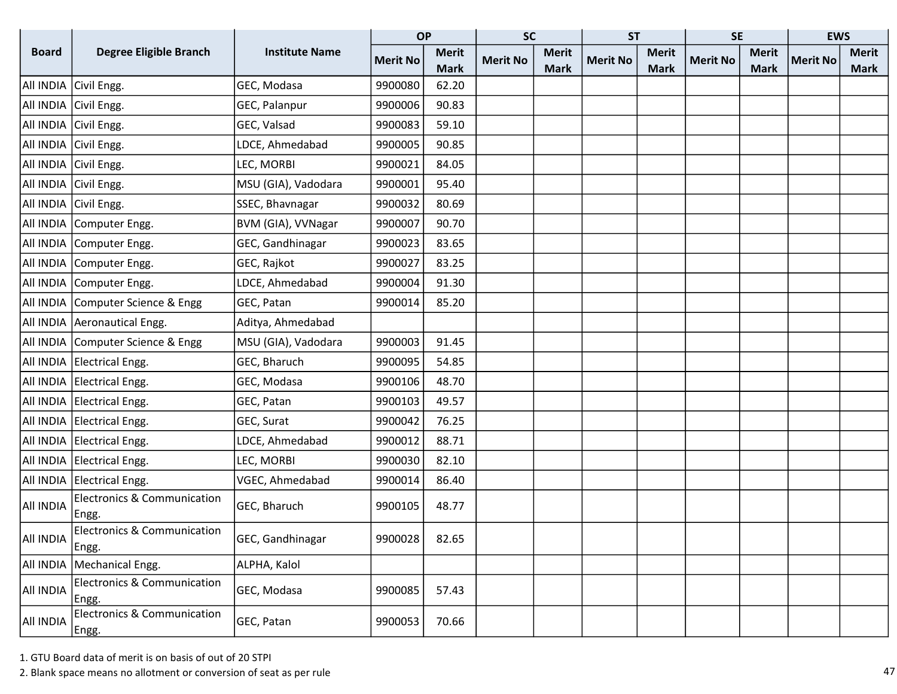|                                                                    |                                                 |                       | <b>OP</b>       |              | <b>SC</b>       |              | <b>ST</b>       |              | <b>SE</b>       |              | <b>EWS</b>      |              |
|--------------------------------------------------------------------|-------------------------------------------------|-----------------------|-----------------|--------------|-----------------|--------------|-----------------|--------------|-----------------|--------------|-----------------|--------------|
| <b>Board</b>                                                       | <b>Degree Eligible Branch</b>                   | <b>Institute Name</b> | <b>Merit No</b> | <b>Merit</b> | <b>Merit No</b> | <b>Merit</b> | <b>Merit No</b> | <b>Merit</b> | <b>Merit No</b> | <b>Merit</b> | <b>Merit No</b> | <b>Merit</b> |
|                                                                    |                                                 |                       |                 | <b>Mark</b>  |                 | <b>Mark</b>  |                 | <b>Mark</b>  |                 | <b>Mark</b>  |                 | <b>Mark</b>  |
|                                                                    | All INDIA Civil Engg.                           | GEC, Modasa           | 9900080         | 62.20        |                 |              |                 |              |                 |              |                 |              |
|                                                                    | All INDIA Civil Engg.                           | GEC, Palanpur         | 9900006         | 90.83        |                 |              |                 |              |                 |              |                 |              |
|                                                                    | All INDIA Civil Engg.                           | GEC, Valsad           | 9900083         | 59.10        |                 |              |                 |              |                 |              |                 |              |
|                                                                    | All INDIA Civil Engg.                           | LDCE, Ahmedabad       | 9900005         | 90.85        |                 |              |                 |              |                 |              |                 |              |
|                                                                    | All INDIA Civil Engg.                           | LEC, MORBI            | 9900021         | 84.05        |                 |              |                 |              |                 |              |                 |              |
|                                                                    | All INDIA Civil Engg.                           | MSU (GIA), Vadodara   | 9900001         | 95.40        |                 |              |                 |              |                 |              |                 |              |
|                                                                    | All INDIA Civil Engg.                           | SSEC, Bhavnagar       | 9900032         | 80.69        |                 |              |                 |              |                 |              |                 |              |
|                                                                    | All INDIA Computer Engg.                        | BVM (GIA), VVNagar    | 9900007         | 90.70        |                 |              |                 |              |                 |              |                 |              |
|                                                                    | All INDIA Computer Engg.                        | GEC, Gandhinagar      | 9900023         | 83.65        |                 |              |                 |              |                 |              |                 |              |
|                                                                    | All INDIA Computer Engg.                        | GEC, Rajkot           | 9900027         | 83.25        |                 |              |                 |              |                 |              |                 |              |
|                                                                    | All INDIA Computer Engg.                        | LDCE, Ahmedabad       | 9900004         | 91.30        |                 |              |                 |              |                 |              |                 |              |
|                                                                    | All INDIA Computer Science & Engg               | GEC, Patan            | 9900014         | 85.20        |                 |              |                 |              |                 |              |                 |              |
|                                                                    | All INDIA   Aeronautical Engg.                  | Aditya, Ahmedabad     |                 |              |                 |              |                 |              |                 |              |                 |              |
|                                                                    | All INDIA Computer Science & Engg               | MSU (GIA), Vadodara   | 9900003         | 91.45        |                 |              |                 |              |                 |              |                 |              |
|                                                                    | All INDIA Electrical Engg.                      | GEC, Bharuch          | 9900095         | 54.85        |                 |              |                 |              |                 |              |                 |              |
|                                                                    | All INDIA Electrical Engg.                      | GEC, Modasa           | 9900106         | 48.70        |                 |              |                 |              |                 |              |                 |              |
|                                                                    | All INDIA Electrical Engg.                      | GEC, Patan            | 9900103         | 49.57        |                 |              |                 |              |                 |              |                 |              |
|                                                                    | All INDIA Electrical Engg.                      | GEC, Surat            | 9900042         | 76.25        |                 |              |                 |              |                 |              |                 |              |
|                                                                    | All INDIA Electrical Engg.                      | LDCE, Ahmedabad       | 9900012         | 88.71        |                 |              |                 |              |                 |              |                 |              |
|                                                                    | All INDIA Electrical Engg.                      | LEC, MORBI            | 9900030         | 82.10        |                 |              |                 |              |                 |              |                 |              |
|                                                                    | All INDIA Electrical Engg.                      | VGEC, Ahmedabad       | 9900014         | 86.40        |                 |              |                 |              |                 |              |                 |              |
| AII INDIA                                                          | <b>Electronics &amp; Communication</b><br>Engg. | GEC, Bharuch          | 9900105         | 48.77        |                 |              |                 |              |                 |              |                 |              |
| $\begin{array}{c c c} \text{All INDIA} & \text{Engg.} \end{array}$ | Electronics & Communication                     | GEC, Gandhinagar      | 9900028         | 82.65        |                 |              |                 |              |                 |              |                 |              |
|                                                                    | All INDIA   Mechanical Engg.                    | ALPHA, Kalol          |                 |              |                 |              |                 |              |                 |              |                 |              |
| AII INDIA                                                          | <b>Electronics &amp; Communication</b><br>Engg. | GEC, Modasa           | 9900085         | 57.43        |                 |              |                 |              |                 |              |                 |              |
| AII INDIA                                                          | Electronics & Communication<br>Engg.            | GEC, Patan            | 9900053         | 70.66        |                 |              |                 |              |                 |              |                 |              |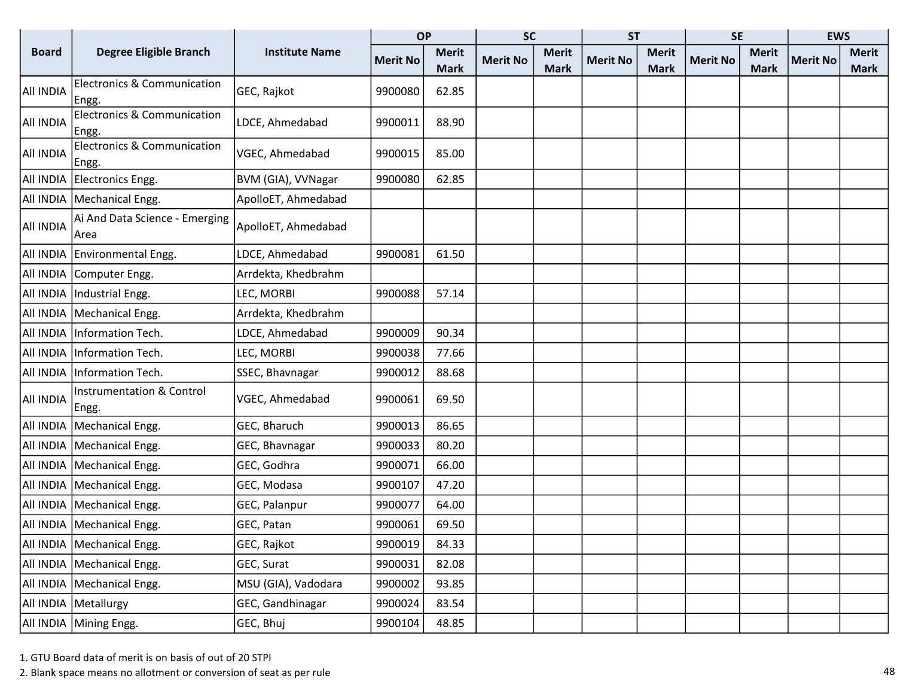|                  |                                                 |                       | <b>OP</b>       |              | <b>SC</b>       |              | <b>ST</b>       |              | <b>SE</b>       |              | <b>EWS</b>      |              |
|------------------|-------------------------------------------------|-----------------------|-----------------|--------------|-----------------|--------------|-----------------|--------------|-----------------|--------------|-----------------|--------------|
| <b>Board</b>     | <b>Degree Eligible Branch</b>                   | <b>Institute Name</b> | <b>Merit No</b> | <b>Merit</b> | <b>Merit No</b> | <b>Merit</b> | <b>Merit No</b> | <b>Merit</b> | <b>Merit No</b> | <b>Merit</b> | <b>Merit No</b> | <b>Merit</b> |
|                  |                                                 |                       |                 | <b>Mark</b>  |                 | <b>Mark</b>  |                 | <b>Mark</b>  |                 | <b>Mark</b>  |                 | <b>Mark</b>  |
| All INDIA        | <b>Electronics &amp; Communication</b><br>Engg. | GEC, Rajkot           | 9900080         | 62.85        |                 |              |                 |              |                 |              |                 |              |
| <b>AII INDIA</b> | <b>Electronics &amp; Communication</b><br>Engg. | LDCE, Ahmedabad       | 9900011         | 88.90        |                 |              |                 |              |                 |              |                 |              |
| All INDIA        | <b>Electronics &amp; Communication</b><br>Engg. | VGEC, Ahmedabad       | 9900015         | 85.00        |                 |              |                 |              |                 |              |                 |              |
|                  | All INDIA Electronics Engg.                     | BVM (GIA), VVNagar    | 9900080         | 62.85        |                 |              |                 |              |                 |              |                 |              |
|                  | All INDIA   Mechanical Engg.                    | ApolloET, Ahmedabad   |                 |              |                 |              |                 |              |                 |              |                 |              |
| All INDIA        | Ai And Data Science - Emerging<br>Area          | ApolloET, Ahmedabad   |                 |              |                 |              |                 |              |                 |              |                 |              |
|                  | All INDIA Environmental Engg.                   | LDCE, Ahmedabad       | 9900081         | 61.50        |                 |              |                 |              |                 |              |                 |              |
|                  | All INDIA Computer Engg.                        | Arrdekta, Khedbrahm   |                 |              |                 |              |                 |              |                 |              |                 |              |
|                  | All INDIA   Industrial Engg.                    | LEC, MORBI            | 9900088         | 57.14        |                 |              |                 |              |                 |              |                 |              |
|                  | All INDIA   Mechanical Engg.                    | Arrdekta, Khedbrahm   |                 |              |                 |              |                 |              |                 |              |                 |              |
|                  | All INDIA   Information Tech.                   | LDCE, Ahmedabad       | 9900009         | 90.34        |                 |              |                 |              |                 |              |                 |              |
|                  | All INDIA   Information Tech.                   | LEC, MORBI            | 9900038         | 77.66        |                 |              |                 |              |                 |              |                 |              |
|                  | All INDIA   Information Tech.                   | SSEC, Bhavnagar       | 9900012         | 88.68        |                 |              |                 |              |                 |              |                 |              |
| All INDIA        | <b>Instrumentation &amp; Control</b><br> Engg.  | VGEC, Ahmedabad       | 9900061         | 69.50        |                 |              |                 |              |                 |              |                 |              |
|                  | All INDIA   Mechanical Engg.                    | GEC, Bharuch          | 9900013         | 86.65        |                 |              |                 |              |                 |              |                 |              |
|                  | All INDIA   Mechanical Engg.                    | GEC, Bhavnagar        | 9900033         | 80.20        |                 |              |                 |              |                 |              |                 |              |
|                  | All INDIA   Mechanical Engg.                    | GEC, Godhra           | 9900071         | 66.00        |                 |              |                 |              |                 |              |                 |              |
|                  | All INDIA   Mechanical Engg.                    | GEC, Modasa           | 9900107         | 47.20        |                 |              |                 |              |                 |              |                 |              |
|                  | All INDIA   Mechanical Engg.                    | GEC, Palanpur         | 9900077         | 64.00        |                 |              |                 |              |                 |              |                 |              |
|                  | All INDIA   Mechanical Engg.                    | GEC, Patan            | 9900061         | 69.50        |                 |              |                 |              |                 |              |                 |              |
|                  | All INDIA   Mechanical Engg.                    | GEC, Rajkot           | 9900019         | 84.33        |                 |              |                 |              |                 |              |                 |              |
|                  | All INDIA   Mechanical Engg.                    | GEC, Surat            | 9900031         | 82.08        |                 |              |                 |              |                 |              |                 |              |
|                  | All INDIA   Mechanical Engg.                    | MSU (GIA), Vadodara   | 9900002         | 93.85        |                 |              |                 |              |                 |              |                 |              |
|                  | All INDIA   Metallurgy                          | GEC, Gandhinagar      | 9900024         | 83.54        |                 |              |                 |              |                 |              |                 |              |
|                  | All INDIA Mining Engg.                          | GEC, Bhuj             | 9900104         | 48.85        |                 |              |                 |              |                 |              |                 |              |